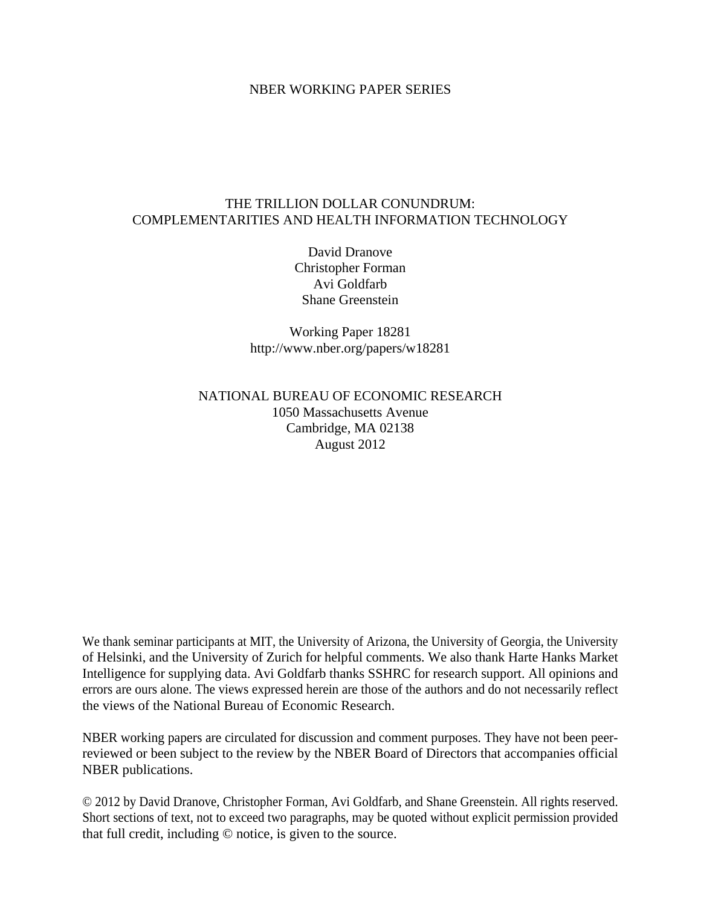# NBER WORKING PAPER SERIES

# THE TRILLION DOLLAR CONUNDRUM: COMPLEMENTARITIES AND HEALTH INFORMATION TECHNOLOGY

David Dranove Christopher Forman Avi Goldfarb Shane Greenstein

Working Paper 18281 http://www.nber.org/papers/w18281

# NATIONAL BUREAU OF ECONOMIC RESEARCH 1050 Massachusetts Avenue Cambridge, MA 02138 August 2012

We thank seminar participants at MIT, the University of Arizona, the University of Georgia, the University of Helsinki, and the University of Zurich for helpful comments. We also thank Harte Hanks Market Intelligence for supplying data. Avi Goldfarb thanks SSHRC for research support. All opinions and errors are ours alone. The views expressed herein are those of the authors and do not necessarily reflect the views of the National Bureau of Economic Research.

NBER working papers are circulated for discussion and comment purposes. They have not been peerreviewed or been subject to the review by the NBER Board of Directors that accompanies official NBER publications.

© 2012 by David Dranove, Christopher Forman, Avi Goldfarb, and Shane Greenstein. All rights reserved. Short sections of text, not to exceed two paragraphs, may be quoted without explicit permission provided that full credit, including © notice, is given to the source.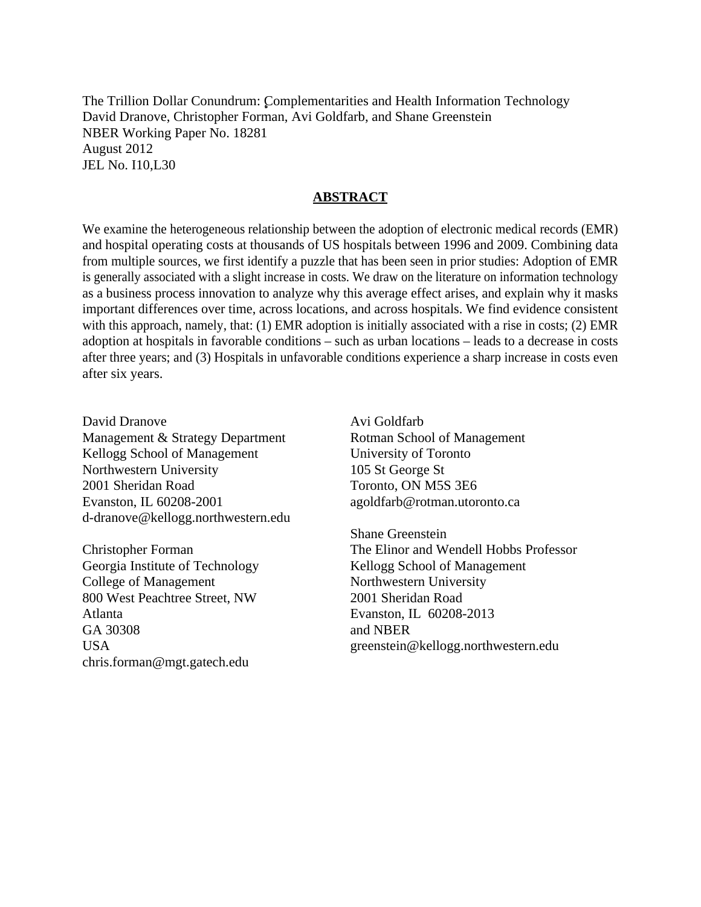The Trillion Dollar Conundrum: Complementarities and Health Information Technology David Dranove, Christopher Forman, Avi Goldfarb, and Shane Greenstein NBER Working Paper No. 18281 August 2012 JEL No. I10,L30

## **ABSTRACT**

We examine the heterogeneous relationship between the adoption of electronic medical records (EMR) and hospital operating costs at thousands of US hospitals between 1996 and 2009. Combining data from multiple sources, we first identify a puzzle that has been seen in prior studies: Adoption of EMR is generally associated with a slight increase in costs. We draw on the literature on information technology as a business process innovation to analyze why this average effect arises, and explain why it masks important differences over time, across locations, and across hospitals. We find evidence consistent with this approach, namely, that: (1) EMR adoption is initially associated with a rise in costs; (2) EMR adoption at hospitals in favorable conditions – such as urban locations – leads to a decrease in costs after three years; and (3) Hospitals in unfavorable conditions experience a sharp increase in costs even after six years.

David Dranove Management & Strategy Department Kellogg School of Management Northwestern University 2001 Sheridan Road Evanston, IL 60208-2001 d-dranove@kellogg.northwestern.edu

Christopher Forman Georgia Institute of Technology College of Management 800 West Peachtree Street, NW Atlanta GA 30308 USA chris.forman@mgt.gatech.edu

Avi Goldfarb Rotman School of Management University of Toronto 105 St George St Toronto, ON M5S 3E6 agoldfarb@rotman.utoronto.ca

Shane Greenstein The Elinor and Wendell Hobbs Professor Kellogg School of Management Northwestern University 2001 Sheridan Road Evanston, IL 60208-2013 and NBER greenstein@kellogg.northwestern.edu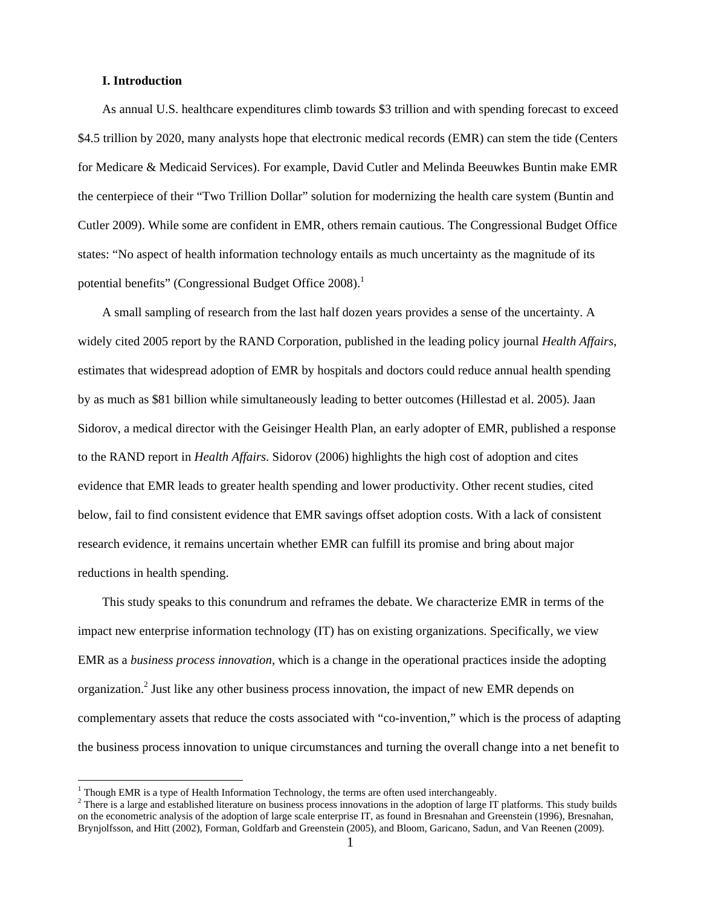#### **I. Introduction**

 $\overline{a}$ 

As annual U.S. healthcare expenditures climb towards \$3 trillion and with spending forecast to exceed \$4.5 trillion by 2020, many analysts hope that electronic medical records (EMR) can stem the tide (Centers for Medicare & Medicaid Services). For example, David Cutler and Melinda Beeuwkes Buntin make EMR the centerpiece of their "Two Trillion Dollar" solution for modernizing the health care system (Buntin and Cutler 2009). While some are confident in EMR, others remain cautious. The Congressional Budget Office states: "No aspect of health information technology entails as much uncertainty as the magnitude of its potential benefits" (Congressional Budget Office 2008).<sup>1</sup>

A small sampling of research from the last half dozen years provides a sense of the uncertainty. A widely cited 2005 report by the RAND Corporation, published in the leading policy journal *Health Affairs*, estimates that widespread adoption of EMR by hospitals and doctors could reduce annual health spending by as much as \$81 billion while simultaneously leading to better outcomes (Hillestad et al. 2005). Jaan Sidorov, a medical director with the Geisinger Health Plan, an early adopter of EMR, published a response to the RAND report in *Health Affairs*. Sidorov (2006) highlights the high cost of adoption and cites evidence that EMR leads to greater health spending and lower productivity. Other recent studies, cited below, fail to find consistent evidence that EMR savings offset adoption costs. With a lack of consistent research evidence, it remains uncertain whether EMR can fulfill its promise and bring about major reductions in health spending.

This study speaks to this conundrum and reframes the debate. We characterize EMR in terms of the impact new enterprise information technology (IT) has on existing organizations. Specifically, we view EMR as a *business process innovation*, which is a change in the operational practices inside the adopting organization.<sup>2</sup> Just like any other business process innovation, the impact of new EMR depends on complementary assets that reduce the costs associated with "co-invention," which is the process of adapting the business process innovation to unique circumstances and turning the overall change into a net benefit to

<sup>&</sup>lt;sup>1</sup> Though EMR is a type of Health Information Technology, the terms are often used interchangeably.<br><sup>2</sup> There is a large and ostablished literature on business process inpountions in the edention of large IT

<sup>&</sup>lt;sup>2</sup> There is a large and established literature on business process innovations in the adoption of large IT platforms. This study builds on the econometric analysis of the adoption of large scale enterprise IT, as found in Bresnahan and Greenstein (1996), Bresnahan, Brynjolfsson, and Hitt (2002), Forman, Goldfarb and Greenstein (2005), and Bloom, Garicano, Sadun, and Van Reenen (2009).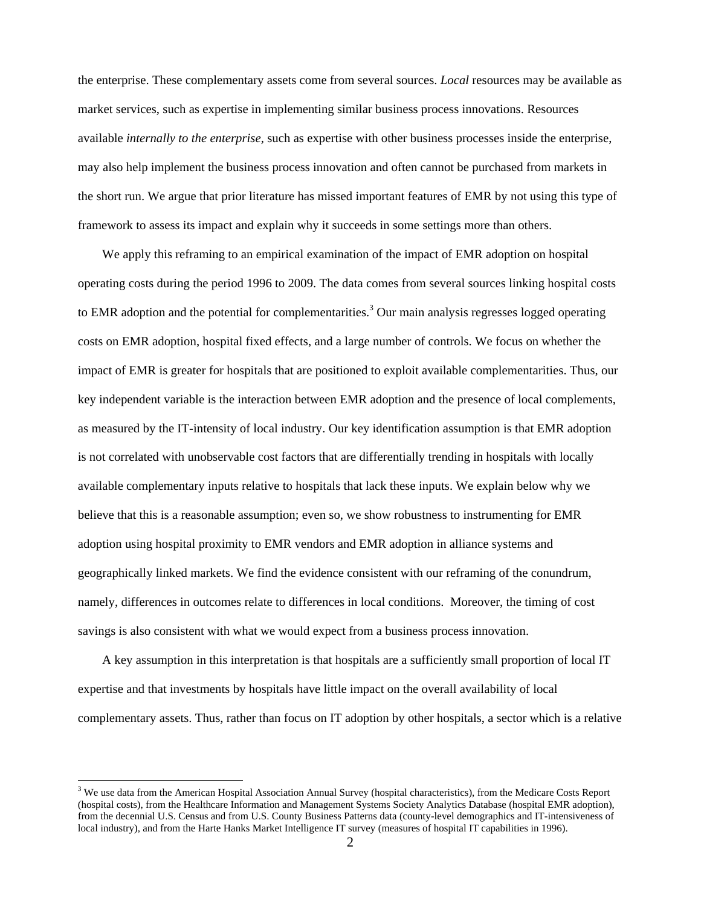the enterprise. These complementary assets come from several sources. *Local* resources may be available as market services, such as expertise in implementing similar business process innovations. Resources available *internally to the enterprise,* such as expertise with other business processes inside the enterprise, may also help implement the business process innovation and often cannot be purchased from markets in the short run. We argue that prior literature has missed important features of EMR by not using this type of framework to assess its impact and explain why it succeeds in some settings more than others.

We apply this reframing to an empirical examination of the impact of EMR adoption on hospital operating costs during the period 1996 to 2009. The data comes from several sources linking hospital costs to EMR adoption and the potential for complementarities.<sup>3</sup> Our main analysis regresses logged operating costs on EMR adoption, hospital fixed effects, and a large number of controls. We focus on whether the impact of EMR is greater for hospitals that are positioned to exploit available complementarities. Thus, our key independent variable is the interaction between EMR adoption and the presence of local complements, as measured by the IT-intensity of local industry. Our key identification assumption is that EMR adoption is not correlated with unobservable cost factors that are differentially trending in hospitals with locally available complementary inputs relative to hospitals that lack these inputs. We explain below why we believe that this is a reasonable assumption; even so, we show robustness to instrumenting for EMR adoption using hospital proximity to EMR vendors and EMR adoption in alliance systems and geographically linked markets. We find the evidence consistent with our reframing of the conundrum, namely, differences in outcomes relate to differences in local conditions. Moreover, the timing of cost savings is also consistent with what we would expect from a business process innovation.

A key assumption in this interpretation is that hospitals are a sufficiently small proportion of local IT expertise and that investments by hospitals have little impact on the overall availability of local complementary assets. Thus, rather than focus on IT adoption by other hospitals, a sector which is a relative

<sup>&</sup>lt;sup>3</sup> We use data from the American Hospital Association Annual Survey (hospital characteristics), from the Medicare Costs Report (hospital costs), from the Healthcare Information and Management Systems Society Analytics Database (hospital EMR adoption), from the decennial U.S. Census and from U.S. County Business Patterns data (county-level demographics and IT-intensiveness of local industry), and from the Harte Hanks Market Intelligence IT survey (measures of hospital IT capabilities in 1996).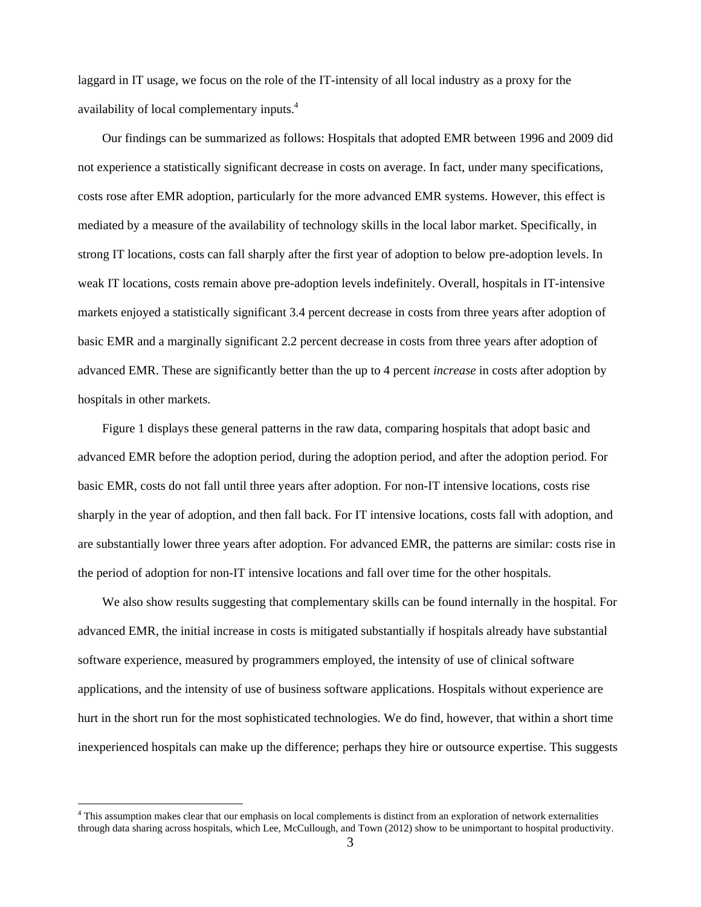laggard in IT usage, we focus on the role of the IT-intensity of all local industry as a proxy for the availability of local complementary inputs.4

Our findings can be summarized as follows: Hospitals that adopted EMR between 1996 and 2009 did not experience a statistically significant decrease in costs on average. In fact, under many specifications, costs rose after EMR adoption, particularly for the more advanced EMR systems. However, this effect is mediated by a measure of the availability of technology skills in the local labor market. Specifically, in strong IT locations, costs can fall sharply after the first year of adoption to below pre-adoption levels. In weak IT locations, costs remain above pre-adoption levels indefinitely. Overall, hospitals in IT-intensive markets enjoyed a statistically significant 3.4 percent decrease in costs from three years after adoption of basic EMR and a marginally significant 2.2 percent decrease in costs from three years after adoption of advanced EMR. These are significantly better than the up to 4 percent *increase* in costs after adoption by hospitals in other markets.

Figure 1 displays these general patterns in the raw data, comparing hospitals that adopt basic and advanced EMR before the adoption period, during the adoption period, and after the adoption period. For basic EMR, costs do not fall until three years after adoption. For non-IT intensive locations, costs rise sharply in the year of adoption, and then fall back. For IT intensive locations, costs fall with adoption, and are substantially lower three years after adoption. For advanced EMR, the patterns are similar: costs rise in the period of adoption for non-IT intensive locations and fall over time for the other hospitals.

We also show results suggesting that complementary skills can be found internally in the hospital. For advanced EMR, the initial increase in costs is mitigated substantially if hospitals already have substantial software experience, measured by programmers employed, the intensity of use of clinical software applications, and the intensity of use of business software applications. Hospitals without experience are hurt in the short run for the most sophisticated technologies. We do find, however, that within a short time inexperienced hospitals can make up the difference; perhaps they hire or outsource expertise. This suggests

<sup>&</sup>lt;sup>4</sup> This assumption makes clear that our emphasis on local complements is distinct from an exploration of network externalities through data sharing across hospitals, which Lee, McCullough, and Town (2012) show to be unimportant to hospital productivity.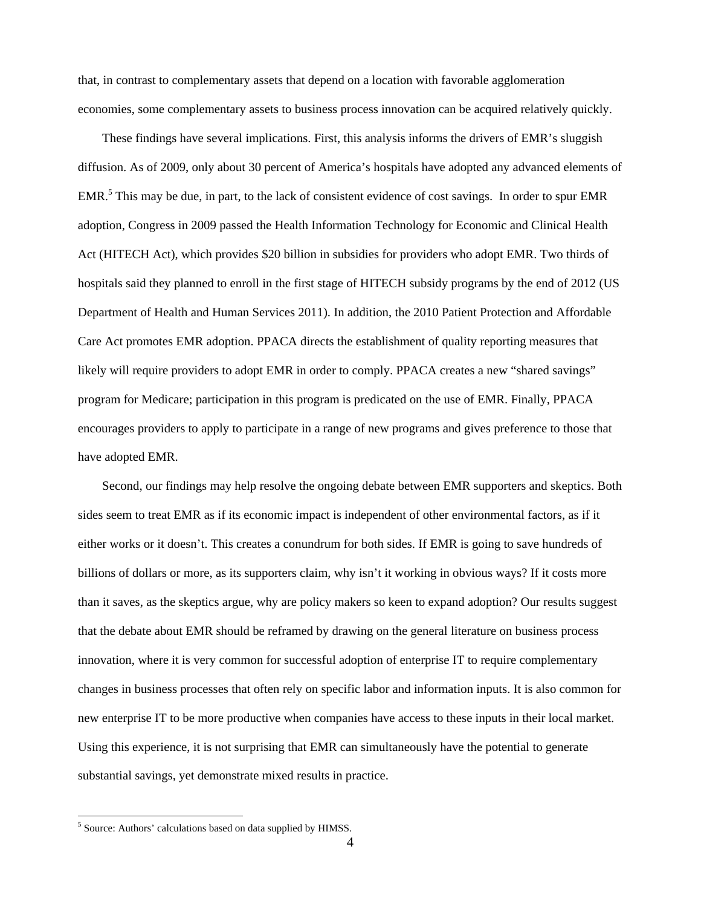that, in contrast to complementary assets that depend on a location with favorable agglomeration economies, some complementary assets to business process innovation can be acquired relatively quickly.

These findings have several implications. First, this analysis informs the drivers of EMR's sluggish diffusion. As of 2009, only about 30 percent of America's hospitals have adopted any advanced elements of EMR.<sup>5</sup> This may be due, in part, to the lack of consistent evidence of cost savings. In order to spur EMR adoption, Congress in 2009 passed the Health Information Technology for Economic and Clinical Health Act (HITECH Act), which provides \$20 billion in subsidies for providers who adopt EMR. Two thirds of hospitals said they planned to enroll in the first stage of HITECH subsidy programs by the end of 2012 (US Department of Health and Human Services 2011). In addition, the 2010 Patient Protection and Affordable Care Act promotes EMR adoption. PPACA directs the establishment of quality reporting measures that likely will require providers to adopt EMR in order to comply. PPACA creates a new "shared savings" program for Medicare; participation in this program is predicated on the use of EMR. Finally, PPACA encourages providers to apply to participate in a range of new programs and gives preference to those that have adopted EMR.

Second, our findings may help resolve the ongoing debate between EMR supporters and skeptics. Both sides seem to treat EMR as if its economic impact is independent of other environmental factors, as if it either works or it doesn't. This creates a conundrum for both sides. If EMR is going to save hundreds of billions of dollars or more, as its supporters claim, why isn't it working in obvious ways? If it costs more than it saves, as the skeptics argue, why are policy makers so keen to expand adoption? Our results suggest that the debate about EMR should be reframed by drawing on the general literature on business process innovation, where it is very common for successful adoption of enterprise IT to require complementary changes in business processes that often rely on specific labor and information inputs. It is also common for new enterprise IT to be more productive when companies have access to these inputs in their local market. Using this experience, it is not surprising that EMR can simultaneously have the potential to generate substantial savings, yet demonstrate mixed results in practice.

 5 Source: Authors' calculations based on data supplied by HIMSS.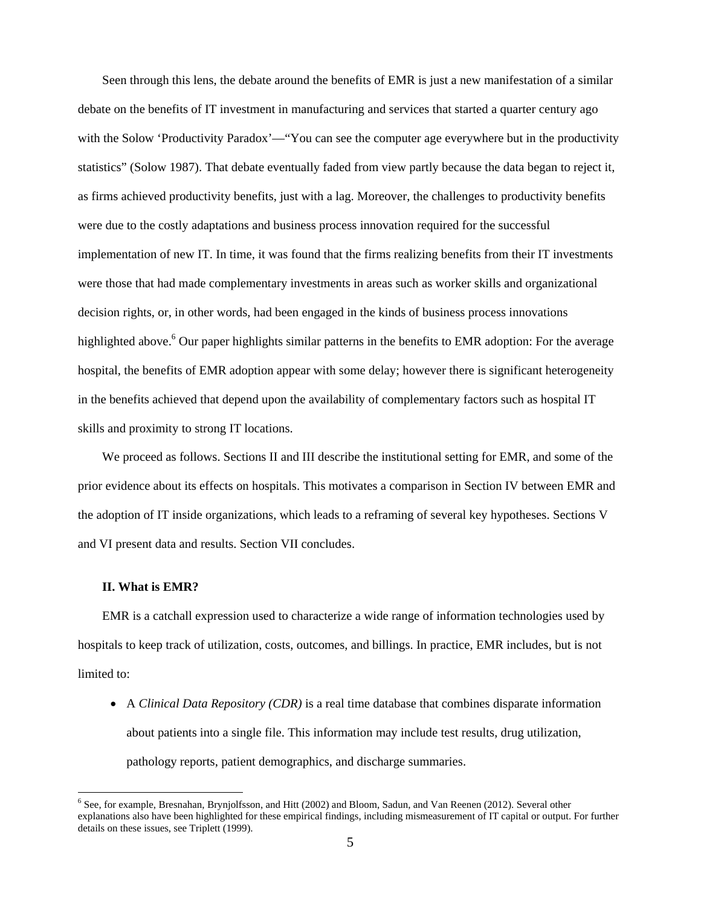Seen through this lens, the debate around the benefits of EMR is just a new manifestation of a similar debate on the benefits of IT investment in manufacturing and services that started a quarter century ago with the Solow 'Productivity Paradox'—"You can see the computer age everywhere but in the productivity statistics" (Solow 1987). That debate eventually faded from view partly because the data began to reject it, as firms achieved productivity benefits, just with a lag. Moreover, the challenges to productivity benefits were due to the costly adaptations and business process innovation required for the successful implementation of new IT. In time, it was found that the firms realizing benefits from their IT investments were those that had made complementary investments in areas such as worker skills and organizational decision rights, or, in other words, had been engaged in the kinds of business process innovations highlighted above.<sup>6</sup> Our paper highlights similar patterns in the benefits to EMR adoption: For the average hospital, the benefits of EMR adoption appear with some delay; however there is significant heterogeneity in the benefits achieved that depend upon the availability of complementary factors such as hospital IT skills and proximity to strong IT locations.

We proceed as follows. Sections II and III describe the institutional setting for EMR, and some of the prior evidence about its effects on hospitals. This motivates a comparison in Section IV between EMR and the adoption of IT inside organizations, which leads to a reframing of several key hypotheses. Sections V and VI present data and results. Section VII concludes.

#### **II. What is EMR?**

 $\overline{a}$ 

EMR is a catchall expression used to characterize a wide range of information technologies used by hospitals to keep track of utilization, costs, outcomes, and billings. In practice, EMR includes, but is not limited to:

 A *Clinical Data Repository (CDR)* is a real time database that combines disparate information about patients into a single file. This information may include test results, drug utilization, pathology reports, patient demographics, and discharge summaries.

<sup>&</sup>lt;sup>6</sup> See, for example, Bresnahan, Brynjolfsson, and Hitt (2002) and Bloom, Sadun, and Van Reenen (2012). Several other explanations also have been highlighted for these empirical findings, including mismeasurement of IT capital or output. For further details on these issues, see Triplett (1999).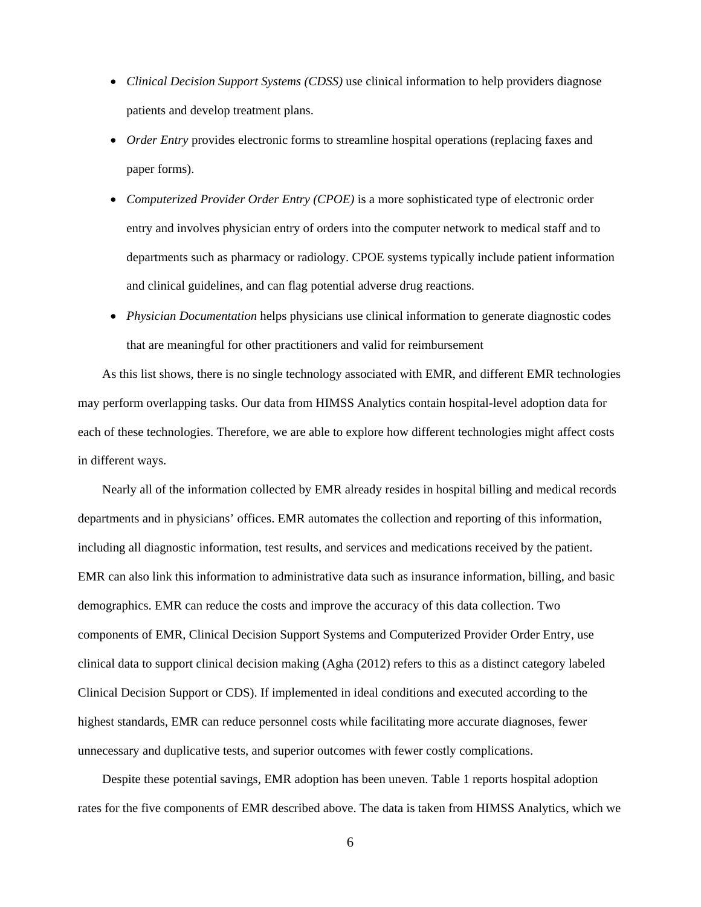- *Clinical Decision Support Systems (CDSS)* use clinical information to help providers diagnose patients and develop treatment plans.
- *Order Entry* provides electronic forms to streamline hospital operations (replacing faxes and paper forms).
- Computerized Provider Order Entry (CPOE) is a more sophisticated type of electronic order entry and involves physician entry of orders into the computer network to medical staff and to departments such as pharmacy or radiology. CPOE systems typically include patient information and clinical guidelines, and can flag potential adverse drug reactions.
- *Physician Documentation* helps physicians use clinical information to generate diagnostic codes that are meaningful for other practitioners and valid for reimbursement

As this list shows, there is no single technology associated with EMR, and different EMR technologies may perform overlapping tasks. Our data from HIMSS Analytics contain hospital-level adoption data for each of these technologies. Therefore, we are able to explore how different technologies might affect costs in different ways.

Nearly all of the information collected by EMR already resides in hospital billing and medical records departments and in physicians' offices. EMR automates the collection and reporting of this information, including all diagnostic information, test results, and services and medications received by the patient. EMR can also link this information to administrative data such as insurance information, billing, and basic demographics. EMR can reduce the costs and improve the accuracy of this data collection. Two components of EMR, Clinical Decision Support Systems and Computerized Provider Order Entry, use clinical data to support clinical decision making (Agha (2012) refers to this as a distinct category labeled Clinical Decision Support or CDS). If implemented in ideal conditions and executed according to the highest standards, EMR can reduce personnel costs while facilitating more accurate diagnoses, fewer unnecessary and duplicative tests, and superior outcomes with fewer costly complications.

Despite these potential savings, EMR adoption has been uneven. Table 1 reports hospital adoption rates for the five components of EMR described above. The data is taken from HIMSS Analytics, which we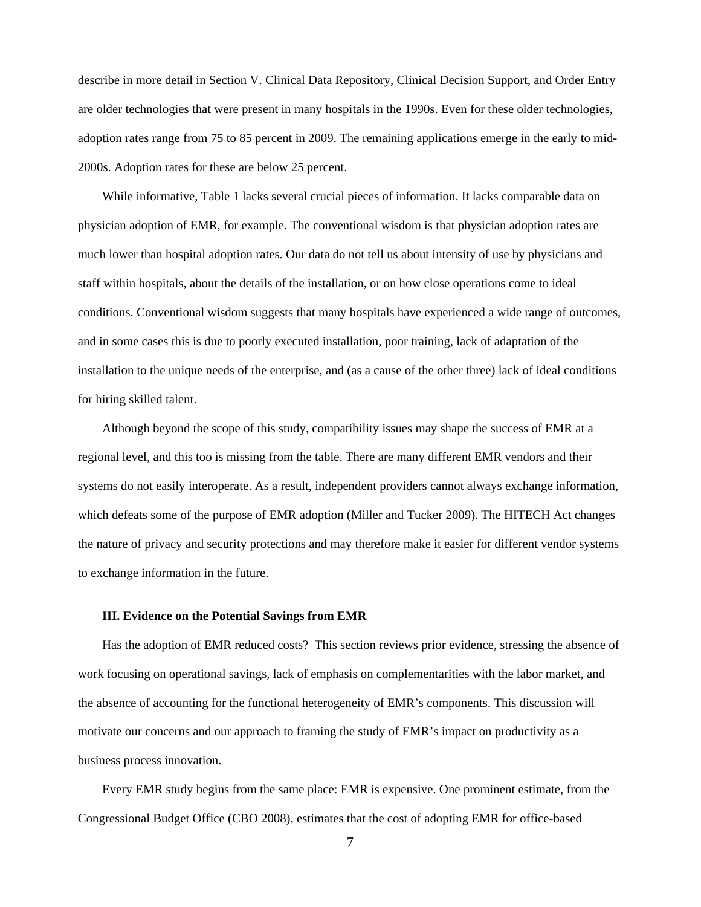describe in more detail in Section V. Clinical Data Repository, Clinical Decision Support, and Order Entry are older technologies that were present in many hospitals in the 1990s. Even for these older technologies, adoption rates range from 75 to 85 percent in 2009. The remaining applications emerge in the early to mid-2000s. Adoption rates for these are below 25 percent.

While informative, Table 1 lacks several crucial pieces of information. It lacks comparable data on physician adoption of EMR, for example. The conventional wisdom is that physician adoption rates are much lower than hospital adoption rates. Our data do not tell us about intensity of use by physicians and staff within hospitals, about the details of the installation, or on how close operations come to ideal conditions. Conventional wisdom suggests that many hospitals have experienced a wide range of outcomes, and in some cases this is due to poorly executed installation, poor training, lack of adaptation of the installation to the unique needs of the enterprise, and (as a cause of the other three) lack of ideal conditions for hiring skilled talent.

Although beyond the scope of this study, compatibility issues may shape the success of EMR at a regional level, and this too is missing from the table. There are many different EMR vendors and their systems do not easily interoperate. As a result, independent providers cannot always exchange information, which defeats some of the purpose of EMR adoption (Miller and Tucker 2009). The HITECH Act changes the nature of privacy and security protections and may therefore make it easier for different vendor systems to exchange information in the future.

#### **III. Evidence on the Potential Savings from EMR**

Has the adoption of EMR reduced costs? This section reviews prior evidence, stressing the absence of work focusing on operational savings, lack of emphasis on complementarities with the labor market, and the absence of accounting for the functional heterogeneity of EMR's components. This discussion will motivate our concerns and our approach to framing the study of EMR's impact on productivity as a business process innovation.

Every EMR study begins from the same place: EMR is expensive. One prominent estimate, from the Congressional Budget Office (CBO 2008), estimates that the cost of adopting EMR for office-based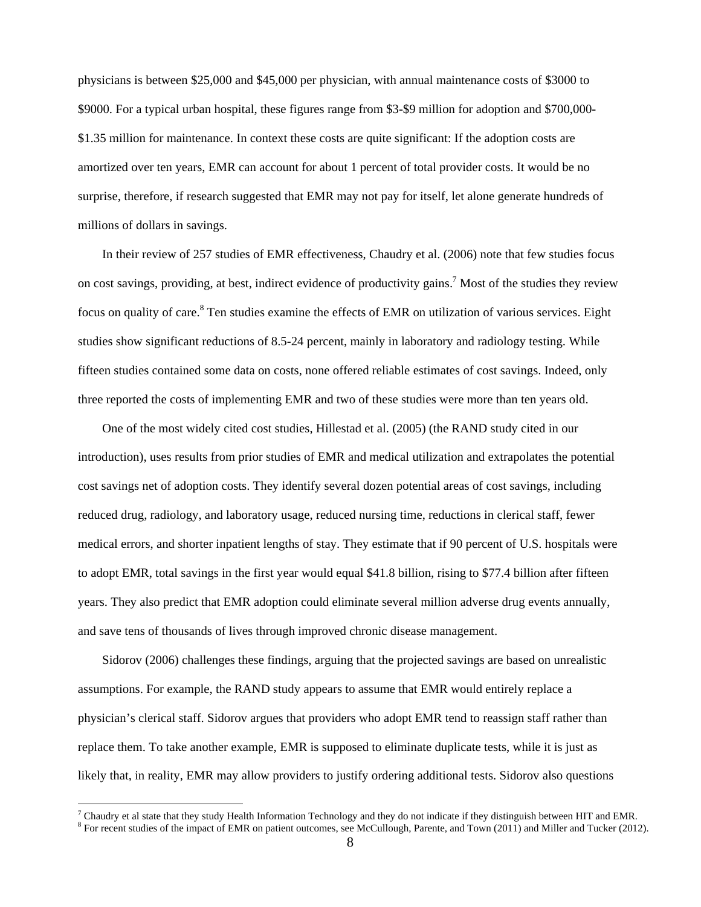physicians is between \$25,000 and \$45,000 per physician, with annual maintenance costs of \$3000 to \$9000. For a typical urban hospital, these figures range from \$3-\$9 million for adoption and \$700,000- \$1.35 million for maintenance. In context these costs are quite significant: If the adoption costs are amortized over ten years, EMR can account for about 1 percent of total provider costs. It would be no surprise, therefore, if research suggested that EMR may not pay for itself, let alone generate hundreds of millions of dollars in savings.

In their review of 257 studies of EMR effectiveness, Chaudry et al. (2006) note that few studies focus on cost savings, providing, at best, indirect evidence of productivity gains.<sup>7</sup> Most of the studies they review focus on quality of care.<sup>8</sup> Ten studies examine the effects of EMR on utilization of various services. Eight studies show significant reductions of 8.5-24 percent, mainly in laboratory and radiology testing. While fifteen studies contained some data on costs, none offered reliable estimates of cost savings. Indeed, only three reported the costs of implementing EMR and two of these studies were more than ten years old.

One of the most widely cited cost studies, Hillestad et al. (2005) (the RAND study cited in our introduction), uses results from prior studies of EMR and medical utilization and extrapolates the potential cost savings net of adoption costs. They identify several dozen potential areas of cost savings, including reduced drug, radiology, and laboratory usage, reduced nursing time, reductions in clerical staff, fewer medical errors, and shorter inpatient lengths of stay. They estimate that if 90 percent of U.S. hospitals were to adopt EMR, total savings in the first year would equal \$41.8 billion, rising to \$77.4 billion after fifteen years. They also predict that EMR adoption could eliminate several million adverse drug events annually, and save tens of thousands of lives through improved chronic disease management.

Sidorov (2006) challenges these findings, arguing that the projected savings are based on unrealistic assumptions. For example, the RAND study appears to assume that EMR would entirely replace a physician's clerical staff. Sidorov argues that providers who adopt EMR tend to reassign staff rather than replace them. To take another example, EMR is supposed to eliminate duplicate tests, while it is just as likely that, in reality, EMR may allow providers to justify ordering additional tests. Sidorov also questions

<sup>&</sup>lt;sup>7</sup> Chaudry et al state that they study Health Information Technology and they do not indicate if they distinguish between HIT and EMR.  $\frac{8}{100}$  For recent studies of the impact of EMP on patient outcomes, see McCullou

 $8$  For recent studies of the impact of EMR on patient outcomes, see McCullough, Parente, and Town (2011) and Miller and Tucker (2012).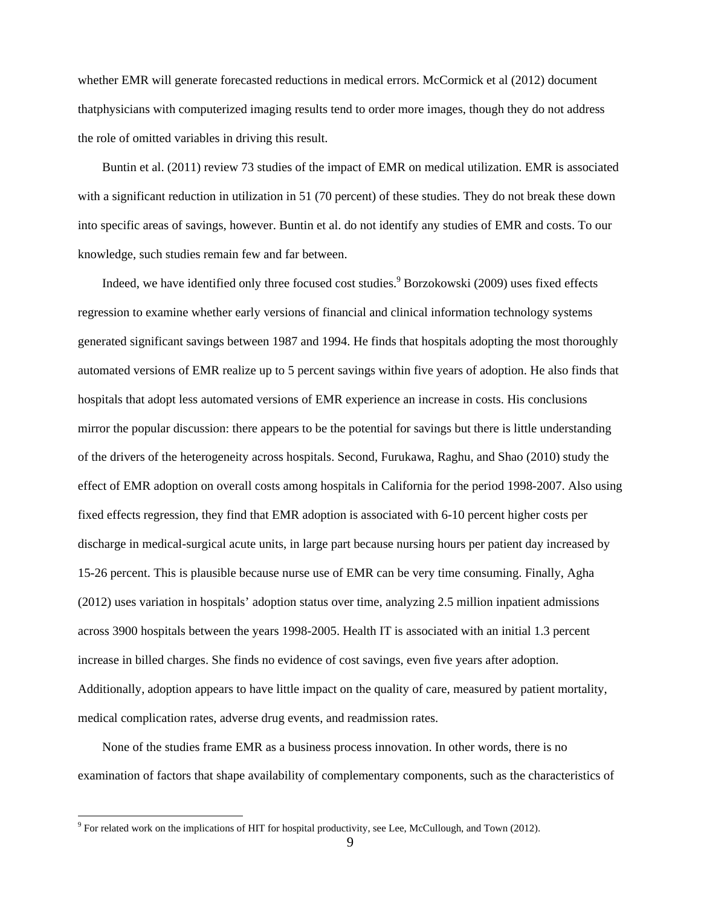whether EMR will generate forecasted reductions in medical errors. McCormick et al (2012) document thatphysicians with computerized imaging results tend to order more images, though they do not address the role of omitted variables in driving this result.

Buntin et al. (2011) review 73 studies of the impact of EMR on medical utilization. EMR is associated with a significant reduction in utilization in 51 (70 percent) of these studies. They do not break these down into specific areas of savings, however. Buntin et al. do not identify any studies of EMR and costs. To our knowledge, such studies remain few and far between.

Indeed, we have identified only three focused cost studies.<sup>9</sup> Borzokowski (2009) uses fixed effects regression to examine whether early versions of financial and clinical information technology systems generated significant savings between 1987 and 1994. He finds that hospitals adopting the most thoroughly automated versions of EMR realize up to 5 percent savings within five years of adoption. He also finds that hospitals that adopt less automated versions of EMR experience an increase in costs. His conclusions mirror the popular discussion: there appears to be the potential for savings but there is little understanding of the drivers of the heterogeneity across hospitals. Second, Furukawa, Raghu, and Shao (2010) study the effect of EMR adoption on overall costs among hospitals in California for the period 1998-2007. Also using fixed effects regression, they find that EMR adoption is associated with 6-10 percent higher costs per discharge in medical-surgical acute units, in large part because nursing hours per patient day increased by 15-26 percent. This is plausible because nurse use of EMR can be very time consuming. Finally, Agha (2012) uses variation in hospitals' adoption status over time, analyzing 2.5 million inpatient admissions across 3900 hospitals between the years 1998-2005. Health IT is associated with an initial 1.3 percent increase in billed charges. She finds no evidence of cost savings, even five years after adoption. Additionally, adoption appears to have little impact on the quality of care, measured by patient mortality, medical complication rates, adverse drug events, and readmission rates.

None of the studies frame EMR as a business process innovation. In other words, there is no examination of factors that shape availability of complementary components, such as the characteristics of

<sup>&</sup>lt;sup>9</sup> For related work on the implications of HIT for hospital productivity, see Lee, McCullough, and Town (2012).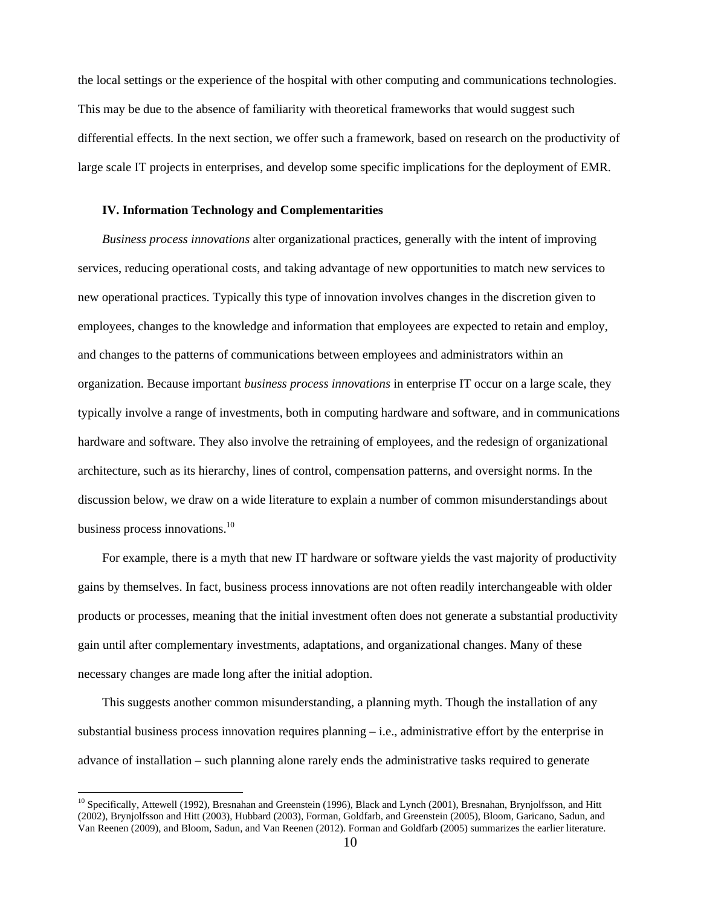the local settings or the experience of the hospital with other computing and communications technologies. This may be due to the absence of familiarity with theoretical frameworks that would suggest such differential effects. In the next section, we offer such a framework, based on research on the productivity of large scale IT projects in enterprises, and develop some specific implications for the deployment of EMR.

### **IV. Information Technology and Complementarities**

*Business process innovations* alter organizational practices, generally with the intent of improving services, reducing operational costs, and taking advantage of new opportunities to match new services to new operational practices. Typically this type of innovation involves changes in the discretion given to employees, changes to the knowledge and information that employees are expected to retain and employ, and changes to the patterns of communications between employees and administrators within an organization. Because important *business process innovations* in enterprise IT occur on a large scale, they typically involve a range of investments, both in computing hardware and software, and in communications hardware and software. They also involve the retraining of employees, and the redesign of organizational architecture, such as its hierarchy, lines of control, compensation patterns, and oversight norms. In the discussion below, we draw on a wide literature to explain a number of common misunderstandings about business process innovations.<sup>10</sup>

For example, there is a myth that new IT hardware or software yields the vast majority of productivity gains by themselves. In fact, business process innovations are not often readily interchangeable with older products or processes, meaning that the initial investment often does not generate a substantial productivity gain until after complementary investments, adaptations, and organizational changes. Many of these necessary changes are made long after the initial adoption.

This suggests another common misunderstanding, a planning myth. Though the installation of any substantial business process innovation requires planning – i.e., administrative effort by the enterprise in advance of installation – such planning alone rarely ends the administrative tasks required to generate

<sup>&</sup>lt;sup>10</sup> Specifically, Attewell (1992), Bresnahan and Greenstein (1996), Black and Lynch (2001), Bresnahan, Brynjolfsson, and Hitt (2002), Brynjolfsson and Hitt (2003), Hubbard (2003), Forman, Goldfarb, and Greenstein (2005), Bloom, Garicano, Sadun, and Van Reenen (2009), and Bloom, Sadun, and Van Reenen (2012). Forman and Goldfarb (2005) summarizes the earlier literature.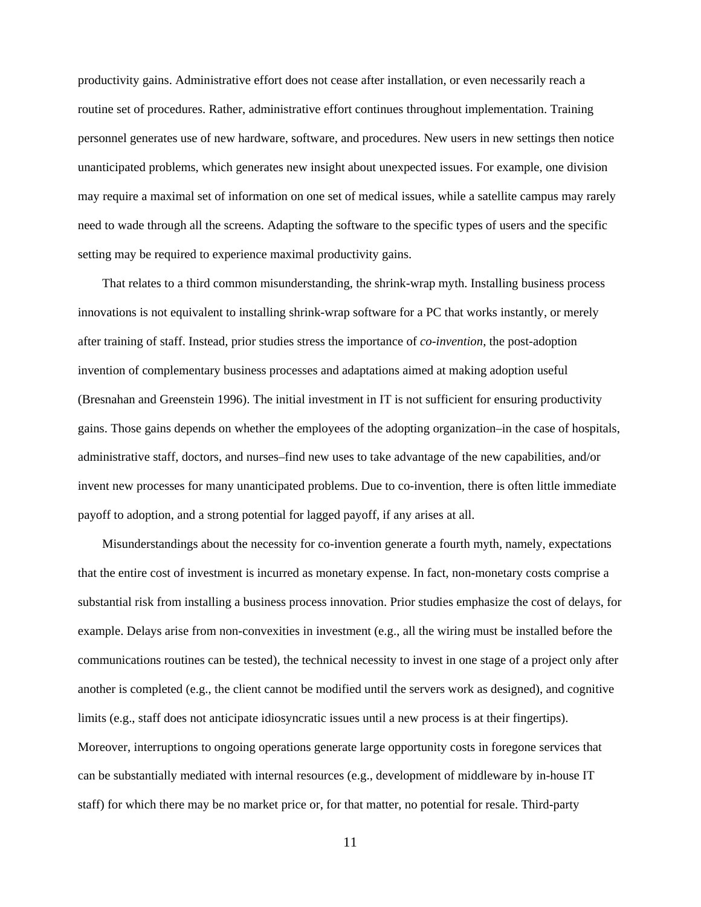productivity gains. Administrative effort does not cease after installation, or even necessarily reach a routine set of procedures. Rather, administrative effort continues throughout implementation. Training personnel generates use of new hardware, software, and procedures. New users in new settings then notice unanticipated problems, which generates new insight about unexpected issues. For example, one division may require a maximal set of information on one set of medical issues, while a satellite campus may rarely need to wade through all the screens. Adapting the software to the specific types of users and the specific setting may be required to experience maximal productivity gains.

That relates to a third common misunderstanding, the shrink-wrap myth. Installing business process innovations is not equivalent to installing shrink-wrap software for a PC that works instantly, or merely after training of staff. Instead, prior studies stress the importance of *co-invention*, the post-adoption invention of complementary business processes and adaptations aimed at making adoption useful (Bresnahan and Greenstein 1996). The initial investment in IT is not sufficient for ensuring productivity gains. Those gains depends on whether the employees of the adopting organization–in the case of hospitals, administrative staff, doctors, and nurses–find new uses to take advantage of the new capabilities, and/or invent new processes for many unanticipated problems. Due to co-invention, there is often little immediate payoff to adoption, and a strong potential for lagged payoff, if any arises at all.

Misunderstandings about the necessity for co-invention generate a fourth myth, namely, expectations that the entire cost of investment is incurred as monetary expense. In fact, non-monetary costs comprise a substantial risk from installing a business process innovation. Prior studies emphasize the cost of delays, for example. Delays arise from non-convexities in investment (e.g., all the wiring must be installed before the communications routines can be tested), the technical necessity to invest in one stage of a project only after another is completed (e.g., the client cannot be modified until the servers work as designed), and cognitive limits (e.g., staff does not anticipate idiosyncratic issues until a new process is at their fingertips). Moreover, interruptions to ongoing operations generate large opportunity costs in foregone services that can be substantially mediated with internal resources (e.g., development of middleware by in-house IT staff) for which there may be no market price or, for that matter, no potential for resale. Third-party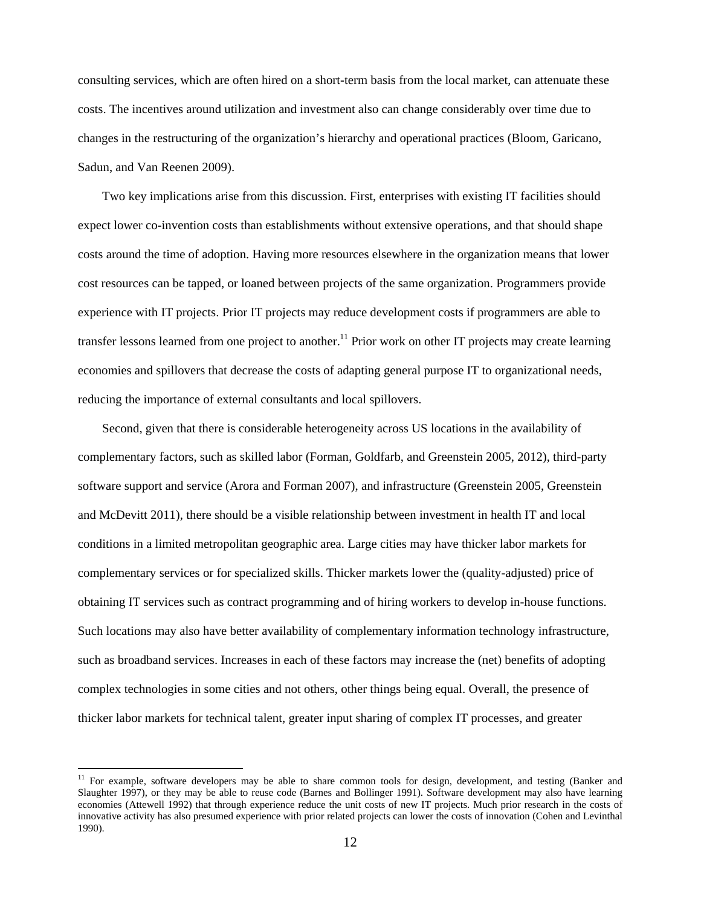consulting services, which are often hired on a short-term basis from the local market, can attenuate these costs. The incentives around utilization and investment also can change considerably over time due to changes in the restructuring of the organization's hierarchy and operational practices (Bloom, Garicano, Sadun, and Van Reenen 2009).

Two key implications arise from this discussion. First, enterprises with existing IT facilities should expect lower co-invention costs than establishments without extensive operations, and that should shape costs around the time of adoption. Having more resources elsewhere in the organization means that lower cost resources can be tapped, or loaned between projects of the same organization. Programmers provide experience with IT projects. Prior IT projects may reduce development costs if programmers are able to transfer lessons learned from one project to another.<sup>11</sup> Prior work on other IT projects may create learning economies and spillovers that decrease the costs of adapting general purpose IT to organizational needs, reducing the importance of external consultants and local spillovers.

Second, given that there is considerable heterogeneity across US locations in the availability of complementary factors, such as skilled labor (Forman, Goldfarb, and Greenstein 2005, 2012), third-party software support and service (Arora and Forman 2007), and infrastructure (Greenstein 2005, Greenstein and McDevitt 2011), there should be a visible relationship between investment in health IT and local conditions in a limited metropolitan geographic area. Large cities may have thicker labor markets for complementary services or for specialized skills. Thicker markets lower the (quality-adjusted) price of obtaining IT services such as contract programming and of hiring workers to develop in-house functions. Such locations may also have better availability of complementary information technology infrastructure, such as broadband services. Increases in each of these factors may increase the (net) benefits of adopting complex technologies in some cities and not others, other things being equal. Overall, the presence of thicker labor markets for technical talent, greater input sharing of complex IT processes, and greater

 $11$  For example, software developers may be able to share common tools for design, development, and testing (Banker and Slaughter 1997), or they may be able to reuse code (Barnes and Bollinger 1991). Software development may also have learning economies (Attewell 1992) that through experience reduce the unit costs of new IT projects. Much prior research in the costs of innovative activity has also presumed experience with prior related projects can lower the costs of innovation (Cohen and Levinthal 1990).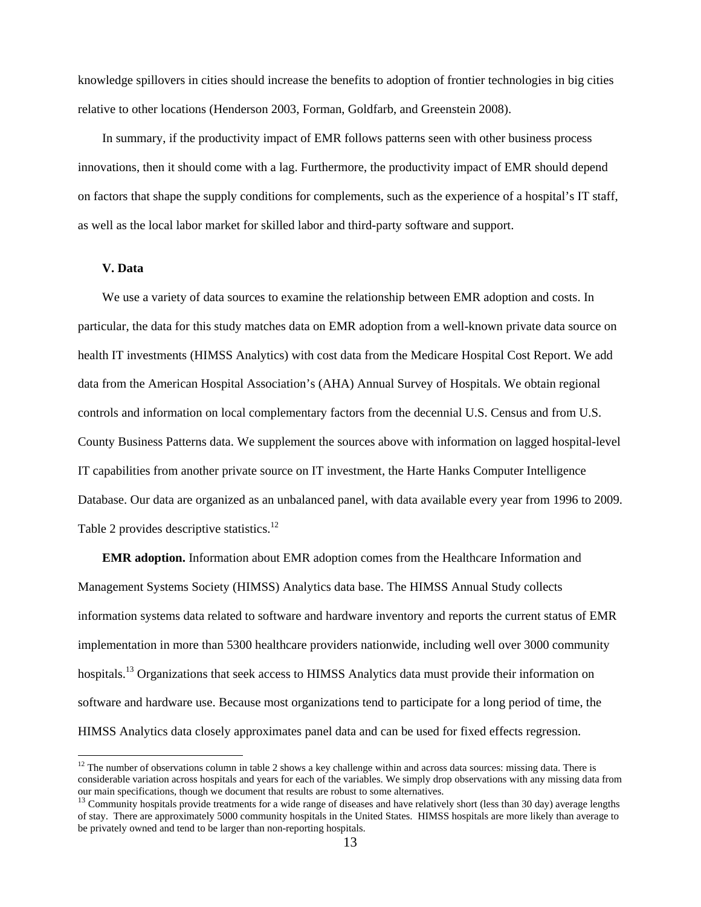knowledge spillovers in cities should increase the benefits to adoption of frontier technologies in big cities relative to other locations (Henderson 2003, Forman, Goldfarb, and Greenstein 2008).

In summary, if the productivity impact of EMR follows patterns seen with other business process innovations, then it should come with a lag. Furthermore, the productivity impact of EMR should depend on factors that shape the supply conditions for complements, such as the experience of a hospital's IT staff, as well as the local labor market for skilled labor and third-party software and support.

#### **V. Data**

 $\overline{a}$ 

We use a variety of data sources to examine the relationship between EMR adoption and costs. In particular, the data for this study matches data on EMR adoption from a well-known private data source on health IT investments (HIMSS Analytics) with cost data from the Medicare Hospital Cost Report. We add data from the American Hospital Association's (AHA) Annual Survey of Hospitals. We obtain regional controls and information on local complementary factors from the decennial U.S. Census and from U.S. County Business Patterns data. We supplement the sources above with information on lagged hospital-level IT capabilities from another private source on IT investment, the Harte Hanks Computer Intelligence Database. Our data are organized as an unbalanced panel, with data available every year from 1996 to 2009. Table 2 provides descriptive statistics.<sup>12</sup>

**EMR adoption.** Information about EMR adoption comes from the Healthcare Information and Management Systems Society (HIMSS) Analytics data base. The HIMSS Annual Study collects information systems data related to software and hardware inventory and reports the current status of EMR implementation in more than 5300 healthcare providers nationwide, including well over 3000 community hospitals.<sup>13</sup> Organizations that seek access to HIMSS Analytics data must provide their information on software and hardware use. Because most organizations tend to participate for a long period of time, the HIMSS Analytics data closely approximates panel data and can be used for fixed effects regression.

 $12$  The number of observations column in table 2 shows a key challenge within and across data sources: missing data. There is considerable variation across hospitals and years for each of the variables. We simply drop observations with any missing data from

 $^{13}$  Community hospitals provide treatments for a wide range of diseases and have relatively short (less than 30 day) average lengths of stay. There are approximately 5000 community hospitals in the United States. HIMSS hospitals are more likely than average to be privately owned and tend to be larger than non-reporting hospitals.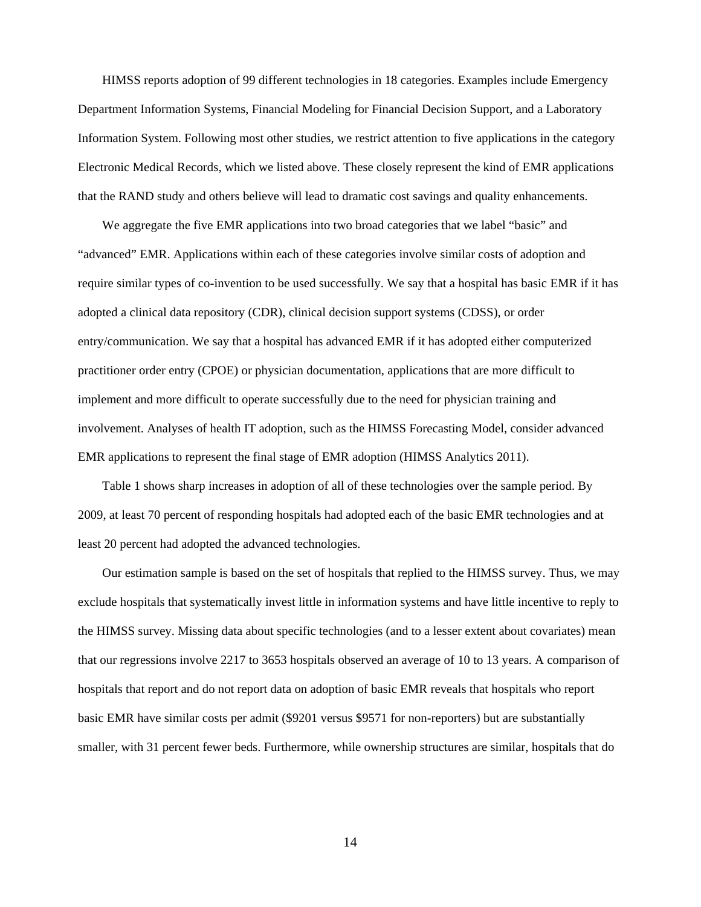HIMSS reports adoption of 99 different technologies in 18 categories. Examples include Emergency Department Information Systems, Financial Modeling for Financial Decision Support, and a Laboratory Information System. Following most other studies, we restrict attention to five applications in the category Electronic Medical Records, which we listed above. These closely represent the kind of EMR applications that the RAND study and others believe will lead to dramatic cost savings and quality enhancements.

We aggregate the five EMR applications into two broad categories that we label "basic" and "advanced" EMR. Applications within each of these categories involve similar costs of adoption and require similar types of co-invention to be used successfully. We say that a hospital has basic EMR if it has adopted a clinical data repository (CDR), clinical decision support systems (CDSS), or order entry/communication. We say that a hospital has advanced EMR if it has adopted either computerized practitioner order entry (CPOE) or physician documentation, applications that are more difficult to implement and more difficult to operate successfully due to the need for physician training and involvement. Analyses of health IT adoption, such as the HIMSS Forecasting Model, consider advanced EMR applications to represent the final stage of EMR adoption (HIMSS Analytics 2011).

Table 1 shows sharp increases in adoption of all of these technologies over the sample period. By 2009, at least 70 percent of responding hospitals had adopted each of the basic EMR technologies and at least 20 percent had adopted the advanced technologies.

Our estimation sample is based on the set of hospitals that replied to the HIMSS survey. Thus, we may exclude hospitals that systematically invest little in information systems and have little incentive to reply to the HIMSS survey. Missing data about specific technologies (and to a lesser extent about covariates) mean that our regressions involve 2217 to 3653 hospitals observed an average of 10 to 13 years. A comparison of hospitals that report and do not report data on adoption of basic EMR reveals that hospitals who report basic EMR have similar costs per admit (\$9201 versus \$9571 for non-reporters) but are substantially smaller, with 31 percent fewer beds. Furthermore, while ownership structures are similar, hospitals that do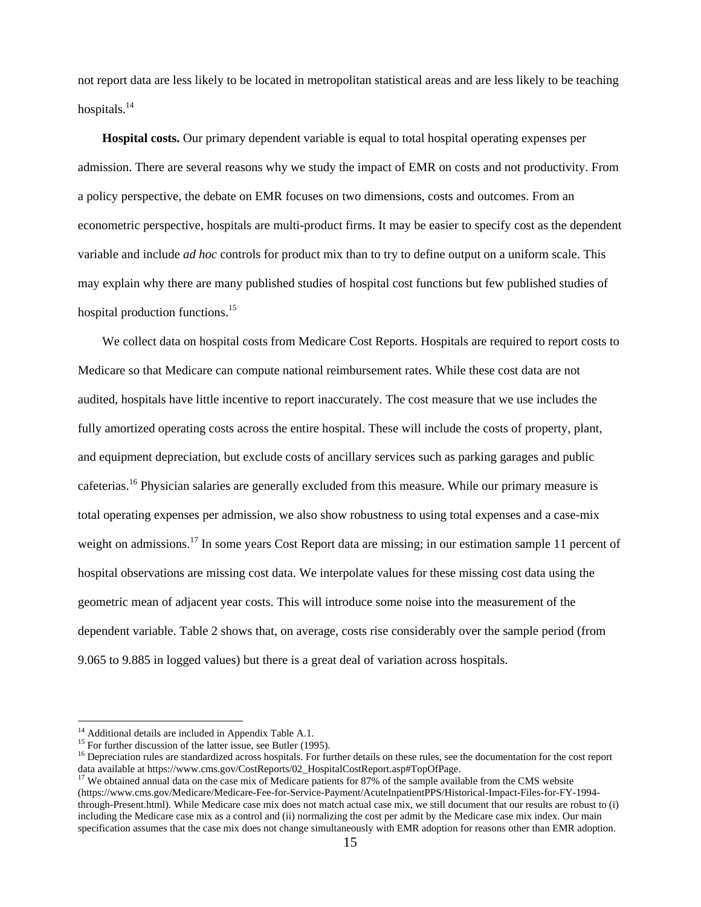not report data are less likely to be located in metropolitan statistical areas and are less likely to be teaching hospitals. $^{14}$ 

**Hospital costs.** Our primary dependent variable is equal to total hospital operating expenses per admission. There are several reasons why we study the impact of EMR on costs and not productivity. From a policy perspective, the debate on EMR focuses on two dimensions, costs and outcomes. From an econometric perspective, hospitals are multi-product firms. It may be easier to specify cost as the dependent variable and include *ad hoc* controls for product mix than to try to define output on a uniform scale. This may explain why there are many published studies of hospital cost functions but few published studies of hospital production functions.<sup>15</sup>

We collect data on hospital costs from Medicare Cost Reports. Hospitals are required to report costs to Medicare so that Medicare can compute national reimbursement rates. While these cost data are not audited, hospitals have little incentive to report inaccurately. The cost measure that we use includes the fully amortized operating costs across the entire hospital. These will include the costs of property, plant, and equipment depreciation, but exclude costs of ancillary services such as parking garages and public cafeterias.16 Physician salaries are generally excluded from this measure. While our primary measure is total operating expenses per admission, we also show robustness to using total expenses and a case-mix weight on admissions.<sup>17</sup> In some years Cost Report data are missing; in our estimation sample 11 percent of hospital observations are missing cost data. We interpolate values for these missing cost data using the geometric mean of adjacent year costs. This will introduce some noise into the measurement of the dependent variable. Table 2 shows that, on average, costs rise considerably over the sample period (from 9.065 to 9.885 in logged values) but there is a great deal of variation across hospitals.

<sup>&</sup>lt;sup>14</sup> Additional details are included in Appendix Table A.1.<br><sup>15</sup> For further discussion of the latter issue, see Butler (1995).

 $<sup>16</sup>$  Depreciation rules are standardized across hospitals. For further details on these rules, see the documentation for the cost report</sup> data available at https://www.cms.gov/CostReports/02\_HospitalCostReport.asp#TopOfPage.<br><sup>17</sup> We obtained annual data on the case mix of Medicare patients for 87% of the sample available from the CMS website

<sup>(</sup>https://www.cms.gov/Medicare/Medicare-Fee-for-Service-Payment/AcuteInpatientPPS/Historical-Impact-Files-for-FY-1994 through-Present.html). While Medicare case mix does not match actual case mix, we still document that our results are robust to (i) including the Medicare case mix as a control and (ii) normalizing the cost per admit by the Medicare case mix index. Our main specification assumes that the case mix does not change simultaneously with EMR adoption for reasons other than EMR adoption.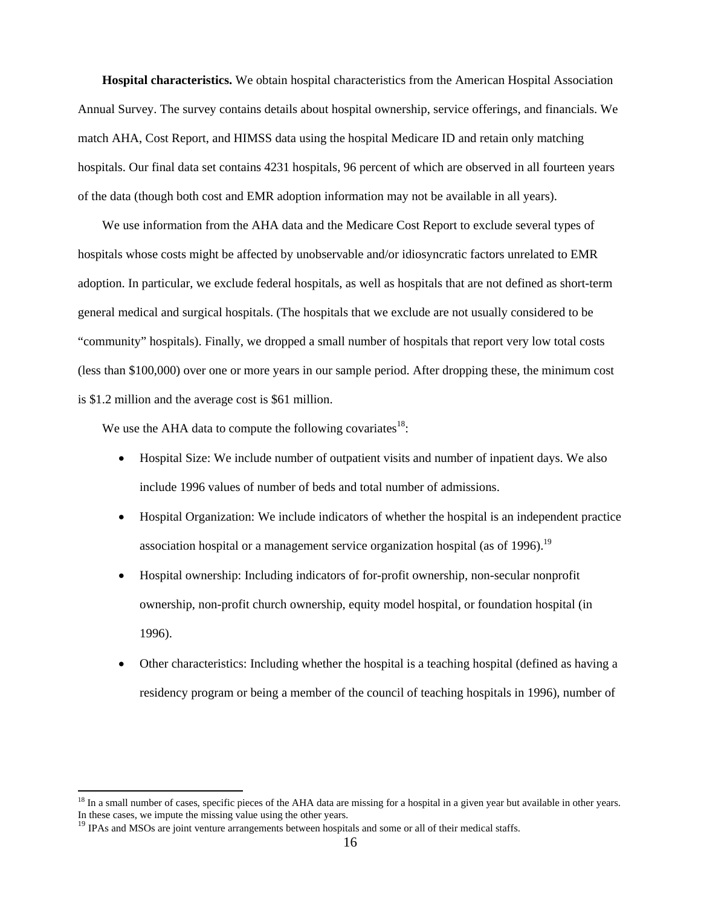**Hospital characteristics.** We obtain hospital characteristics from the American Hospital Association Annual Survey. The survey contains details about hospital ownership, service offerings, and financials. We match AHA, Cost Report, and HIMSS data using the hospital Medicare ID and retain only matching hospitals. Our final data set contains 4231 hospitals, 96 percent of which are observed in all fourteen years of the data (though both cost and EMR adoption information may not be available in all years).

We use information from the AHA data and the Medicare Cost Report to exclude several types of hospitals whose costs might be affected by unobservable and/or idiosyncratic factors unrelated to EMR adoption. In particular, we exclude federal hospitals, as well as hospitals that are not defined as short-term general medical and surgical hospitals. (The hospitals that we exclude are not usually considered to be "community" hospitals). Finally, we dropped a small number of hospitals that report very low total costs (less than \$100,000) over one or more years in our sample period. After dropping these, the minimum cost is \$1.2 million and the average cost is \$61 million.

We use the AHA data to compute the following covariates<sup>18</sup>:

- Hospital Size: We include number of outpatient visits and number of inpatient days. We also include 1996 values of number of beds and total number of admissions.
- Hospital Organization: We include indicators of whether the hospital is an independent practice association hospital or a management service organization hospital (as of 1996).<sup>19</sup>
- Hospital ownership: Including indicators of for-profit ownership, non-secular nonprofit ownership, non-profit church ownership, equity model hospital, or foundation hospital (in 1996).
- Other characteristics: Including whether the hospital is a teaching hospital (defined as having a residency program or being a member of the council of teaching hospitals in 1996), number of

<sup>&</sup>lt;sup>18</sup> In a small number of cases, specific pieces of the AHA data are missing for a hospital in a given year but available in other years. In these cases, we impute the missing value using the other years.

<sup>&</sup>lt;sup>19</sup> IPAs and MSOs are joint venture arrangements between hospitals and some or all of their medical staffs.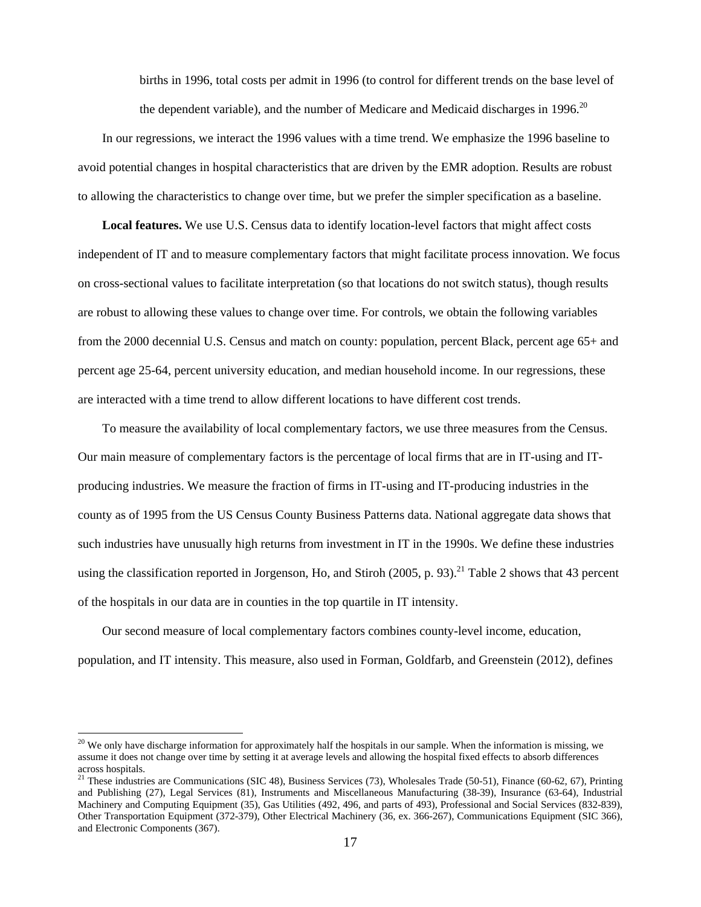births in 1996, total costs per admit in 1996 (to control for different trends on the base level of the dependent variable), and the number of Medicare and Medicaid discharges in 1996.<sup>20</sup>

In our regressions, we interact the 1996 values with a time trend. We emphasize the 1996 baseline to avoid potential changes in hospital characteristics that are driven by the EMR adoption. Results are robust to allowing the characteristics to change over time, but we prefer the simpler specification as a baseline.

**Local features.** We use U.S. Census data to identify location-level factors that might affect costs independent of IT and to measure complementary factors that might facilitate process innovation. We focus on cross-sectional values to facilitate interpretation (so that locations do not switch status), though results are robust to allowing these values to change over time. For controls, we obtain the following variables from the 2000 decennial U.S. Census and match on county: population, percent Black, percent age 65+ and percent age 25-64, percent university education, and median household income. In our regressions, these are interacted with a time trend to allow different locations to have different cost trends.

To measure the availability of local complementary factors, we use three measures from the Census. Our main measure of complementary factors is the percentage of local firms that are in IT-using and ITproducing industries. We measure the fraction of firms in IT-using and IT-producing industries in the county as of 1995 from the US Census County Business Patterns data. National aggregate data shows that such industries have unusually high returns from investment in IT in the 1990s. We define these industries using the classification reported in Jorgenson, Ho, and Stiroh (2005, p. 93).<sup>21</sup> Table 2 shows that 43 percent of the hospitals in our data are in counties in the top quartile in IT intensity.

Our second measure of local complementary factors combines county-level income, education, population, and IT intensity. This measure, also used in Forman, Goldfarb, and Greenstein (2012), defines

 $20$  We only have discharge information for approximately half the hospitals in our sample. When the information is missing, we assume it does not change over time by setting it at average levels and allowing the hospital fixed effects to absorb differences across hospitals.

<sup>&</sup>lt;sup>21</sup> These industries are Communications (SIC 48), Business Services (73), Wholesales Trade (50-51), Finance (60-62, 67), Printing and Publishing (27), Legal Services (81), Instruments and Miscellaneous Manufacturing (38-39), Insurance (63-64), Industrial Machinery and Computing Equipment (35), Gas Utilities (492, 496, and parts of 493), Professional and Social Services (832-839), Other Transportation Equipment (372-379), Other Electrical Machinery (36, ex. 366-267), Communications Equipment (SIC 366), and Electronic Components (367).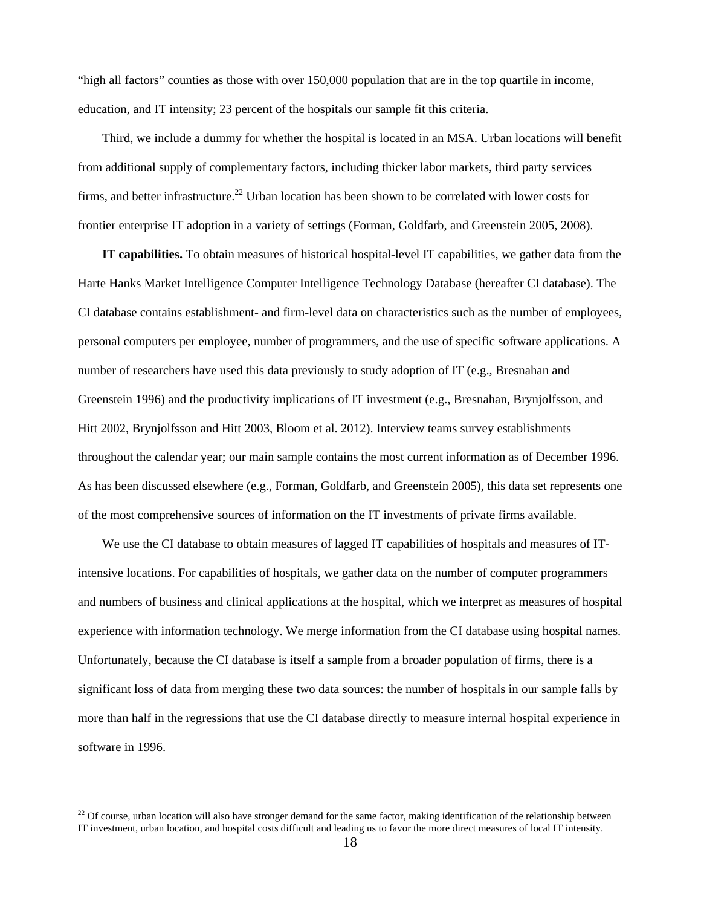"high all factors" counties as those with over 150,000 population that are in the top quartile in income, education, and IT intensity; 23 percent of the hospitals our sample fit this criteria.

Third, we include a dummy for whether the hospital is located in an MSA. Urban locations will benefit from additional supply of complementary factors, including thicker labor markets, third party services firms, and better infrastructure.<sup>22</sup> Urban location has been shown to be correlated with lower costs for frontier enterprise IT adoption in a variety of settings (Forman, Goldfarb, and Greenstein 2005, 2008).

**IT capabilities.** To obtain measures of historical hospital-level IT capabilities, we gather data from the Harte Hanks Market Intelligence Computer Intelligence Technology Database (hereafter CI database). The CI database contains establishment- and firm-level data on characteristics such as the number of employees, personal computers per employee, number of programmers, and the use of specific software applications. A number of researchers have used this data previously to study adoption of IT (e.g., Bresnahan and Greenstein 1996) and the productivity implications of IT investment (e.g., Bresnahan, Brynjolfsson, and Hitt 2002, Brynjolfsson and Hitt 2003, Bloom et al. 2012). Interview teams survey establishments throughout the calendar year; our main sample contains the most current information as of December 1996. As has been discussed elsewhere (e.g., Forman, Goldfarb, and Greenstein 2005), this data set represents one of the most comprehensive sources of information on the IT investments of private firms available.

We use the CI database to obtain measures of lagged IT capabilities of hospitals and measures of ITintensive locations. For capabilities of hospitals, we gather data on the number of computer programmers and numbers of business and clinical applications at the hospital, which we interpret as measures of hospital experience with information technology. We merge information from the CI database using hospital names. Unfortunately, because the CI database is itself a sample from a broader population of firms, there is a significant loss of data from merging these two data sources: the number of hospitals in our sample falls by more than half in the regressions that use the CI database directly to measure internal hospital experience in software in 1996.

<sup>&</sup>lt;sup>22</sup> Of course, urban location will also have stronger demand for the same factor, making identification of the relationship between IT investment, urban location, and hospital costs difficult and leading us to favor the more direct measures of local IT intensity.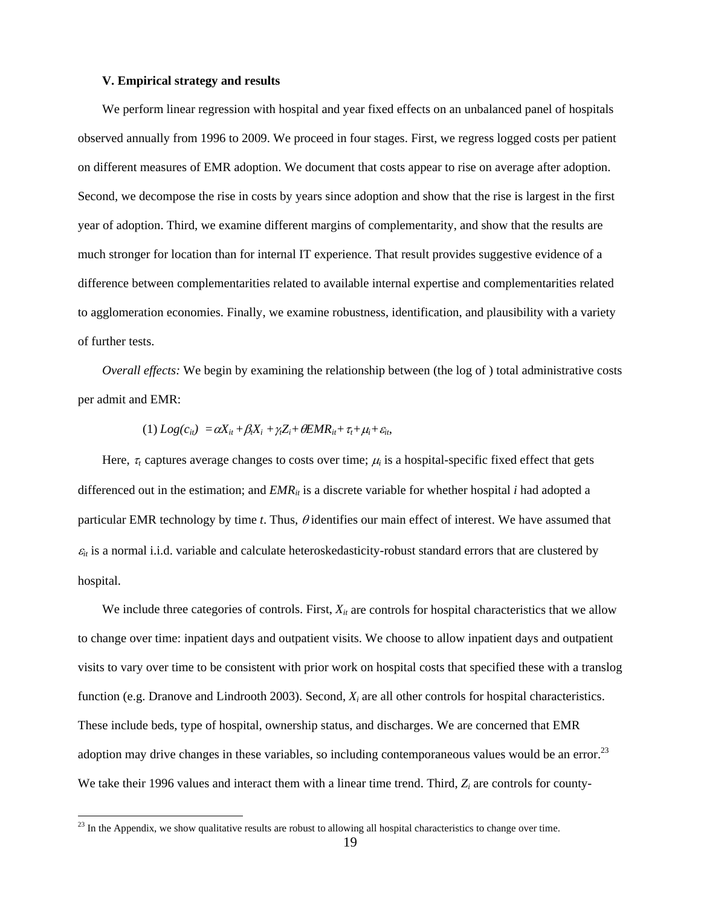#### **V. Empirical strategy and results**

We perform linear regression with hospital and year fixed effects on an unbalanced panel of hospitals observed annually from 1996 to 2009. We proceed in four stages. First, we regress logged costs per patient on different measures of EMR adoption. We document that costs appear to rise on average after adoption. Second, we decompose the rise in costs by years since adoption and show that the rise is largest in the first year of adoption. Third, we examine different margins of complementarity, and show that the results are much stronger for location than for internal IT experience. That result provides suggestive evidence of a difference between complementarities related to available internal expertise and complementarities related to agglomeration economies. Finally, we examine robustness, identification, and plausibility with a variety of further tests.

*Overall effects:* We begin by examining the relationship between (the log of ) total administrative costs per admit and EMR:

$$
(1) Log(c_{it}) = \alpha X_{it} + \beta_t X_i + \gamma_t Z_i + \theta E M R_{it} + \tau_t + \mu_i + \varepsilon_{it},
$$

Here,  $\tau_t$  captures average changes to costs over time;  $\mu_i$  is a hospital-specific fixed effect that gets differenced out in the estimation; and  $EMR_{ii}$  is a discrete variable for whether hospital *i* had adopted a particular EMR technology by time  $t$ . Thus,  $\theta$  identifies our main effect of interest. We have assumed that  $\varepsilon_{it}$  is a normal i.i.d. variable and calculate heteroskedasticity-robust standard errors that are clustered by hospital.

We include three categories of controls. First,  $X_{it}$  are controls for hospital characteristics that we allow to change over time: inpatient days and outpatient visits. We choose to allow inpatient days and outpatient visits to vary over time to be consistent with prior work on hospital costs that specified these with a translog function (e.g. Dranove and Lindrooth 2003). Second, *Xi* are all other controls for hospital characteristics. These include beds, type of hospital, ownership status, and discharges. We are concerned that EMR adoption may drive changes in these variables, so including contemporaneous values would be an error.<sup>23</sup> We take their 1996 values and interact them with a linear time trend. Third,  $Z_i$  are controls for county-

 $^{23}$  In the Appendix, we show qualitative results are robust to allowing all hospital characteristics to change over time.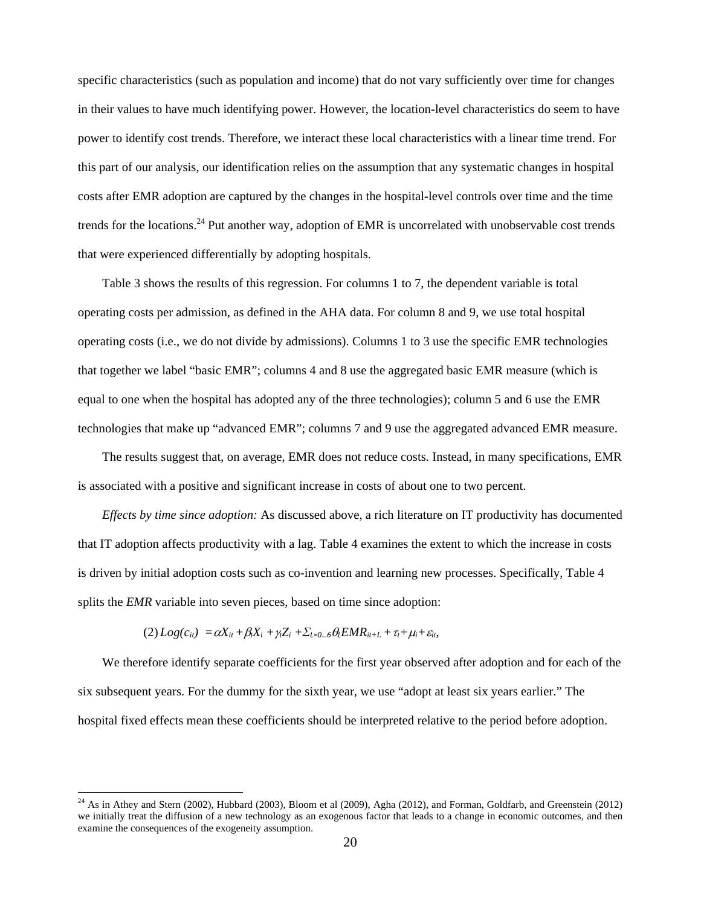specific characteristics (such as population and income) that do not vary sufficiently over time for changes in their values to have much identifying power. However, the location-level characteristics do seem to have power to identify cost trends. Therefore, we interact these local characteristics with a linear time trend. For this part of our analysis, our identification relies on the assumption that any systematic changes in hospital costs after EMR adoption are captured by the changes in the hospital-level controls over time and the time trends for the locations.<sup>24</sup> Put another way, adoption of EMR is uncorrelated with unobservable cost trends that were experienced differentially by adopting hospitals.

Table 3 shows the results of this regression. For columns 1 to 7, the dependent variable is total operating costs per admission, as defined in the AHA data. For column 8 and 9, we use total hospital operating costs (i.e., we do not divide by admissions). Columns 1 to 3 use the specific EMR technologies that together we label "basic EMR"; columns 4 and 8 use the aggregated basic EMR measure (which is equal to one when the hospital has adopted any of the three technologies); column 5 and 6 use the EMR technologies that make up "advanced EMR"; columns 7 and 9 use the aggregated advanced EMR measure.

The results suggest that, on average, EMR does not reduce costs. Instead, in many specifications, EMR is associated with a positive and significant increase in costs of about one to two percent.

*Effects by time since adoption:* As discussed above, a rich literature on IT productivity has documented that IT adoption affects productivity with a lag. Table 4 examines the extent to which the increase in costs is driven by initial adoption costs such as co-invention and learning new processes. Specifically, Table 4 splits the *EMR* variable into seven pieces, based on time since adoption:

$$
(2) Log(c_{it}) = \alpha X_{it} + \beta_t X_i + \gamma_t Z_i + \sum_{l=0...6} \theta_l E M R_{it+L} + \tau_t + \mu_i + \varepsilon_{it},
$$

 $\overline{a}$ 

We therefore identify separate coefficients for the first year observed after adoption and for each of the six subsequent years. For the dummy for the sixth year, we use "adopt at least six years earlier." The hospital fixed effects mean these coefficients should be interpreted relative to the period before adoption.

 $^{24}$  As in Athey and Stern (2002), Hubbard (2003), Bloom et al (2009), Agha (2012), and Forman, Goldfarb, and Greenstein (2012) we initially treat the diffusion of a new technology as an exogenous factor that leads to a change in economic outcomes, and then examine the consequences of the exogeneity assumption.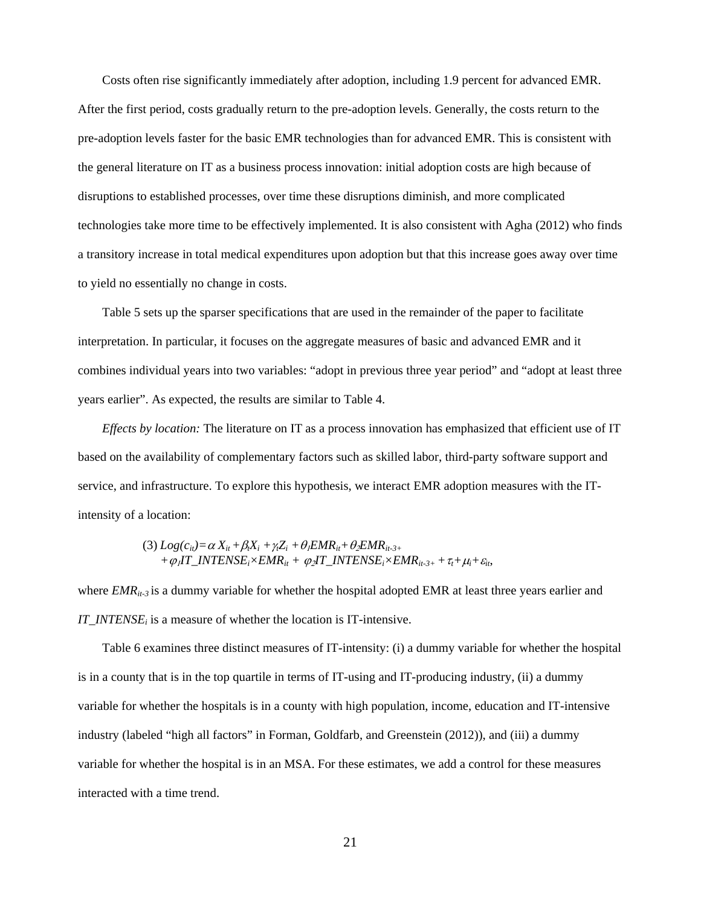Costs often rise significantly immediately after adoption, including 1.9 percent for advanced EMR. After the first period, costs gradually return to the pre-adoption levels. Generally, the costs return to the pre-adoption levels faster for the basic EMR technologies than for advanced EMR. This is consistent with the general literature on IT as a business process innovation: initial adoption costs are high because of disruptions to established processes, over time these disruptions diminish, and more complicated technologies take more time to be effectively implemented. It is also consistent with Agha (2012) who finds a transitory increase in total medical expenditures upon adoption but that this increase goes away over time to yield no essentially no change in costs.

Table 5 sets up the sparser specifications that are used in the remainder of the paper to facilitate interpretation. In particular, it focuses on the aggregate measures of basic and advanced EMR and it combines individual years into two variables: "adopt in previous three year period" and "adopt at least three years earlier". As expected, the results are similar to Table 4.

*Effects by location:* The literature on IT as a process innovation has emphasized that efficient use of IT based on the availability of complementary factors such as skilled labor, third-party software support and service, and infrastructure. To explore this hypothesis, we interact EMR adoption measures with the ITintensity of a location:

(3) 
$$
Log(c_{ii}) = \alpha X_{it} + \beta_t X_i + \gamma_t Z_i + \theta_t EMR_{it} + \theta_2 EMR_{it-3+}
$$
  
+  $\varphi_t IT\_INTENSE_i \times EMR_{it} + \varphi_2 IT\_INTENSE_i \times EMR_{it-3+} + \tau_t + \mu_t + \varepsilon_{it},$ 

where  $EMR_{ii-3}$  is a dummy variable for whether the hospital adopted EMR at least three years earlier and *IT\_INTENSE<sub>i</sub>* is a measure of whether the location is IT-intensive.

Table 6 examines three distinct measures of IT-intensity: (i) a dummy variable for whether the hospital is in a county that is in the top quartile in terms of IT-using and IT-producing industry, (ii) a dummy variable for whether the hospitals is in a county with high population, income, education and IT-intensive industry (labeled "high all factors" in Forman, Goldfarb, and Greenstein (2012)), and (iii) a dummy variable for whether the hospital is in an MSA. For these estimates, we add a control for these measures interacted with a time trend.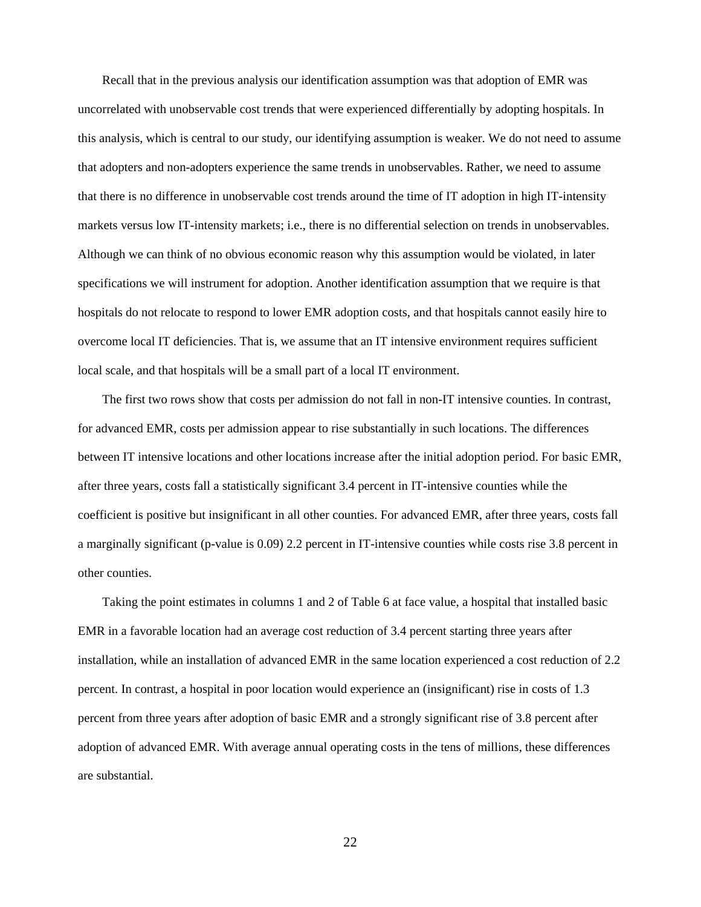Recall that in the previous analysis our identification assumption was that adoption of EMR was uncorrelated with unobservable cost trends that were experienced differentially by adopting hospitals. In this analysis, which is central to our study, our identifying assumption is weaker. We do not need to assume that adopters and non-adopters experience the same trends in unobservables. Rather, we need to assume that there is no difference in unobservable cost trends around the time of IT adoption in high IT-intensity markets versus low IT-intensity markets; i.e., there is no differential selection on trends in unobservables. Although we can think of no obvious economic reason why this assumption would be violated, in later specifications we will instrument for adoption. Another identification assumption that we require is that hospitals do not relocate to respond to lower EMR adoption costs, and that hospitals cannot easily hire to overcome local IT deficiencies. That is, we assume that an IT intensive environment requires sufficient local scale, and that hospitals will be a small part of a local IT environment.

The first two rows show that costs per admission do not fall in non-IT intensive counties. In contrast, for advanced EMR, costs per admission appear to rise substantially in such locations. The differences between IT intensive locations and other locations increase after the initial adoption period. For basic EMR, after three years, costs fall a statistically significant 3.4 percent in IT-intensive counties while the coefficient is positive but insignificant in all other counties. For advanced EMR, after three years, costs fall a marginally significant (p-value is 0.09) 2.2 percent in IT-intensive counties while costs rise 3.8 percent in other counties.

Taking the point estimates in columns 1 and 2 of Table 6 at face value, a hospital that installed basic EMR in a favorable location had an average cost reduction of 3.4 percent starting three years after installation, while an installation of advanced EMR in the same location experienced a cost reduction of 2.2 percent. In contrast, a hospital in poor location would experience an (insignificant) rise in costs of 1.3 percent from three years after adoption of basic EMR and a strongly significant rise of 3.8 percent after adoption of advanced EMR. With average annual operating costs in the tens of millions, these differences are substantial.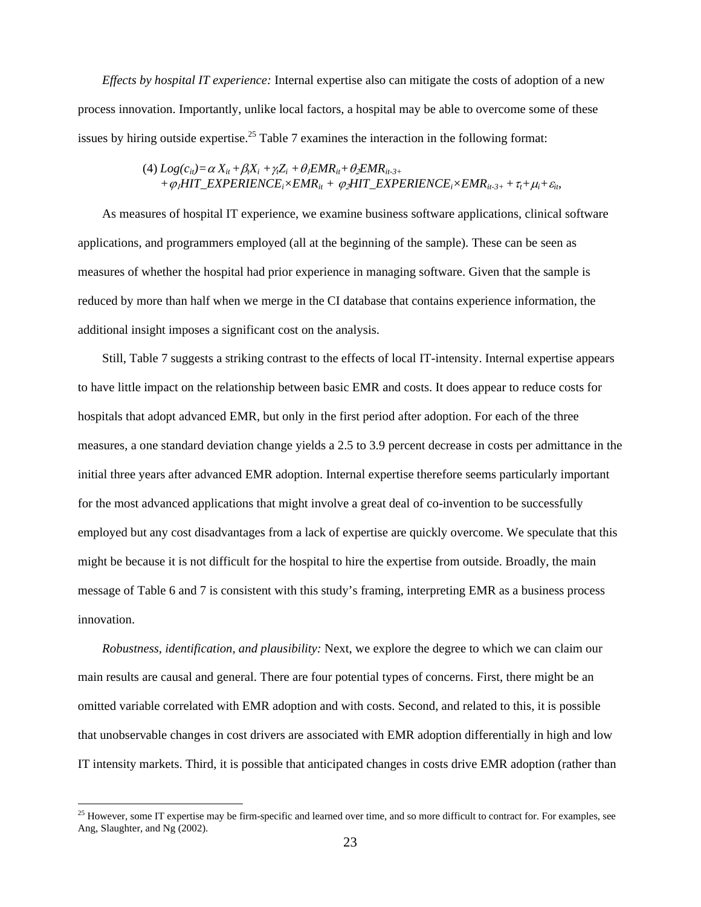*Effects by hospital IT experience:* Internal expertise also can mitigate the costs of adoption of a new process innovation. Importantly, unlike local factors, a hospital may be able to overcome some of these issues by hiring outside expertise.<sup>25</sup> Table 7 examines the interaction in the following format:

(4) 
$$
Log(c_{it}) = \alpha X_{it} + \beta_i X_i + \gamma_i Z_i + \theta_i EMR_{it} + \theta_2 EMR_{it-3+}
$$
  
+  $\varphi_i HIT\_EXPERIENCE_i \times EMR_{it} + \varphi_2 HIT\_EXPERIENCE_i \times EMR_{it-3+} + \tau_i + \mu_i + \varepsilon_{it},$ 

As measures of hospital IT experience, we examine business software applications, clinical software applications, and programmers employed (all at the beginning of the sample). These can be seen as measures of whether the hospital had prior experience in managing software. Given that the sample is reduced by more than half when we merge in the CI database that contains experience information, the additional insight imposes a significant cost on the analysis.

Still, Table 7 suggests a striking contrast to the effects of local IT-intensity. Internal expertise appears to have little impact on the relationship between basic EMR and costs. It does appear to reduce costs for hospitals that adopt advanced EMR, but only in the first period after adoption. For each of the three measures, a one standard deviation change yields a 2.5 to 3.9 percent decrease in costs per admittance in the initial three years after advanced EMR adoption. Internal expertise therefore seems particularly important for the most advanced applications that might involve a great deal of co-invention to be successfully employed but any cost disadvantages from a lack of expertise are quickly overcome. We speculate that this might be because it is not difficult for the hospital to hire the expertise from outside. Broadly, the main message of Table 6 and 7 is consistent with this study's framing, interpreting EMR as a business process innovation.

*Robustness, identification, and plausibility:* Next, we explore the degree to which we can claim our main results are causal and general. There are four potential types of concerns. First, there might be an omitted variable correlated with EMR adoption and with costs. Second, and related to this, it is possible that unobservable changes in cost drivers are associated with EMR adoption differentially in high and low IT intensity markets. Third, it is possible that anticipated changes in costs drive EMR adoption (rather than

 $25$  However, some IT expertise may be firm-specific and learned over time, and so more difficult to contract for. For examples, see Ang, Slaughter, and Ng (2002).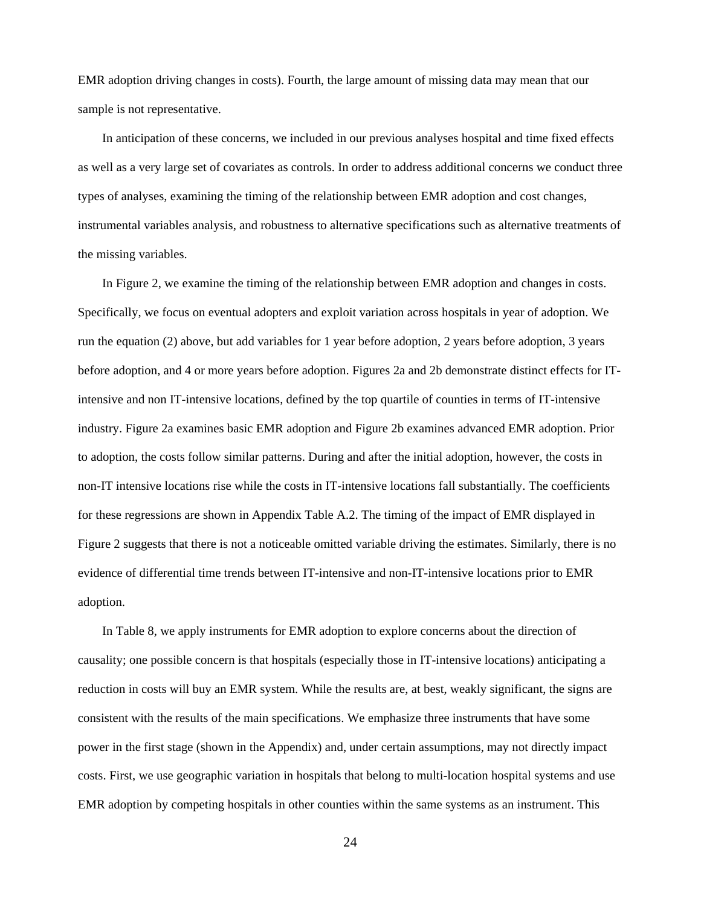EMR adoption driving changes in costs). Fourth, the large amount of missing data may mean that our sample is not representative.

In anticipation of these concerns, we included in our previous analyses hospital and time fixed effects as well as a very large set of covariates as controls. In order to address additional concerns we conduct three types of analyses, examining the timing of the relationship between EMR adoption and cost changes, instrumental variables analysis, and robustness to alternative specifications such as alternative treatments of the missing variables.

In Figure 2, we examine the timing of the relationship between EMR adoption and changes in costs. Specifically, we focus on eventual adopters and exploit variation across hospitals in year of adoption. We run the equation (2) above, but add variables for 1 year before adoption, 2 years before adoption, 3 years before adoption, and 4 or more years before adoption. Figures 2a and 2b demonstrate distinct effects for ITintensive and non IT-intensive locations, defined by the top quartile of counties in terms of IT-intensive industry. Figure 2a examines basic EMR adoption and Figure 2b examines advanced EMR adoption. Prior to adoption, the costs follow similar patterns. During and after the initial adoption, however, the costs in non-IT intensive locations rise while the costs in IT-intensive locations fall substantially. The coefficients for these regressions are shown in Appendix Table A.2. The timing of the impact of EMR displayed in Figure 2 suggests that there is not a noticeable omitted variable driving the estimates. Similarly, there is no evidence of differential time trends between IT-intensive and non-IT-intensive locations prior to EMR adoption.

In Table 8, we apply instruments for EMR adoption to explore concerns about the direction of causality; one possible concern is that hospitals (especially those in IT-intensive locations) anticipating a reduction in costs will buy an EMR system. While the results are, at best, weakly significant, the signs are consistent with the results of the main specifications. We emphasize three instruments that have some power in the first stage (shown in the Appendix) and, under certain assumptions, may not directly impact costs. First, we use geographic variation in hospitals that belong to multi-location hospital systems and use EMR adoption by competing hospitals in other counties within the same systems as an instrument. This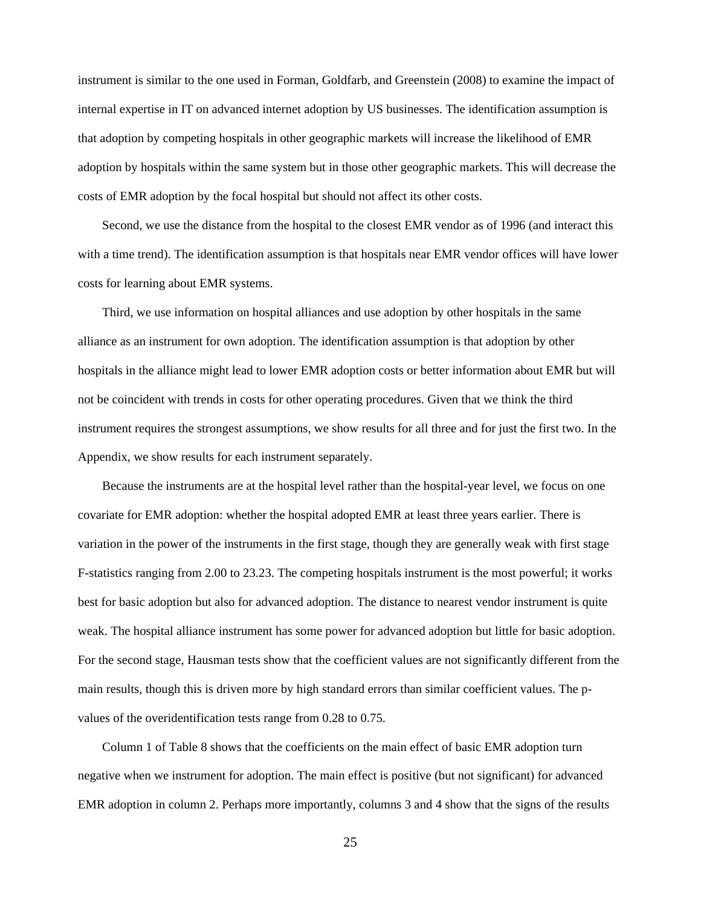instrument is similar to the one used in Forman, Goldfarb, and Greenstein (2008) to examine the impact of internal expertise in IT on advanced internet adoption by US businesses. The identification assumption is that adoption by competing hospitals in other geographic markets will increase the likelihood of EMR adoption by hospitals within the same system but in those other geographic markets. This will decrease the costs of EMR adoption by the focal hospital but should not affect its other costs.

Second, we use the distance from the hospital to the closest EMR vendor as of 1996 (and interact this with a time trend). The identification assumption is that hospitals near EMR vendor offices will have lower costs for learning about EMR systems.

Third, we use information on hospital alliances and use adoption by other hospitals in the same alliance as an instrument for own adoption. The identification assumption is that adoption by other hospitals in the alliance might lead to lower EMR adoption costs or better information about EMR but will not be coincident with trends in costs for other operating procedures. Given that we think the third instrument requires the strongest assumptions, we show results for all three and for just the first two. In the Appendix, we show results for each instrument separately.

Because the instruments are at the hospital level rather than the hospital-year level, we focus on one covariate for EMR adoption: whether the hospital adopted EMR at least three years earlier. There is variation in the power of the instruments in the first stage, though they are generally weak with first stage F-statistics ranging from 2.00 to 23.23. The competing hospitals instrument is the most powerful; it works best for basic adoption but also for advanced adoption. The distance to nearest vendor instrument is quite weak. The hospital alliance instrument has some power for advanced adoption but little for basic adoption. For the second stage, Hausman tests show that the coefficient values are not significantly different from the main results, though this is driven more by high standard errors than similar coefficient values. The pvalues of the overidentification tests range from 0.28 to 0.75.

Column 1 of Table 8 shows that the coefficients on the main effect of basic EMR adoption turn negative when we instrument for adoption. The main effect is positive (but not significant) for advanced EMR adoption in column 2. Perhaps more importantly, columns 3 and 4 show that the signs of the results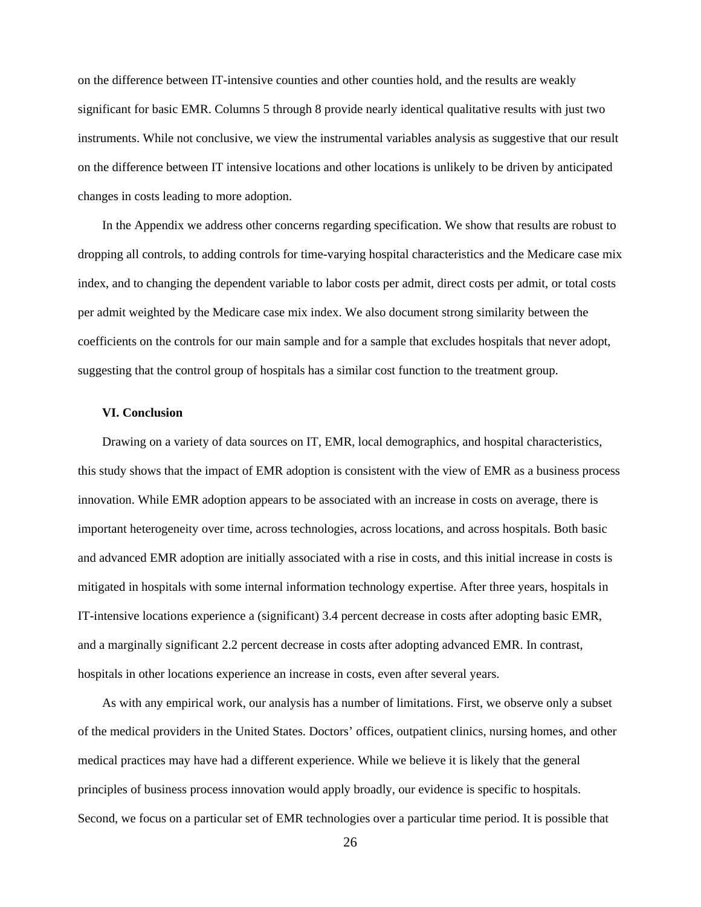on the difference between IT-intensive counties and other counties hold, and the results are weakly significant for basic EMR. Columns 5 through 8 provide nearly identical qualitative results with just two instruments. While not conclusive, we view the instrumental variables analysis as suggestive that our result on the difference between IT intensive locations and other locations is unlikely to be driven by anticipated changes in costs leading to more adoption.

In the Appendix we address other concerns regarding specification. We show that results are robust to dropping all controls, to adding controls for time-varying hospital characteristics and the Medicare case mix index, and to changing the dependent variable to labor costs per admit, direct costs per admit, or total costs per admit weighted by the Medicare case mix index. We also document strong similarity between the coefficients on the controls for our main sample and for a sample that excludes hospitals that never adopt, suggesting that the control group of hospitals has a similar cost function to the treatment group.

#### **VI. Conclusion**

Drawing on a variety of data sources on IT, EMR, local demographics, and hospital characteristics, this study shows that the impact of EMR adoption is consistent with the view of EMR as a business process innovation. While EMR adoption appears to be associated with an increase in costs on average, there is important heterogeneity over time, across technologies, across locations, and across hospitals. Both basic and advanced EMR adoption are initially associated with a rise in costs, and this initial increase in costs is mitigated in hospitals with some internal information technology expertise. After three years, hospitals in IT-intensive locations experience a (significant) 3.4 percent decrease in costs after adopting basic EMR, and a marginally significant 2.2 percent decrease in costs after adopting advanced EMR. In contrast, hospitals in other locations experience an increase in costs, even after several years.

As with any empirical work, our analysis has a number of limitations. First, we observe only a subset of the medical providers in the United States. Doctors' offices, outpatient clinics, nursing homes, and other medical practices may have had a different experience. While we believe it is likely that the general principles of business process innovation would apply broadly, our evidence is specific to hospitals. Second, we focus on a particular set of EMR technologies over a particular time period. It is possible that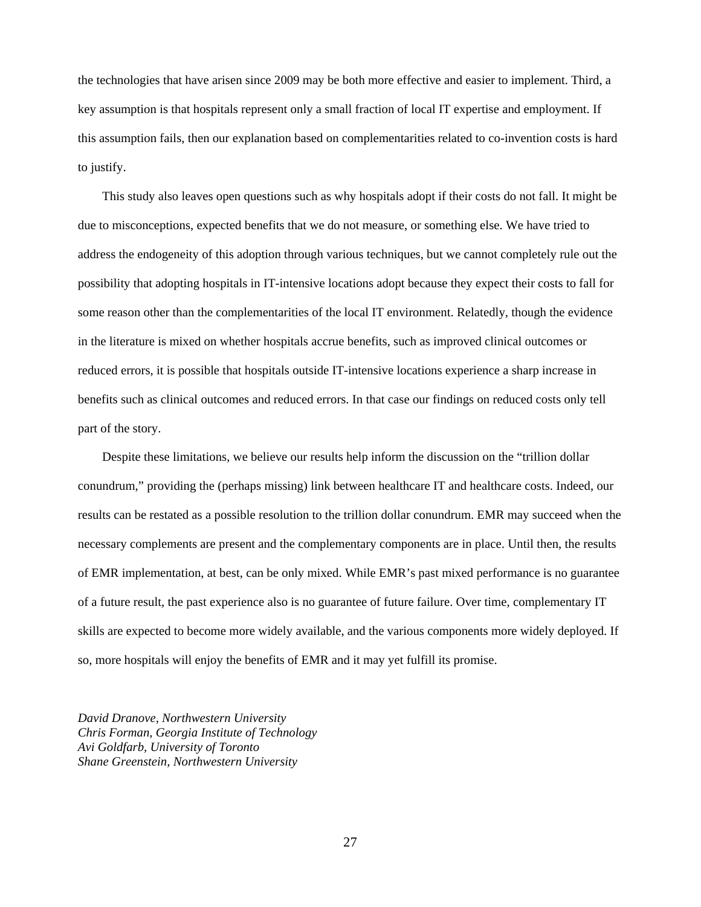the technologies that have arisen since 2009 may be both more effective and easier to implement. Third, a key assumption is that hospitals represent only a small fraction of local IT expertise and employment. If this assumption fails, then our explanation based on complementarities related to co-invention costs is hard to justify.

This study also leaves open questions such as why hospitals adopt if their costs do not fall. It might be due to misconceptions, expected benefits that we do not measure, or something else. We have tried to address the endogeneity of this adoption through various techniques, but we cannot completely rule out the possibility that adopting hospitals in IT-intensive locations adopt because they expect their costs to fall for some reason other than the complementarities of the local IT environment. Relatedly, though the evidence in the literature is mixed on whether hospitals accrue benefits, such as improved clinical outcomes or reduced errors, it is possible that hospitals outside IT-intensive locations experience a sharp increase in benefits such as clinical outcomes and reduced errors. In that case our findings on reduced costs only tell part of the story.

Despite these limitations, we believe our results help inform the discussion on the "trillion dollar conundrum," providing the (perhaps missing) link between healthcare IT and healthcare costs. Indeed, our results can be restated as a possible resolution to the trillion dollar conundrum. EMR may succeed when the necessary complements are present and the complementary components are in place. Until then, the results of EMR implementation, at best, can be only mixed. While EMR's past mixed performance is no guarantee of a future result, the past experience also is no guarantee of future failure. Over time, complementary IT skills are expected to become more widely available, and the various components more widely deployed. If so, more hospitals will enjoy the benefits of EMR and it may yet fulfill its promise.

*David Dranove, Northwestern University Chris Forman, Georgia Institute of Technology Avi Goldfarb, University of Toronto Shane Greenstein, Northwestern University*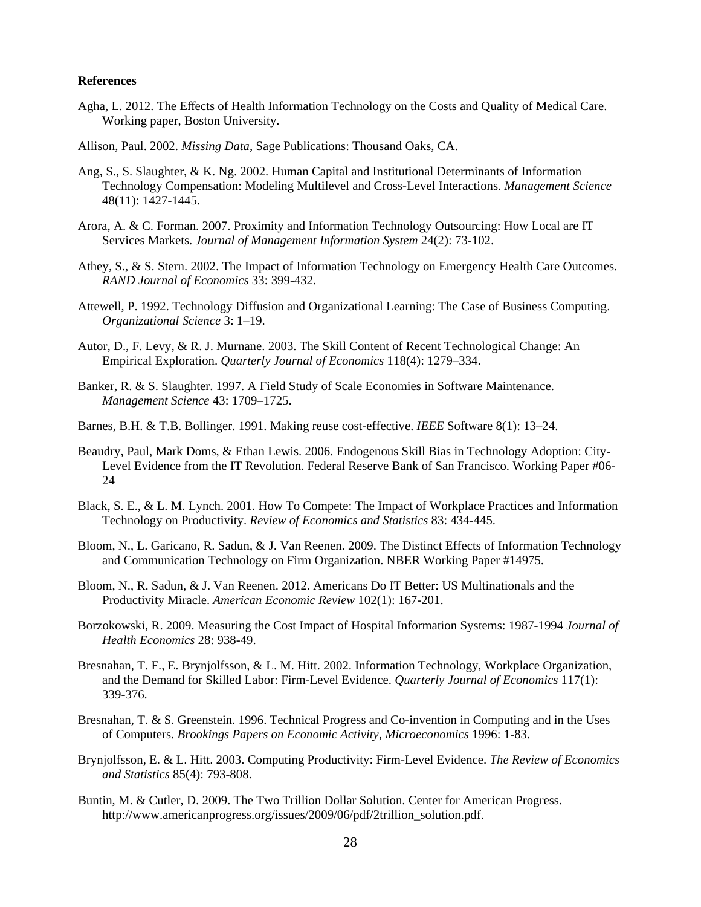#### **References**

- Agha, L. 2012. The Effects of Health Information Technology on the Costs and Quality of Medical Care. Working paper, Boston University.
- Allison, Paul. 2002. *Missing Data*, Sage Publications: Thousand Oaks, CA.
- Ang, S., S. Slaughter, & K. Ng. 2002. Human Capital and Institutional Determinants of Information Technology Compensation: Modeling Multilevel and Cross-Level Interactions. *Management Science*  48(11): 1427-1445.
- Arora, A. & C. Forman. 2007. Proximity and Information Technology Outsourcing: How Local are IT Services Markets. *Journal of Management Information System* 24(2): 73-102.
- Athey, S., & S. Stern. 2002. The Impact of Information Technology on Emergency Health Care Outcomes. *RAND Journal of Economics* 33: 399-432.
- Attewell, P. 1992. Technology Diffusion and Organizational Learning: The Case of Business Computing. *Organizational Science* 3: 1–19.
- Autor, D., F. Levy, & R. J. Murnane. 2003. The Skill Content of Recent Technological Change: An Empirical Exploration. *Quarterly Journal of Economics* 118(4): 1279–334.
- Banker, R. & S. Slaughter. 1997. A Field Study of Scale Economies in Software Maintenance. *Management Science* 43: 1709–1725.
- Barnes, B.H. & T.B. Bollinger. 1991. Making reuse cost-effective. *IEEE* Software 8(1): 13–24.
- Beaudry, Paul, Mark Doms, & Ethan Lewis. 2006. Endogenous Skill Bias in Technology Adoption: City-Level Evidence from the IT Revolution. Federal Reserve Bank of San Francisco. Working Paper #06- 24
- Black, S. E., & L. M. Lynch. 2001. How To Compete: The Impact of Workplace Practices and Information Technology on Productivity. *Review of Economics and Statistics* 83: 434-445.
- Bloom, N., L. Garicano, R. Sadun, & J. Van Reenen. 2009. The Distinct Effects of Information Technology and Communication Technology on Firm Organization. NBER Working Paper #14975.
- Bloom, N., R. Sadun, & J. Van Reenen. 2012. Americans Do IT Better: US Multinationals and the Productivity Miracle. *American Economic Review* 102(1): 167-201.
- Borzokowski, R. 2009. Measuring the Cost Impact of Hospital Information Systems: 1987-1994 *Journal of Health Economics* 28: 938-49.
- Bresnahan, T. F., E. Brynjolfsson, & L. M. Hitt. 2002. Information Technology, Workplace Organization, and the Demand for Skilled Labor: Firm-Level Evidence. *Quarterly Journal of Economics* 117(1): 339-376.
- Bresnahan, T. & S. Greenstein. 1996. Technical Progress and Co-invention in Computing and in the Uses of Computers. *Brookings Papers on Economic Activity, Microeconomics* 1996: 1-83.
- Brynjolfsson, E. & L. Hitt. 2003. Computing Productivity: Firm-Level Evidence. *The Review of Economics and Statistics* 85(4): 793-808.
- Buntin, M. & Cutler, D. 2009. The Two Trillion Dollar Solution. Center for American Progress. http://www.americanprogress.org/issues/2009/06/pdf/2trillion\_solution.pdf.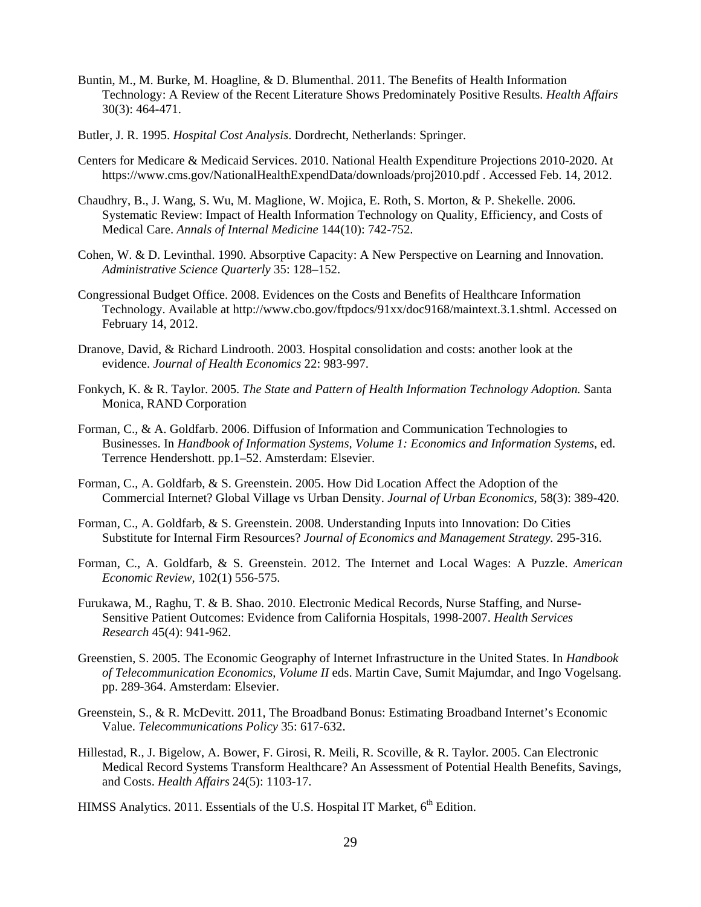- Buntin, M., M. Burke, M. Hoagline, & D. Blumenthal. 2011. The Benefits of Health Information Technology: A Review of the Recent Literature Shows Predominately Positive Results. *Health Affairs*  30(3): 464-471.
- Butler, J. R. 1995. *Hospital Cost Analysis*. Dordrecht, Netherlands: Springer.
- Centers for Medicare & Medicaid Services. 2010. National Health Expenditure Projections 2010-2020. At https://www.cms.gov/NationalHealthExpendData/downloads/proj2010.pdf . Accessed Feb. 14, 2012.
- Chaudhry, B., J. Wang, S. Wu, M. Maglione, W. Mojica, E. Roth, S. Morton, & P. Shekelle. 2006. Systematic Review: Impact of Health Information Technology on Quality, Efficiency, and Costs of Medical Care. *Annals of Internal Medicine* 144(10): 742-752.
- Cohen, W. & D. Levinthal. 1990. Absorptive Capacity: A New Perspective on Learning and Innovation. *Administrative Science Quarterly* 35: 128–152.
- Congressional Budget Office. 2008. Evidences on the Costs and Benefits of Healthcare Information Technology. Available at http://www.cbo.gov/ftpdocs/91xx/doc9168/maintext.3.1.shtml. Accessed on February 14, 2012.
- Dranove, David, & Richard Lindrooth. 2003. Hospital consolidation and costs: another look at the evidence. *Journal of Health Economics* 22: 983-997.
- Fonkych, K. & R. Taylor. 2005. *The State and Pattern of Health Information Technology Adoption.* Santa Monica, RAND Corporation
- Forman, C., & A. Goldfarb. 2006. Diffusion of Information and Communication Technologies to Businesses. In *Handbook of Information Systems, Volume 1: Economics and Information Systems*, ed. Terrence Hendershott. pp.1–52. Amsterdam: Elsevier.
- Forman, C., A. Goldfarb, & S. Greenstein. 2005. How Did Location Affect the Adoption of the Commercial Internet? Global Village vs Urban Density. *Journal of Urban Economics*, 58(3): 389-420.
- Forman, C., A. Goldfarb, & S. Greenstein. 2008. Understanding Inputs into Innovation: Do Cities Substitute for Internal Firm Resources? *Journal of Economics and Management Strategy.* 295-316.
- Forman, C., A. Goldfarb, & S. Greenstein. 2012. The Internet and Local Wages: A Puzzle. *American Economic Review,* 102(1) 556-575.
- Furukawa, M., Raghu, T. & B. Shao. 2010. Electronic Medical Records, Nurse Staffing, and Nurse-Sensitive Patient Outcomes: Evidence from California Hospitals, 1998-2007. *Health Services Research* 45(4): 941-962.
- Greenstien, S. 2005. The Economic Geography of Internet Infrastructure in the United States. In *Handbook of Telecommunication Economics, Volume II* eds. Martin Cave, Sumit Majumdar, and Ingo Vogelsang. pp. 289-364. Amsterdam: Elsevier.
- Greenstein, S., & R. McDevitt. 2011, The Broadband Bonus: Estimating Broadband Internet's Economic Value. *Telecommunications Policy* 35: 617-632.
- Hillestad, R., J. Bigelow, A. Bower, F. Girosi, R. Meili, R. Scoville, & R. Taylor. 2005. Can Electronic Medical Record Systems Transform Healthcare? An Assessment of Potential Health Benefits, Savings, and Costs. *Health Affairs* 24(5): 1103-17.
- HIMSS Analytics. 2011. Essentials of the U.S. Hospital IT Market, 6<sup>th</sup> Edition.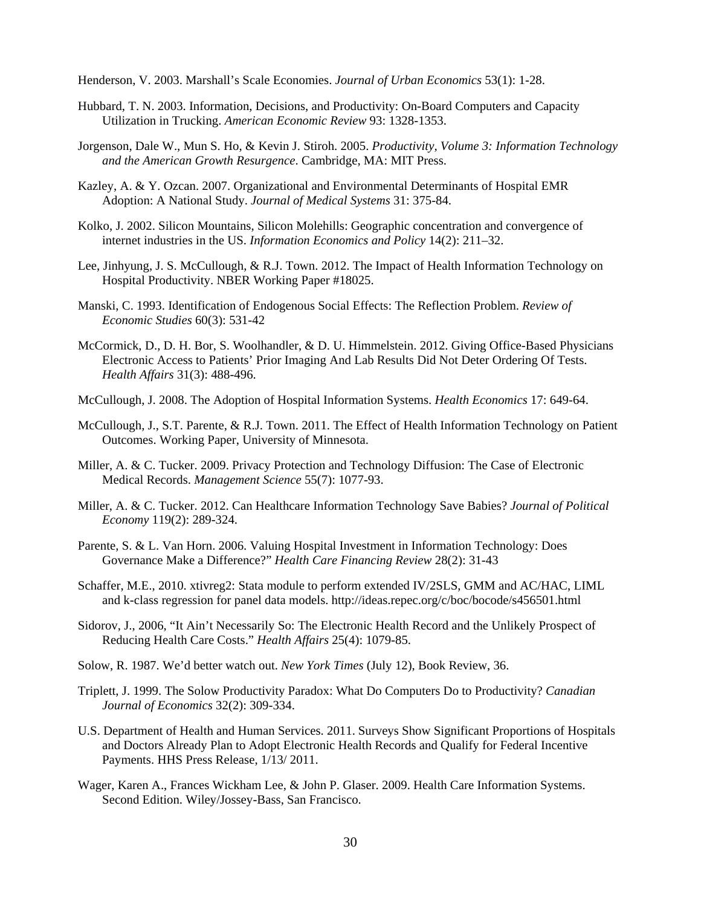Henderson, V. 2003. Marshall's Scale Economies. *Journal of Urban Economics* 53(1): 1-28.

- Hubbard, T. N. 2003. Information, Decisions, and Productivity: On-Board Computers and Capacity Utilization in Trucking. *American Economic Review* 93: 1328-1353.
- Jorgenson, Dale W., Mun S. Ho, & Kevin J. Stiroh. 2005. *Productivity, Volume 3: Information Technology and the American Growth Resurgence*. Cambridge, MA: MIT Press.
- Kazley, A. & Y. Ozcan. 2007. Organizational and Environmental Determinants of Hospital EMR Adoption: A National Study. *Journal of Medical Systems* 31: 375-84.
- Kolko, J. 2002. Silicon Mountains, Silicon Molehills: Geographic concentration and convergence of internet industries in the US. *Information Economics and Policy* 14(2): 211–32.
- Lee, Jinhyung, J. S. McCullough, & R.J. Town. 2012. The Impact of Health Information Technology on Hospital Productivity. NBER Working Paper #18025.
- Manski, C. 1993. Identification of Endogenous Social Effects: The Reflection Problem. *Review of Economic Studies* 60(3): 531-42
- McCormick, D., D. H. Bor, S. Woolhandler, & D. U. Himmelstein. 2012. Giving Office-Based Physicians Electronic Access to Patients' Prior Imaging And Lab Results Did Not Deter Ordering Of Tests. *Health Affairs* 31(3): 488-496.
- McCullough, J. 2008. The Adoption of Hospital Information Systems. *Health Economics* 17: 649-64.
- McCullough, J., S.T. Parente, & R.J. Town. 2011. The Effect of Health Information Technology on Patient Outcomes. Working Paper, University of Minnesota.
- Miller, A. & C. Tucker. 2009. Privacy Protection and Technology Diffusion: The Case of Electronic Medical Records. *Management Science* 55(7): 1077-93.
- Miller, A. & C. Tucker. 2012. Can Healthcare Information Technology Save Babies? *Journal of Political Economy* 119(2): 289-324.
- Parente, S. & L. Van Horn. 2006. Valuing Hospital Investment in Information Technology: Does Governance Make a Difference?" *Health Care Financing Review* 28(2): 31-43
- Schaffer, M.E., 2010. xtivreg2: Stata module to perform extended IV/2SLS, GMM and AC/HAC, LIML and k-class regression for panel data models. http://ideas.repec.org/c/boc/bocode/s456501.html
- Sidorov, J., 2006, "It Ain't Necessarily So: The Electronic Health Record and the Unlikely Prospect of Reducing Health Care Costs." *Health Affairs* 25(4): 1079-85.
- Solow, R. 1987. We'd better watch out. *New York Times* (July 12), Book Review, 36.
- Triplett, J. 1999. The Solow Productivity Paradox: What Do Computers Do to Productivity? *Canadian Journal of Economics* 32(2): 309-334.
- U.S. Department of Health and Human Services. 2011. Surveys Show Significant Proportions of Hospitals and Doctors Already Plan to Adopt Electronic Health Records and Qualify for Federal Incentive Payments. HHS Press Release, 1/13/ 2011.
- Wager, Karen A., Frances Wickham Lee, & John P. Glaser. 2009. Health Care Information Systems. Second Edition. Wiley/Jossey-Bass, San Francisco.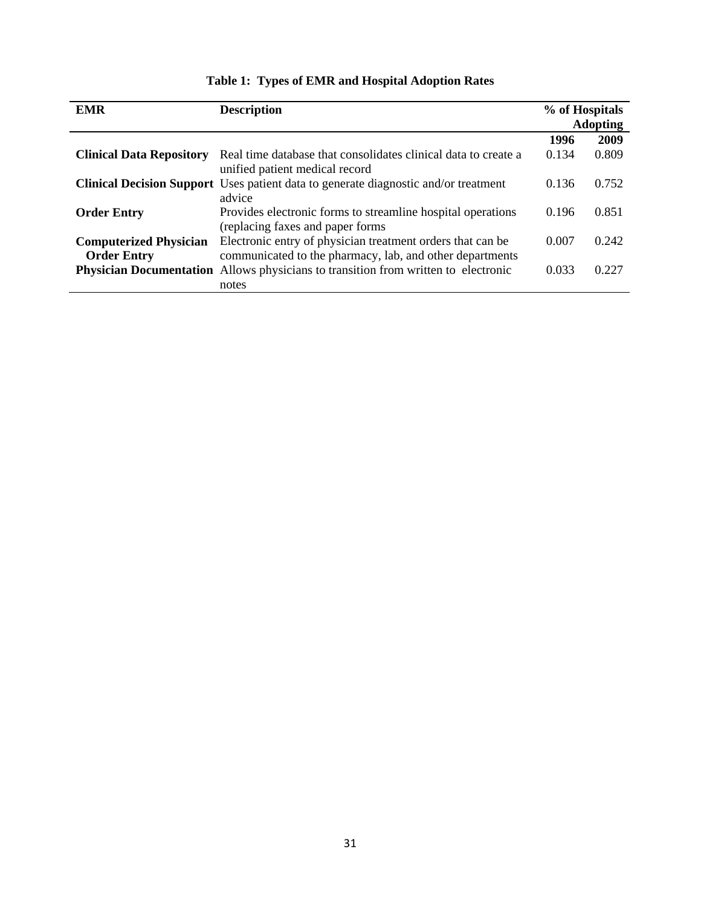| <b>EMR</b>                                          | <b>Description</b>                                                                                                     | % of Hospitals | <b>Adopting</b> |
|-----------------------------------------------------|------------------------------------------------------------------------------------------------------------------------|----------------|-----------------|
|                                                     |                                                                                                                        | 1996           | 2009            |
| <b>Clinical Data Repository</b>                     | Real time database that consolidates clinical data to create a<br>unified patient medical record                       | 0.134          | 0.809           |
|                                                     | <b>Clinical Decision Support</b> Uses patient data to generate diagnostic and/or treatment<br>advice                   | 0.136          | 0.752           |
| <b>Order Entry</b>                                  | Provides electronic forms to streamline hospital operations<br>(replacing faxes and paper forms)                       | 0.196          | 0.851           |
| <b>Computerized Physician</b><br><b>Order Entry</b> | Electronic entry of physician treatment orders that can be<br>communicated to the pharmacy, lab, and other departments | 0.007          | 0.242           |
|                                                     | Physician Documentation Allows physicians to transition from written to electronic<br>notes                            | 0.033          | 0.227           |

# **Table 1: Types of EMR and Hospital Adoption Rates**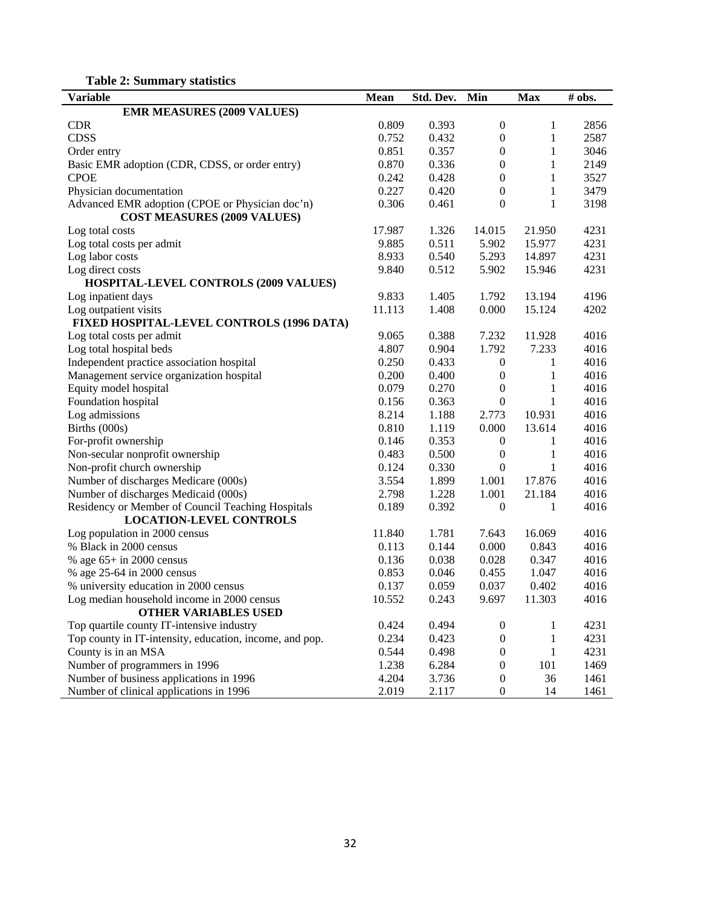| <b>Variable</b>                                         | <b>Mean</b> | Std. Dev. | Min              | <b>Max</b>   | $#$ obs. |
|---------------------------------------------------------|-------------|-----------|------------------|--------------|----------|
| <b>EMR MEASURES (2009 VALUES)</b>                       |             |           |                  |              |          |
| <b>CDR</b>                                              | 0.809       | 0.393     | $\boldsymbol{0}$ | 1            | 2856     |
| <b>CDSS</b>                                             | 0.752       | 0.432     | $\boldsymbol{0}$ | 1            | 2587     |
| Order entry                                             | 0.851       | 0.357     | $\boldsymbol{0}$ | $\mathbf{1}$ | 3046     |
| Basic EMR adoption (CDR, CDSS, or order entry)          | 0.870       | 0.336     | $\boldsymbol{0}$ | 1            | 2149     |
| <b>CPOE</b>                                             | 0.242       | 0.428     | $\boldsymbol{0}$ | 1            | 3527     |
| Physician documentation                                 | 0.227       | 0.420     | $\boldsymbol{0}$ | 1            | 3479     |
| Advanced EMR adoption (CPOE or Physician doc'n)         | 0.306       | 0.461     | $\boldsymbol{0}$ | $\mathbf{1}$ | 3198     |
| <b>COST MEASURES (2009 VALUES)</b>                      |             |           |                  |              |          |
| Log total costs                                         | 17.987      | 1.326     | 14.015           | 21.950       | 4231     |
| Log total costs per admit                               | 9.885       | 0.511     | 5.902            | 15.977       | 4231     |
| Log labor costs                                         | 8.933       | 0.540     | 5.293            | 14.897       | 4231     |
| Log direct costs                                        | 9.840       | 0.512     | 5.902            | 15.946       | 4231     |
| <b>HOSPITAL-LEVEL CONTROLS (2009 VALUES)</b>            |             |           |                  |              |          |
| Log inpatient days                                      | 9.833       | 1.405     | 1.792            | 13.194       | 4196     |
| Log outpatient visits                                   | 11.113      | 1.408     | 0.000            | 15.124       | 4202     |
| FIXED HOSPITAL-LEVEL CONTROLS (1996 DATA)               |             |           |                  |              |          |
| Log total costs per admit                               | 9.065       | 0.388     | 7.232            | 11.928       | 4016     |
| Log total hospital beds                                 | 4.807       | 0.904     | 1.792            | 7.233        | 4016     |
| Independent practice association hospital               | 0.250       | 0.433     | $\boldsymbol{0}$ | 1            | 4016     |
| Management service organization hospital                | 0.200       | 0.400     | $\boldsymbol{0}$ | $\mathbf{1}$ | 4016     |
| Equity model hospital                                   | 0.079       | 0.270     | $\boldsymbol{0}$ | $\mathbf{1}$ | 4016     |
| Foundation hospital                                     | 0.156       | 0.363     | $\boldsymbol{0}$ | $\mathbf{1}$ | 4016     |
| Log admissions                                          | 8.214       | 1.188     | 2.773            | 10.931       | 4016     |
| Births (000s)                                           | 0.810       | 1.119     | 0.000            | 13.614       | 4016     |
| For-profit ownership                                    | 0.146       | 0.353     | $\boldsymbol{0}$ | 1            | 4016     |
| Non-secular nonprofit ownership                         | 0.483       | 0.500     | $\boldsymbol{0}$ | 1            | 4016     |
| Non-profit church ownership                             | 0.124       | 0.330     | $\boldsymbol{0}$ | 1            | 4016     |
| Number of discharges Medicare (000s)                    | 3.554       | 1.899     | 1.001            | 17.876       | 4016     |
| Number of discharges Medicaid (000s)                    | 2.798       | 1.228     | 1.001            | 21.184       | 4016     |
| Residency or Member of Council Teaching Hospitals       | 0.189       | 0.392     | $\boldsymbol{0}$ | 1            | 4016     |
| <b>LOCATION-LEVEL CONTROLS</b>                          |             |           |                  |              |          |
| Log population in 2000 census                           | 11.840      | 1.781     | 7.643            | 16.069       | 4016     |
| % Black in 2000 census                                  | 0.113       | 0.144     | 0.000            | 0.843        | 4016     |
| % age $65+$ in 2000 census                              | 0.136       | 0.038     | 0.028            | 0.347        | 4016     |
| % age 25-64 in 2000 census                              | 0.853       | 0.046     | 0.455            | 1.047        | 4016     |
| % university education in 2000 census                   | 0.137       | 0.059     | 0.037            | 0.402        | 4016     |
| Log median household income in 2000 census              | 10.552      | 0.243     | 9.697            | 11.303       | 4016     |
| <b>OTHER VARIABLES USED</b>                             |             |           |                  |              |          |
| Top quartile county IT-intensive industry               | 0.424       | 0.494     | $\boldsymbol{0}$ | $\mathbf{1}$ | 4231     |
| Top county in IT-intensity, education, income, and pop. | 0.234       | 0.423     | $\boldsymbol{0}$ | $\mathbf{1}$ | 4231     |
| County is in an MSA                                     | 0.544       | 0.498     | $\boldsymbol{0}$ | $\mathbf{1}$ | 4231     |
| Number of programmers in 1996                           | 1.238       | 6.284     | $\boldsymbol{0}$ | 101          | 1469     |
| Number of business applications in 1996                 | 4.204       | 3.736     | $\boldsymbol{0}$ | 36           | 1461     |
| Number of clinical applications in 1996                 | 2.019       | 2.117     | $\boldsymbol{0}$ | 14           | 1461     |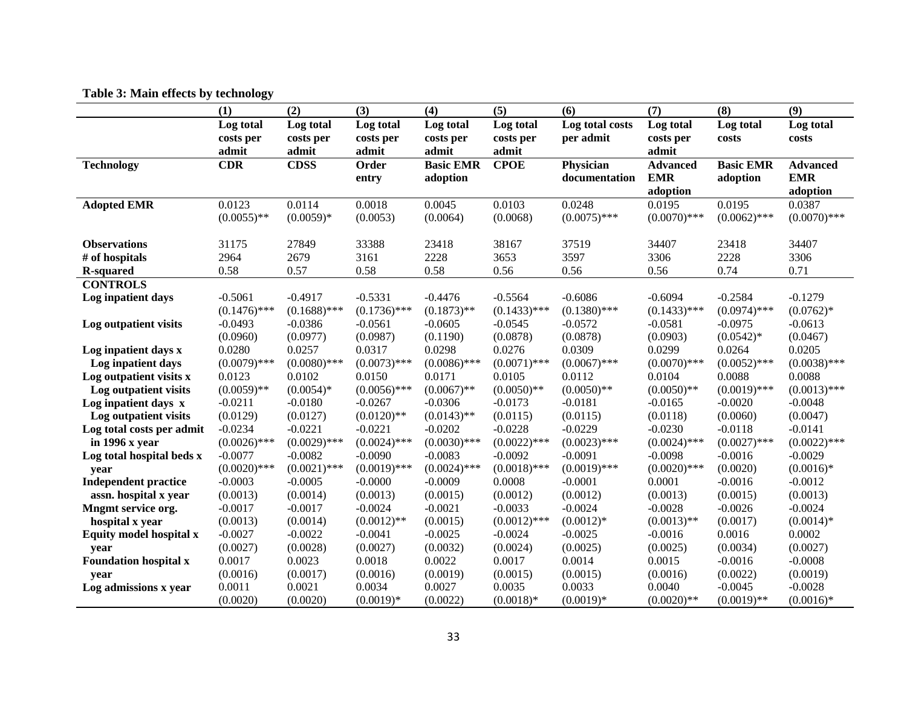|                              | (1)            | (2)            | (3)            | (4)              | (5)            | (6)              | (7)             | (8)              | (9)             |
|------------------------------|----------------|----------------|----------------|------------------|----------------|------------------|-----------------|------------------|-----------------|
|                              | Log total      | Log total      | Log total      | Log total        | Log total      | Log total costs  | Log total       | Log total        | Log total       |
|                              | costs per      | costs per      | costs per      | costs per        | costs per      | per admit        | costs per       | costs            | costs           |
|                              | admit          | admit          | admit          | admit            | admit          |                  | admit           |                  |                 |
| <b>Technology</b>            | <b>CDR</b>     | <b>CDSS</b>    | Order          | <b>Basic EMR</b> | <b>CPOE</b>    | <b>Physician</b> | <b>Advanced</b> | <b>Basic EMR</b> | <b>Advanced</b> |
|                              |                |                | entry          | adoption         |                | documentation    | <b>EMR</b>      | adoption         | <b>EMR</b>      |
|                              |                |                |                |                  |                |                  | adoption        |                  | adoption        |
| <b>Adopted EMR</b>           | 0.0123         | 0.0114         | 0.0018         | 0.0045           | 0.0103         | 0.0248           | 0.0195          | 0.0195           | 0.0387          |
|                              | $(0.0055)$ **  | $(0.0059)*$    | (0.0053)       | (0.0064)         | (0.0068)       | $(0.0075)$ ***   | $(0.0070)$ ***  | $(0.0062)$ ***   | $(0.0070)$ ***  |
|                              |                |                |                |                  |                |                  |                 |                  |                 |
| <b>Observations</b>          | 31175          | 27849          | 33388          | 23418            | 38167          | 37519            | 34407           | 23418            | 34407           |
| # of hospitals               | 2964           | 2679           | 3161           | 2228             | 3653           | 3597             | 3306            | 2228             | 3306            |
| <b>R-squared</b>             | 0.58           | 0.57           | 0.58           | 0.58             | 0.56           | 0.56             | 0.56            | 0.74             | 0.71            |
| <b>CONTROLS</b>              |                |                |                |                  |                |                  |                 |                  |                 |
| Log inpatient days           | $-0.5061$      | $-0.4917$      | $-0.5331$      | $-0.4476$        | $-0.5564$      | $-0.6086$        | $-0.6094$       | $-0.2584$        | $-0.1279$       |
|                              | $(0.1476)$ *** | $(0.1688)$ *** | $(0.1736)$ *** | $(0.1873)$ **    | $(0.1433)$ *** | $(0.1380)$ ***   | $(0.1433)$ ***  | $(0.0974)$ ***   | $(0.0762)*$     |
| Log outpatient visits        | $-0.0493$      | $-0.0386$      | $-0.0561$      | $-0.0605$        | $-0.0545$      | $-0.0572$        | $-0.0581$       | $-0.0975$        | $-0.0613$       |
|                              | (0.0960)       | (0.0977)       | (0.0987)       | (0.1190)         | (0.0878)       | (0.0878)         | (0.0903)        | $(0.0542)*$      | (0.0467)        |
| Log inpatient days x         | 0.0280         | 0.0257         | 0.0317         | 0.0298           | 0.0276         | 0.0309           | 0.0299          | 0.0264           | 0.0205          |
| Log inpatient days           | $(0.0079)$ *** | $(0.0080)$ *** | $(0.0073)$ *** | $(0.0086)$ ***   | $(0.0071)$ *** | $(0.0067)$ ***   | $(0.0070)$ ***  | $(0.0052)$ ***   | $(0.0038)$ ***  |
| Log outpatient visits x      | 0.0123         | 0.0102         | 0.0150         | 0.0171           | 0.0105         | 0.0112           | 0.0104          | 0.0088           | 0.0088          |
| Log outpatient visits        | $(0.0059)$ **  | $(0.0054)*$    | $(0.0056)$ *** | $(0.0067)$ **    | $(0.0050)$ **  | $(0.0050)$ **    | $(0.0050)$ **   | $(0.0019)$ ***   | $(0.0013)$ ***  |
| Log inpatient days x         | $-0.0211$      | $-0.0180$      | $-0.0267$      | $-0.0306$        | $-0.0173$      | $-0.0181$        | $-0.0165$       | $-0.0020$        | $-0.0048$       |
| Log outpatient visits        | (0.0129)       | (0.0127)       | $(0.0120)$ **  | $(0.0143)$ **    | (0.0115)       | (0.0115)         | (0.0118)        | (0.0060)         | (0.0047)        |
| Log total costs per admit    | $-0.0234$      | $-0.0221$      | $-0.0221$      | $-0.0202$        | $-0.0228$      | $-0.0229$        | $-0.0230$       | $-0.0118$        | $-0.0141$       |
| in 1996 x year               | $(0.0026)$ *** | $(0.0029)$ *** | $(0.0024)$ *** | $(0.0030)$ ***   | $(0.0022)$ *** | $(0.0023)$ ***   | $(0.0024)$ ***  | $(0.0027)$ ***   | $(0.0022)$ ***  |
| Log total hospital beds x    | $-0.0077$      | $-0.0082$      | $-0.0090$      | $-0.0083$        | $-0.0092$      | $-0.0091$        | $-0.0098$       | $-0.0016$        | $-0.0029$       |
| year                         | $(0.0020)$ *** | $(0.0021)$ *** | $(0.0019)$ *** | $(0.0024)$ ***   | $(0.0018)$ *** | $(0.0019)$ ***   | $(0.0020)$ ***  | (0.0020)         | $(0.0016)*$     |
| <b>Independent practice</b>  | $-0.0003$      | $-0.0005$      | $-0.0000$      | $-0.0009$        | 0.0008         | $-0.0001$        | 0.0001          | $-0.0016$        | $-0.0012$       |
| assn. hospital x year        | (0.0013)       | (0.0014)       | (0.0013)       | (0.0015)         | (0.0012)       | (0.0012)         | (0.0013)        | (0.0015)         | (0.0013)        |
| Mngmt service org.           | $-0.0017$      | $-0.0017$      | $-0.0024$      | $-0.0021$        | $-0.0033$      | $-0.0024$        | $-0.0028$       | $-0.0026$        | $-0.0024$       |
| hospital x year              | (0.0013)       | (0.0014)       | $(0.0012)$ **  | (0.0015)         | $(0.0012)$ *** | $(0.0012)*$      | $(0.0013)$ **   | (0.0017)         | $(0.0014)*$     |
| Equity model hospital x      | $-0.0027$      | $-0.0022$      | $-0.0041$      | $-0.0025$        | $-0.0024$      | $-0.0025$        | $-0.0016$       | 0.0016           | 0.0002          |
| year                         | (0.0027)       | (0.0028)       | (0.0027)       | (0.0032)         | (0.0024)       | (0.0025)         | (0.0025)        | (0.0034)         | (0.0027)        |
| <b>Foundation hospital x</b> | 0.0017         | 0.0023         | 0.0018         | 0.0022           | 0.0017         | 0.0014           | 0.0015          | $-0.0016$        | $-0.0008$       |
| year                         | (0.0016)       | (0.0017)       | (0.0016)       | (0.0019)         | (0.0015)       | (0.0015)         | (0.0016)        | (0.0022)         | (0.0019)        |
| Log admissions x year        | 0.0011         | 0.0021         | 0.0034         | 0.0027           | 0.0035         | 0.0033           | 0.0040          | $-0.0045$        | $-0.0028$       |
|                              | (0.0020)       | (0.0020)       | $(0.0019)*$    | (0.0022)         | $(0.0018)*$    | $(0.0019)*$      | $(0.0020)$ **   | $(0.0019)$ **    | $(0.0016)*$     |

# **Table 3: Main effects by technology**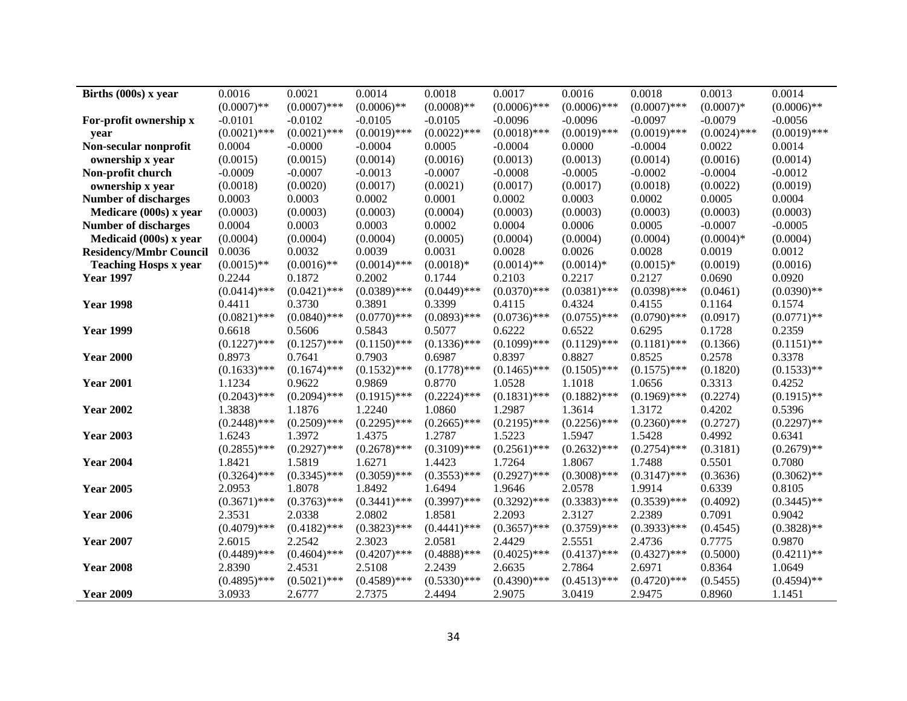| Births (000s) x year          | 0.0016         | 0.0021         | 0.0014         | 0.0018         | 0.0017         | 0.0016         | 0.0018         | 0.0013         | 0.0014         |
|-------------------------------|----------------|----------------|----------------|----------------|----------------|----------------|----------------|----------------|----------------|
|                               | $(0.0007)$ **  | $(0.0007)$ *** | $(0.0006)$ **  | $(0.0008)$ **  | $(0.0006)$ *** | $(0.0006)$ *** | $(0.0007)$ *** | $(0.0007)*$    | $(0.0006)$ **  |
| For-profit ownership x        | $-0.0101$      | $-0.0102$      | $-0.0105$      | $-0.0105$      | $-0.0096$      | $-0.0096$      | $-0.0097$      | $-0.0079$      | $-0.0056$      |
| vear                          | $(0.0021)$ *** | $(0.0021)$ *** | $(0.0019)$ *** | $(0.0022)$ *** | $(0.0018)$ *** | $(0.0019)$ *** | $(0.0019)$ *** | $(0.0024)$ *** | $(0.0019)$ *** |
| Non-secular nonprofit         | 0.0004         | $-0.0000$      | $-0.0004$      | 0.0005         | $-0.0004$      | 0.0000         | $-0.0004$      | 0.0022         | 0.0014         |
| ownership x year              | (0.0015)       | (0.0015)       | (0.0014)       | (0.0016)       | (0.0013)       | (0.0013)       | (0.0014)       | (0.0016)       | (0.0014)       |
| Non-profit church             | $-0.0009$      | $-0.0007$      | $-0.0013$      | $-0.0007$      | $-0.0008$      | $-0.0005$      | $-0.0002$      | $-0.0004$      | $-0.0012$      |
| ownership x year              | (0.0018)       | (0.0020)       | (0.0017)       | (0.0021)       | (0.0017)       | (0.0017)       | (0.0018)       | (0.0022)       | (0.0019)       |
| <b>Number of discharges</b>   | 0.0003         | 0.0003         | 0.0002         | 0.0001         | 0.0002         | 0.0003         | 0.0002         | 0.0005         | 0.0004         |
| Medicare (000s) x year        | (0.0003)       | (0.0003)       | (0.0003)       | (0.0004)       | (0.0003)       | (0.0003)       | (0.0003)       | (0.0003)       | (0.0003)       |
| <b>Number of discharges</b>   | 0.0004         | 0.0003         | 0.0003         | 0.0002         | 0.0004         | 0.0006         | 0.0005         | $-0.0007$      | $-0.0005$      |
| Medicaid (000s) x year        | (0.0004)       | (0.0004)       | (0.0004)       | (0.0005)       | (0.0004)       | (0.0004)       | (0.0004)       | $(0.0004)*$    | (0.0004)       |
| <b>Residency/Mmbr Council</b> | 0.0036         | 0.0032         | 0.0039         | 0.0031         | 0.0028         | 0.0026         | 0.0028         | 0.0019         | 0.0012         |
| <b>Teaching Hosps x year</b>  | $(0.0015)$ **  | $(0.0016)$ **  | $(0.0014)$ *** | $(0.0018)*$    | $(0.0014)$ **  | $(0.0014)*$    | $(0.0015)*$    | (0.0019)       | (0.0016)       |
| <b>Year 1997</b>              | 0.2244         | 0.1872         | 0.2002         | 0.1744         | 0.2103         | 0.2217         | 0.2127         | 0.0690         | 0.0920         |
|                               | $(0.0414)$ *** | $(0.0421)$ *** | $(0.0389)$ *** | $(0.0449)$ *** | $(0.0370)$ *** | $(0.0381)$ *** | $(0.0398)$ *** | (0.0461)       | $(0.0390)$ **  |
| <b>Year 1998</b>              | 0.4411         | 0.3730         | 0.3891         | 0.3399         | 0.4115         | 0.4324         | 0.4155         | 0.1164         | 0.1574         |
|                               | $(0.0821)$ *** | $(0.0840)$ *** | $(0.0770)$ *** | $(0.0893)$ *** | $(0.0736)$ *** | $(0.0755)$ *** | $(0.0790)$ *** | (0.0917)       | $(0.0771)$ **  |
| <b>Year 1999</b>              | 0.6618         | 0.5606         | 0.5843         | 0.5077         | 0.6222         | 0.6522         | 0.6295         | 0.1728         | 0.2359         |
|                               | $(0.1227)$ *** | $(0.1257)$ *** | $(0.1150)$ *** | $(0.1336)$ *** | $(0.1099)$ *** | $(0.1129)$ *** | $(0.1181)$ *** | (0.1366)       | $(0.1151)$ **  |
| <b>Year 2000</b>              | 0.8973         | 0.7641         | 0.7903         | 0.6987         | 0.8397         | 0.8827         | 0.8525         | 0.2578         | 0.3378         |
|                               | $(0.1633)$ *** | $(0.1674)$ *** | $(0.1532)$ *** | $(0.1778)$ *** | $(0.1465)$ *** | $(0.1505)$ *** | $(0.1575)$ *** | (0.1820)       | $(0.1533)$ **  |
| <b>Year 2001</b>              | 1.1234         | 0.9622         | 0.9869         | 0.8770         | 1.0528         | 1.1018         | 1.0656         | 0.3313         | 0.4252         |
|                               | $(0.2043)$ *** | $(0.2094)$ *** | $(0.1915)$ *** | $(0.2224)$ *** | $(0.1831)$ *** | $(0.1882)$ *** | $(0.1969)$ *** | (0.2274)       | $(0.1915)$ **  |
| <b>Year 2002</b>              | 1.3838         | 1.1876         | 1.2240         | 1.0860         | 1.2987         | 1.3614         | 1.3172         | 0.4202         | 0.5396         |
|                               | $(0.2448)$ *** | $(0.2509)$ *** | $(0.2295)$ *** | $(0.2665)$ *** | $(0.2195)$ *** | $(0.2256)$ *** | $(0.2360)$ *** | (0.2727)       | $(0.2297)$ **  |
| <b>Year 2003</b>              | 1.6243         | 1.3972         | 1.4375         | 1.2787         | 1.5223         | 1.5947         | 1.5428         | 0.4992         | 0.6341         |
|                               | $(0.2855)$ *** | $(0.2927)$ *** | $(0.2678)$ *** | $(0.3109)$ *** | $(0.2561)$ *** | $(0.2632)$ *** | $(0.2754)$ *** | (0.3181)       | $(0.2679)$ **  |
| <b>Year 2004</b>              | 1.8421         | 1.5819         | 1.6271         | 1.4423         | 1.7264         | 1.8067         | 1.7488         | 0.5501         | 0.7080         |
|                               | $(0.3264)$ *** | $(0.3345)$ *** | $(0.3059)$ *** | $(0.3553)$ *** | $(0.2927)$ *** | $(0.3008)$ *** | $(0.3147)$ *** | (0.3636)       | $(0.3062)$ **  |
| <b>Year 2005</b>              | 2.0953         | 1.8078         | 1.8492         | 1.6494         | 1.9646         | 2.0578         | 1.9914         | 0.6339         | 0.8105         |
|                               | $(0.3671)$ *** | $(0.3763)$ *** | $(0.3441)$ *** | $(0.3997)$ *** | $(0.3292)$ *** | $(0.3383)$ *** | $(0.3539)$ *** | (0.4092)       | $(0.3445)$ **  |
| <b>Year 2006</b>              | 2.3531         | 2.0338         | 2.0802         | 1.8581         | 2.2093         | 2.3127         | 2.2389         | 0.7091         | 0.9042         |
|                               | $(0.4079)$ *** | $(0.4182)$ *** | $(0.3823)$ *** | $(0.4441)$ *** | $(0.3657)$ *** | $(0.3759)$ *** | $(0.3933)$ *** | (0.4545)       | $(0.3828)$ **  |
| <b>Year 2007</b>              | 2.6015         | 2.2542         | 2.3023         | 2.0581         | 2.4429         | 2.5551         | 2.4736         | 0.7775         | 0.9870         |
|                               | $(0.4489)$ *** | $(0.4604)$ *** | $(0.4207)$ *** | $(0.4888)$ *** | $(0.4025)$ *** | $(0.4137)$ *** | $(0.4327)$ *** | (0.5000)       | $(0.4211)$ **  |
| <b>Year 2008</b>              | 2.8390         | 2.4531         | 2.5108         | 2.2439         | 2.6635         | 2.7864         | 2.6971         | 0.8364         | 1.0649         |
|                               | $(0.4895)$ *** | $(0.5021)$ *** | $(0.4589)$ *** | $(0.5330)$ *** | $(0.4390)$ *** | $(0.4513)$ *** | $(0.4720)$ *** | (0.5455)       | $(0.4594)$ **  |
| <b>Year 2009</b>              | 3.0933         | 2.6777         | 2.7375         | 2.4494         | 2.9075         | 3.0419         | 2.9475         | 0.8960         | 1.1451         |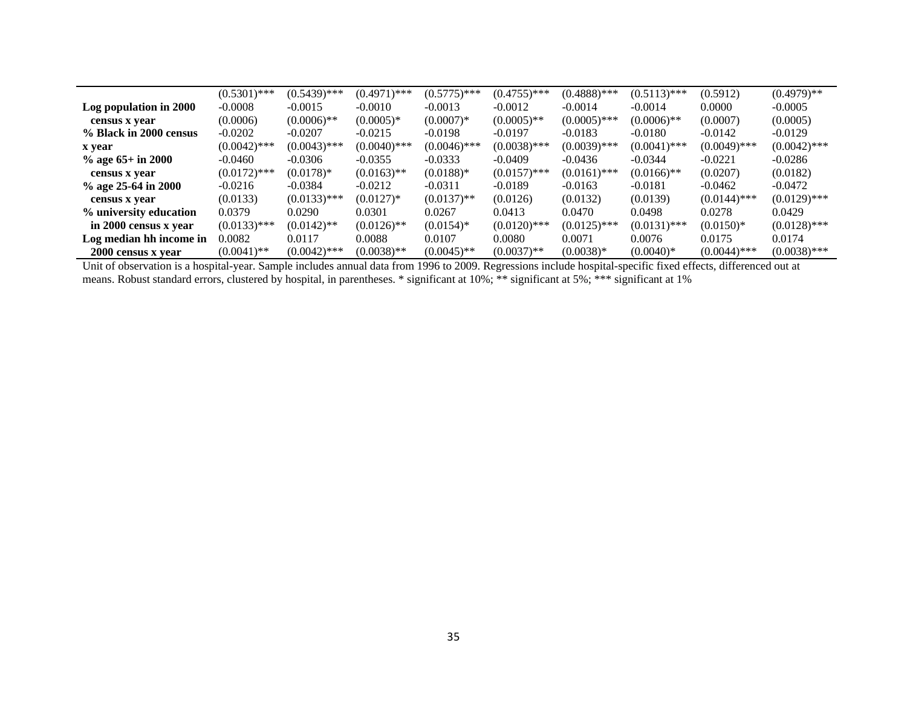|                         | $(0.5301)$ *** | $(0.5439)$ *** | $(0.4971)$ *** | $(0.5775)$ *** | $(0.4755)$ *** | $(0.4888)$ *** | $(0.5113)$ *** | (0.5912)       | $(0.4979)**$   |
|-------------------------|----------------|----------------|----------------|----------------|----------------|----------------|----------------|----------------|----------------|
| Log population in 2000  | $-0.0008$      | $-0.0015$      | $-0.0010$      | $-0.0013$      | $-0.0012$      | $-0.0014$      | $-0.0014$      | 0.0000         | $-0.0005$      |
| census x year           | (0.0006)       | $(0.0006)$ **  | $(0.0005)*$    | $(0.0007)*$    | $(0.0005)$ **  | $(0.0005)$ *** | $(0.0006)$ **  | (0.0007)       | (0.0005)       |
| % Black in 2000 census  | $-0.0202$      | $-0.0207$      | $-0.0215$      | $-0.0198$      | $-0.0197$      | $-0.0183$      | $-0.0180$      | $-0.0142$      | $-0.0129$      |
| x year                  | $(0.0042)$ *** | $(0.0043)$ *** | $(0.0040)$ *** | $(0.0046)$ *** | $(0.0038)$ *** | $(0.0039)$ *** | $(0.0041)$ *** | $(0.0049)$ *** | $(0.0042)$ *** |
| $\%$ age 65+ in 2000    | $-0.0460$      | $-0.0306$      | $-0.0355$      | $-0.0333$      | $-0.0409$      | $-0.0436$      | $-0.0344$      | $-0.0221$      | $-0.0286$      |
| census x year           | $(0.0172)$ *** | $(0.0178)*$    | $(0.0163)$ **  | $(0.0188)*$    | $(0.0157)$ *** | $(0.0161)$ *** | $(0.0166)$ **  | (0.0207)       | (0.0182)       |
| % age 25-64 in 2000     | $-0.0216$      | $-0.0384$      | $-0.0212$      | $-0.0311$      | $-0.0189$      | $-0.0163$      | $-0.0181$      | $-0.0462$      | $-0.0472$      |
| census x year           | (0.0133)       | $(0.0133)$ *** | $(0.0127)^*$   | $(0.0137)$ **  | (0.0126)       | (0.0132)       | (0.0139)       | $(0.0144)$ *** | $(0.0129)$ *** |
| % university education  | 0.0379         | 0.0290         | 0.0301         | 0.0267         | 0.0413         | 0.0470         | 0.0498         | 0.0278         | 0.0429         |
| in 2000 census x year   | $(0.0133)$ *** | $(0.0142)$ **  | $(0.0126)$ **  | $(0.0154)*$    | $(0.0120)$ *** | $(0.0125)$ *** | $(0.0131)$ *** | $(0.0150)*$    | $(0.0128)$ *** |
| Log median hh income in | 0.0082         | 0.0117         | 0.0088         | 0.0107         | 0.0080         | 0.0071         | 0.0076         | 0.0175         | 0.0174         |
| 2000 census x year      | $(0.0041)$ **  | $(0.0042)$ *** | $(0.0038)$ **  | $(0.0045)$ **  | $(0.0037)$ **  | $(0.0038)*$    | $(0.0040)*$    | $(0.0044)$ *** | $(0.0038)$ *** |

Unit of observation is a hospital-year. Sample includes annual data from 1996 to 2009. Regressions include hospital-specific fixed effects, differenced out at means. Robust standard errors, clustered by hospital, in parentheses. \* significant at 10%; \*\* significant at 5%; \*\*\* significant at 1%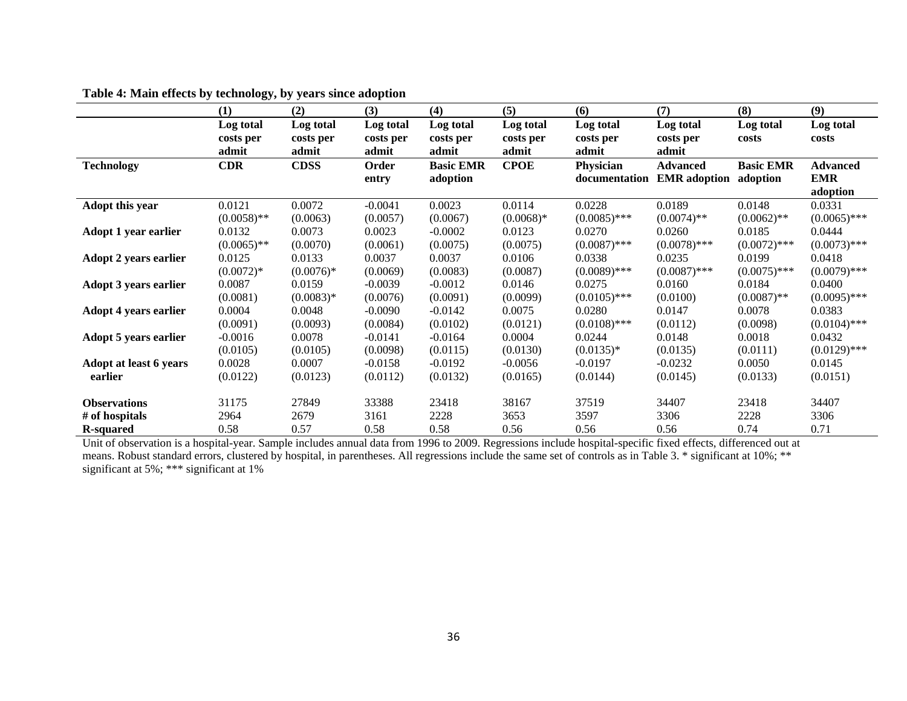|                                     | (1)           | (2)          | (3)          | (4)              | (5)          | (6)            | (7)                 | (8)              | (9)             |
|-------------------------------------|---------------|--------------|--------------|------------------|--------------|----------------|---------------------|------------------|-----------------|
|                                     | Log total     | Log total    | Log total    | Log total        | Log total    | Log total      | Log total           | Log total        | Log total       |
|                                     | costs per     | costs per    | costs per    | costs per        | costs per    | costs per      | costs per           | costs            | costs           |
|                                     | admit         | admit        | admit        | admit            | admit        | admit          | admit               |                  |                 |
| <b>Technology</b>                   | <b>CDR</b>    | <b>CDSS</b>  | Order        | <b>Basic EMR</b> | <b>CPOE</b>  | Physician      | <b>Advanced</b>     | <b>Basic EMR</b> | <b>Advanced</b> |
|                                     |               |              | entry        | adoption         |              | documentation  | <b>EMR</b> adoption | adoption         | <b>EMR</b>      |
|                                     |               |              |              |                  |              |                |                     |                  | adoption        |
| Adopt this year                     | 0.0121        | 0.0072       | $-0.0041$    | 0.0023           | 0.0114       | 0.0228         | 0.0189              | 0.0148           | 0.0331          |
|                                     | $(0.0058)$ ** | (0.0063)     | (0.0057)     | (0.0067)         | $(0.0068)*$  | $(0.0085)$ *** | $(0.0074)$ **       | $(0.0062)$ **    | $(0.0065)$ ***  |
| <b>Adopt 1 year earlier</b>         | 0.0132        | 0.0073       | 0.0023       | $-0.0002$        | 0.0123       | 0.0270         | 0.0260              | 0.0185           | 0.0444          |
|                                     | $(0.0065)$ ** | (0.0070)     | (0.0061)     | (0.0075)         | (0.0075)     | $(0.0087)$ *** | $(0.0078)$ ***      | $(0.0072)$ ***   | $(0.0073)$ ***  |
| <b>Adopt 2 years earlier</b>        | 0.0125        | 0.0133       | 0.0037       | 0.0037           | 0.0106       | 0.0338         | 0.0235              | 0.0199           | 0.0418          |
|                                     | $(0.0072)*$   | $(0.0076)*$  | (0.0069)     | (0.0083)         | (0.0087)     | $(0.0089)$ *** | $(0.0087)$ ***      | $(0.0075)$ ***   | $(0.0079)$ ***  |
| <b>Adopt 3 years earlier</b>        | 0.0087        | 0.0159       | $-0.0039$    | $-0.0012$        | 0.0146       | 0.0275         | 0.0160              | 0.0184           | 0.0400          |
|                                     | (0.0081)      | $(0.0083)*$  | (0.0076)     | (0.0091)         | (0.0099)     | $(0.0105)$ *** | (0.0100)            | $(0.0087)$ **    | $(0.0095)$ ***  |
| <b>Adopt 4 years earlier</b>        | 0.0004        | 0.0048       | $-0.0090$    | $-0.0142$        | 0.0075       | 0.0280         | 0.0147              | 0.0078           | 0.0383          |
|                                     | (0.0091)      | (0.0093)     | (0.0084)     | (0.0102)         | (0.0121)     | $(0.0108)$ *** | (0.0112)            | (0.0098)         | $(0.0104)$ ***  |
| <b>Adopt 5 years earlier</b>        | $-0.0016$     | 0.0078       | $-0.0141$    | $-0.0164$        | 0.0004       | 0.0244         | 0.0148              | 0.0018           | 0.0432          |
|                                     | (0.0105)      | (0.0105)     | (0.0098)     | (0.0115)         | (0.0130)     | $(0.0135)*$    | (0.0135)            | (0.0111)         | $(0.0129)$ ***  |
| Adopt at least 6 years              | 0.0028        | 0.0007       | $-0.0158$    | $-0.0192$        | $-0.0056$    | $-0.0197$      | $-0.0232$           | 0.0050           | 0.0145          |
| earlier                             | (0.0122)      | (0.0123)     | (0.0112)     | (0.0132)         | (0.0165)     | (0.0144)       | (0.0145)            | (0.0133)         | (0.0151)        |
| <b>Observations</b>                 | 31175         | 27849        | 33388        | 23418            | 38167        | 37519          | 34407               | 23418            | 34407           |
|                                     |               |              |              |                  |              |                |                     |                  |                 |
|                                     |               |              |              |                  |              |                |                     |                  |                 |
| # of hospitals<br><b>R</b> -squared | 2964<br>0.58  | 2679<br>0.57 | 3161<br>0.58 | 2228<br>0.58     | 3653<br>0.56 | 3597<br>0.56   | 3306<br>0.56        | 2228<br>0.74     | 3306<br>0.71    |

# **Table 4: Main effects by technology, by years since adoption**

Unit of observation is a hospital-year. Sample includes annual data from 1996 to 2009. Regressions include hospital-specific fixed effects, differenced out at means. Robust standard errors, clustered by hospital, in parentheses. All regressions include the same set of controls as in Table 3. \* significant at 10%; \*\* significant at 5%; \*\*\* significant at 1%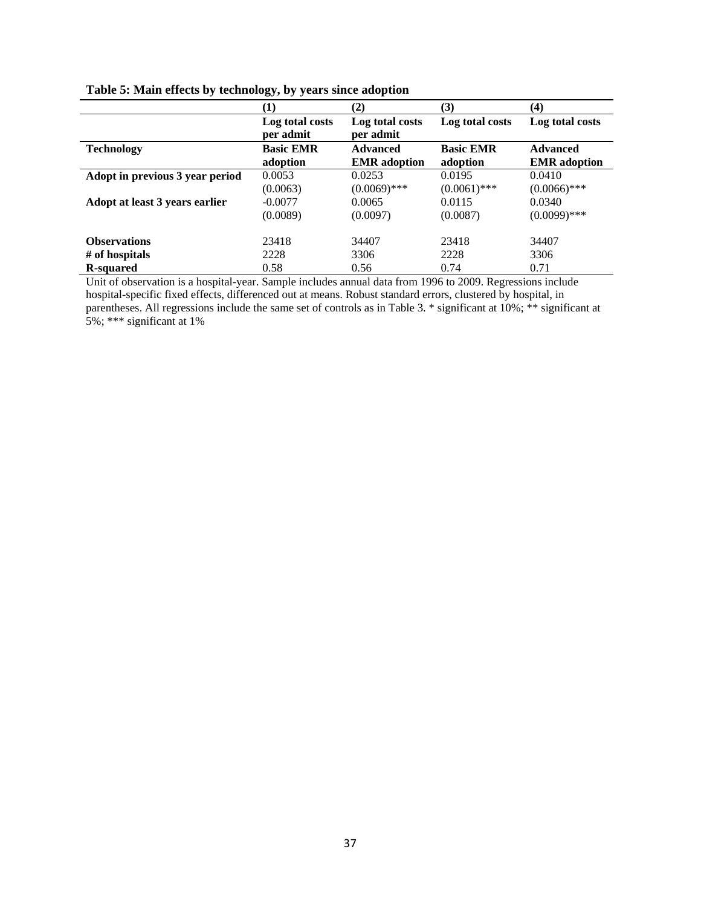|                                 | $\bf{(1)}$                   | (2)                                    | (3)                          | (4)                                    |
|---------------------------------|------------------------------|----------------------------------------|------------------------------|----------------------------------------|
|                                 | Log total costs<br>per admit | Log total costs<br>per admit           | Log total costs              | Log total costs                        |
| <b>Technology</b>               | <b>Basic EMR</b><br>adoption | <b>Advanced</b><br><b>EMR</b> adoption | <b>Basic EMR</b><br>adoption | <b>Advanced</b><br><b>EMR</b> adoption |
| Adopt in previous 3 year period | 0.0053                       | 0.0253                                 | 0.0195                       | 0.0410                                 |
|                                 | (0.0063)                     | $(0.0069)$ ***                         | $(0.0061)$ ***               | $(0.0066)$ ***                         |
| Adopt at least 3 years earlier  | $-0.0077$                    | 0.0065                                 | 0.0115                       | 0.0340                                 |
|                                 | (0.0089)                     | (0.0097)                               | (0.0087)                     | $(0.0099)$ ***                         |
| <b>Observations</b>             | 23418                        | 34407                                  | 23418                        | 34407                                  |
| # of hospitals                  | 2228                         | 3306                                   | 2228                         | 3306                                   |
| <b>R</b> -squared               | 0.58                         | 0.56                                   | 0.74                         | 0.71                                   |

|  |  |  |  | Table 5: Main effects by technology, by years since adoption |  |  |
|--|--|--|--|--------------------------------------------------------------|--|--|
|  |  |  |  |                                                              |  |  |

Unit of observation is a hospital-year. Sample includes annual data from 1996 to 2009. Regressions include hospital-specific fixed effects, differenced out at means. Robust standard errors, clustered by hospital, in parentheses. All regressions include the same set of controls as in Table 3. \* significant at 10%; \*\* significant at 5%; \*\*\* significant at 1%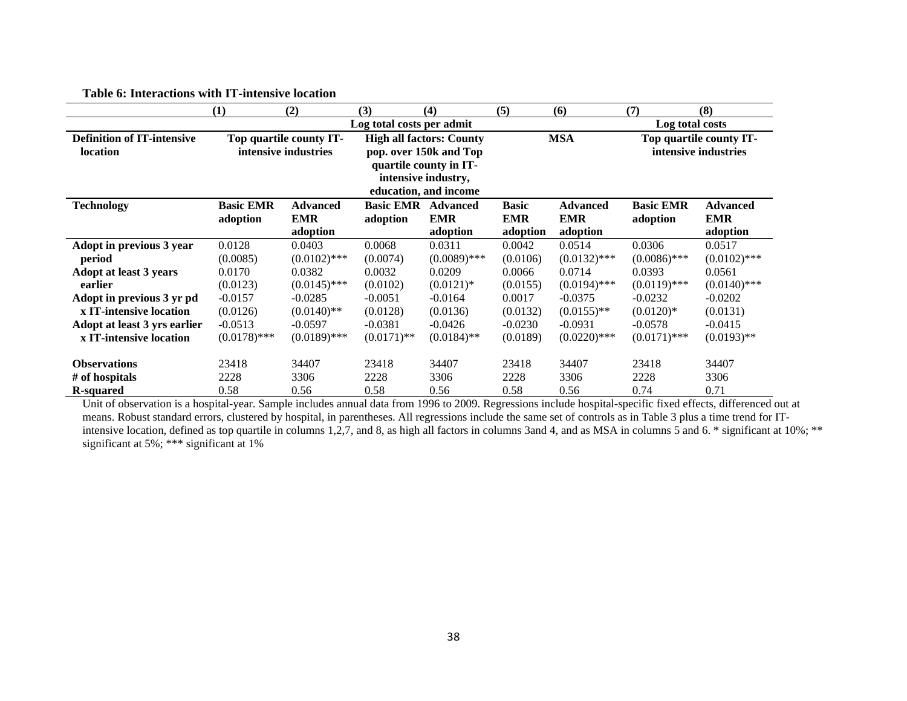|                                                      | (1)                          | (2)                                             | (3)                          | (4)                                                                                                                                 | (5)                                    | (6)                                       | (7)                                             | (8)                                       |  |
|------------------------------------------------------|------------------------------|-------------------------------------------------|------------------------------|-------------------------------------------------------------------------------------------------------------------------------------|----------------------------------------|-------------------------------------------|-------------------------------------------------|-------------------------------------------|--|
|                                                      |                              |                                                 | Log total costs per admit    |                                                                                                                                     |                                        |                                           | Log total costs                                 |                                           |  |
| <b>Definition of IT-intensive</b><br><b>location</b> |                              | Top quartile county IT-<br>intensive industries |                              | <b>High all factors: County</b><br>pop. over 150k and Top<br>quartile county in IT-<br>intensive industry,<br>education, and income |                                        | <b>MSA</b>                                | Top quartile county IT-<br>intensive industries |                                           |  |
| <b>Technology</b>                                    | <b>Basic EMR</b><br>adoption | <b>Advanced</b><br><b>EMR</b><br>adoption       | <b>Basic EMR</b><br>adoption | <b>Advanced</b><br><b>EMR</b><br>adoption                                                                                           | <b>Basic</b><br><b>EMR</b><br>adoption | <b>Advanced</b><br><b>EMR</b><br>adoption | <b>Basic EMR</b><br>adoption                    | <b>Advanced</b><br><b>EMR</b><br>adoption |  |
| Adopt in previous 3 year                             | 0.0128                       | 0.0403                                          | 0.0068                       | 0.0311                                                                                                                              | 0.0042                                 | 0.0514                                    | 0.0306                                          | 0.0517                                    |  |
| period                                               | (0.0085)                     | $(0.0102)$ ***                                  | (0.0074)                     | $(0.0089)$ ***                                                                                                                      | (0.0106)                               | $(0.0132)$ ***                            | $(0.0086)$ ***                                  | $(0.0102)$ ***                            |  |
| <b>Adopt at least 3 years</b>                        | 0.0170                       | 0.0382                                          | 0.0032                       | 0.0209                                                                                                                              | 0.0066                                 | 0.0714                                    | 0.0393                                          | 0.0561                                    |  |
| earlier                                              | (0.0123)                     | $(0.0145)$ ***                                  | (0.0102)                     | $(0.0121)$ *                                                                                                                        | (0.0155)                               | $(0.0194)$ ***                            | $(0.0119)$ ***                                  | $(0.0140)$ ***                            |  |
| Adopt in previous 3 yr pd                            | $-0.0157$                    | $-0.0285$                                       | $-0.0051$                    | $-0.0164$                                                                                                                           | 0.0017                                 | $-0.0375$                                 | $-0.0232$                                       | $-0.0202$                                 |  |
| x IT-intensive location                              | (0.0126)                     | $(0.0140)$ **                                   | (0.0128)                     | (0.0136)                                                                                                                            | (0.0132)                               | $(0.0155)$ **                             | $(0.0120)*$                                     | (0.0131)                                  |  |
| Adopt at least 3 yrs earlier                         | $-0.0513$                    | $-0.0597$                                       | $-0.0381$                    | $-0.0426$                                                                                                                           | $-0.0230$                              | $-0.0931$                                 | $-0.0578$                                       | $-0.0415$                                 |  |
| x IT-intensive location                              | $(0.0178)$ ***               | $(0.0189)$ ***                                  | $(0.0171)$ **                | $(0.0184)$ **                                                                                                                       | (0.0189)                               | $(0.0220)$ ***                            | $(0.0171)$ ***                                  | $(0.0193)$ **                             |  |
| <b>Observations</b>                                  | 23418                        | 34407                                           | 23418                        | 34407                                                                                                                               | 23418                                  | 34407                                     | 23418                                           | 34407                                     |  |
| # of hospitals                                       | 2228                         | 3306                                            | 2228                         | 3306                                                                                                                                | 2228                                   | 3306                                      | 2228                                            | 3306                                      |  |
| <b>R</b> -squared                                    | 0.58                         | 0.56                                            | 0.58                         | 0.56                                                                                                                                | 0.58                                   | 0.56                                      | 0.74                                            | 0.71                                      |  |

**Table 6: Interactions with IT-intensive location** 

Unit of observation is a hospital-year. Sample includes annual data from 1996 to 2009. Regressions include hospital-specific fixed effects, differenced out at means. Robust standard errors, clustered by hospital, in parentheses. All regressions include the same set of controls as in Table 3 plus a time trend for ITintensive location, defined as top quartile in columns 1,2,7, and 8, as high all factors in columns 3and 4, and as MSA in columns 5 and 6. \* significant at 10%; \*\* significant at 5%; \*\*\* significant at 1%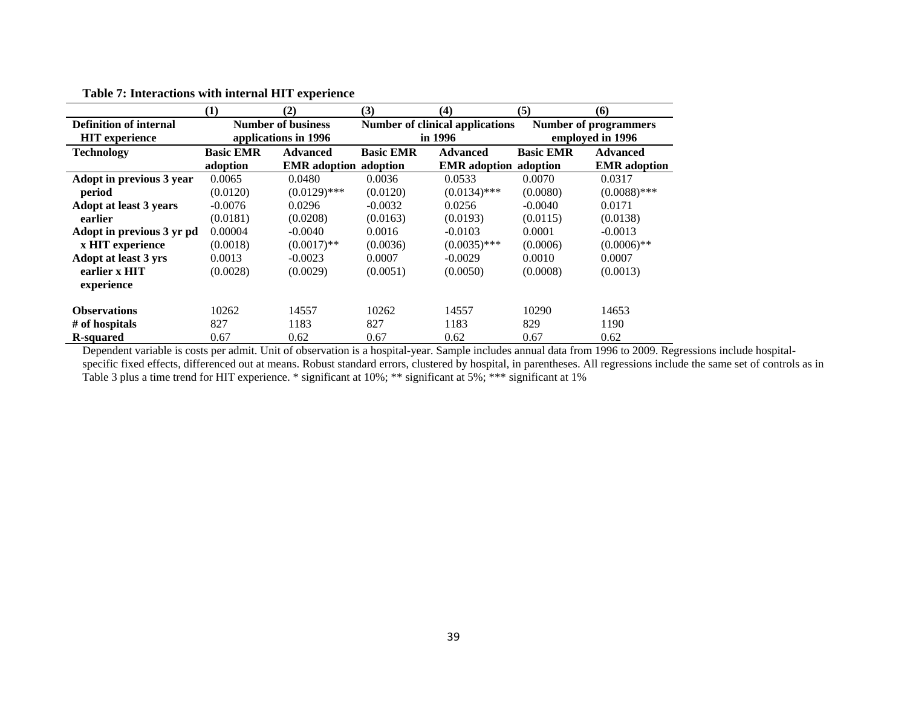|                                                        | (1)              | (2)                                               | (3)              | (4)                                               | (5)              | (6)                                              |  |  |
|--------------------------------------------------------|------------------|---------------------------------------------------|------------------|---------------------------------------------------|------------------|--------------------------------------------------|--|--|
| <b>Definition of internal</b><br><b>HIT</b> experience |                  | <b>Number of business</b><br>applications in 1996 |                  | <b>Number of clinical applications</b><br>in 1996 |                  | <b>Number of programmers</b><br>employed in 1996 |  |  |
| <b>Technology</b>                                      | <b>Basic EMR</b> | <b>Advanced</b>                                   | <b>Basic EMR</b> | <b>Advanced</b>                                   | <b>Basic EMR</b> | <b>Advanced</b>                                  |  |  |
|                                                        | adoption         | <b>EMR</b> adoption adoption                      |                  | <b>EMR</b> adoption adoption                      |                  | <b>EMR</b> adoption                              |  |  |
| Adopt in previous 3 year                               | 0.0065           | 0.0480                                            | 0.0036           | 0.0533                                            | 0.0070           | 0.0317                                           |  |  |
| period                                                 | (0.0120)         | $(0.0129)$ ***                                    | (0.0120)         | $(0.0134)$ ***                                    | (0.0080)         | $(0.0088)$ ***                                   |  |  |
| <b>Adopt at least 3 years</b>                          | $-0.0076$        | 0.0296                                            | $-0.0032$        | 0.0256                                            | $-0.0040$        | 0.0171                                           |  |  |
| earlier                                                | (0.0181)         | (0.0208)                                          | (0.0163)         | (0.0193)                                          | (0.0115)         | (0.0138)                                         |  |  |
| Adopt in previous 3 yr pd                              | 0.00004          | $-0.0040$                                         | 0.0016           | $-0.0103$                                         | 0.0001           | $-0.0013$                                        |  |  |
| x HIT experience                                       | (0.0018)         | $(0.0017)$ **                                     | (0.0036)         | $(0.0035)$ ***                                    | (0.0006)         | $(0.0006)$ **                                    |  |  |
| Adopt at least 3 yrs                                   | 0.0013           | $-0.0023$                                         | 0.0007           | $-0.0029$                                         | 0.0010           | 0.0007                                           |  |  |
| earlier x HIT                                          | (0.0028)         | (0.0029)                                          | (0.0051)         | (0.0050)                                          | (0.0008)         | (0.0013)                                         |  |  |
| experience                                             |                  |                                                   |                  |                                                   |                  |                                                  |  |  |
| <b>Observations</b>                                    | 10262            | 14557                                             | 10262            | 14557                                             | 10290            | 14653                                            |  |  |
| # of hospitals                                         | 827              | 1183                                              | 827              | 1183                                              | 829              | 1190                                             |  |  |
| <b>R-squared</b>                                       | 0.67             | 0.62                                              | 0.67             | 0.62                                              | 0.67             | 0.62                                             |  |  |

# **Table 7: Interactions with internal HIT experience**

Dependent variable is costs per admit. Unit of observation is a hospital-year. Sample includes annual data from 1996 to 2009. Regressions include hospitalspecific fixed effects, differenced out at means. Robust standard errors, clustered by hospital, in parentheses. All regressions include the same set of controls as in Table 3 plus a time trend for HIT experience. \* significant at 10%; \*\* significant at 5%; \*\*\* significant at 1%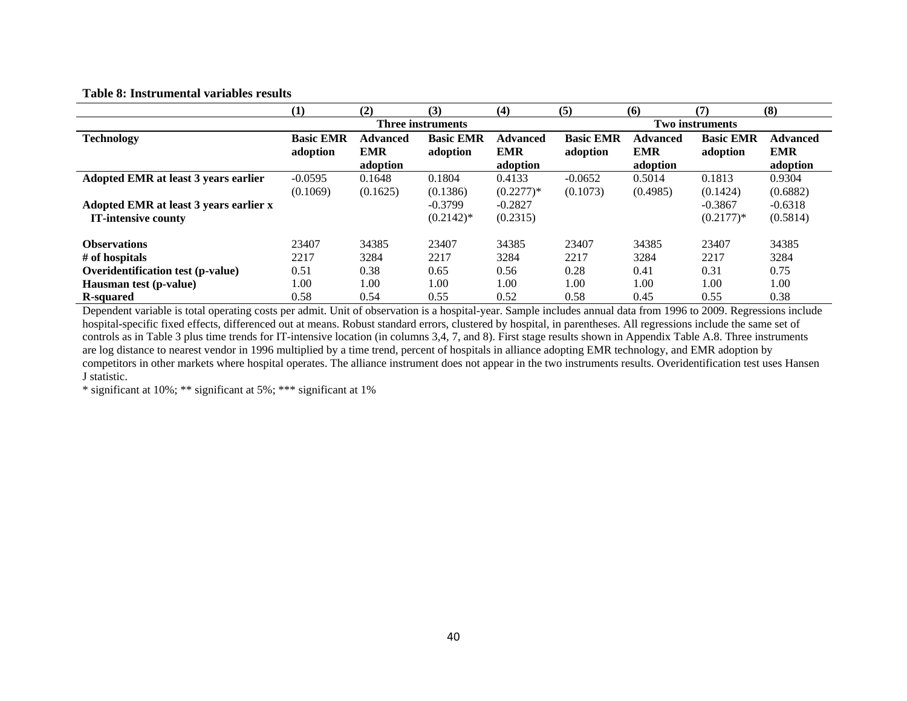#### **Table 8: Instrumental variables results**

|                                          | (1)              | (2)                      | (3)              | (4)                    | (5)              | (6)                    | (7)              | (8)                    |
|------------------------------------------|------------------|--------------------------|------------------|------------------------|------------------|------------------------|------------------|------------------------|
|                                          |                  | <b>Three instruments</b> |                  | <b>Two instruments</b> |                  |                        |                  |                        |
| <b>Technology</b>                        | <b>Basic EMR</b> | <b>Advanced</b>          | <b>Basic EMR</b> | <b>Advanced</b>        | <b>Basic EMR</b> | <b>Advanced</b>        | <b>Basic EMR</b> | <b>Advanced</b>        |
|                                          | adoption         | <b>EMR</b><br>adoption   | adoption         | <b>EMR</b><br>adoption | adoption         | <b>EMR</b><br>adoption | adoption         | <b>EMR</b><br>adoption |
| Adopted EMR at least 3 years earlier     | $-0.0595$        | 0.1648                   | 0.1804           | 0.4133                 | $-0.0652$        | 0.5014                 | 0.1813           | 0.9304                 |
|                                          | (0.1069)         | (0.1625)                 | (0.1386)         | $(0.2277)*$            | (0.1073)         | (0.4985)               | (0.1424)         | (0.6882)               |
| Adopted EMR at least 3 years earlier x   |                  |                          | $-0.3799$        | $-0.2827$              |                  |                        | $-0.3867$        | $-0.6318$              |
| <b>IT-intensive county</b>               |                  |                          | $(0.2142)^*$     | (0.2315)               |                  |                        | $(0.2177)*$      | (0.5814)               |
| <b>Observations</b>                      | 23407            | 34385                    | 23407            | 34385                  | 23407            | 34385                  | 23407            | 34385                  |
| # of hospitals                           | 2217             | 3284                     | 2217             | 3284                   | 2217             | 3284                   | 2217             | 3284                   |
| <b>Overidentification test (p-value)</b> | 0.51             | 0.38                     | 0.65             | 0.56                   | 0.28             | 0.41                   | 0.31             | 0.75                   |
| Hausman test (p-value)                   | 1.00             | 1.00                     | 1.00             | 1.00                   | 1.00             | 1.00                   | 1.00             | 1.00                   |
| <b>R</b> -squared                        | 0.58             | 0.54                     | 0.55             | 0.52                   | 0.58             | 0.45                   | 0.55             | 0.38                   |

Dependent variable is total operating costs per admit. Unit of observation is a hospital-year. Sample includes annual data from 1996 to 2009. Regressions include hospital-specific fixed effects, differenced out at means. Robust standard errors, clustered by hospital, in parentheses. All regressions include the same set of controls as in Table 3 plus time trends for IT-intensive location (in columns 3,4, 7, and 8). First stage results shown in Appendix Table A.8. Three instruments are log distance to nearest vendor in 1996 multiplied by a time trend, percent of hospitals in alliance adopting EMR technology, and EMR adoption by competitors in other markets where hospital operates. The alliance instrument does not appear in the two instruments results. Overidentification test uses Hansen J statistic.

\* significant at 10%; \*\* significant at 5%; \*\*\* significant at 1%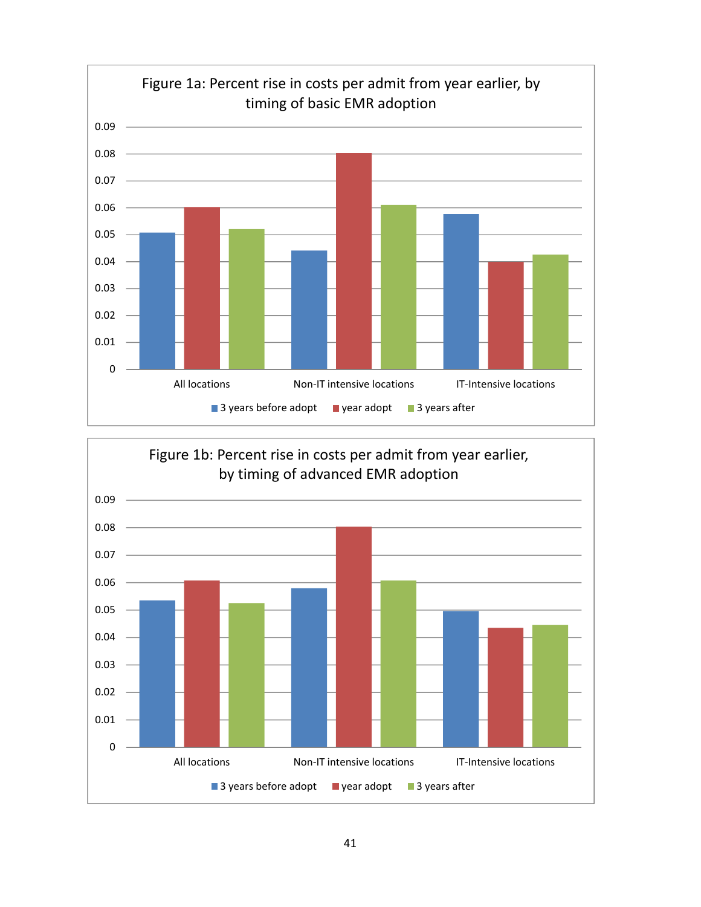

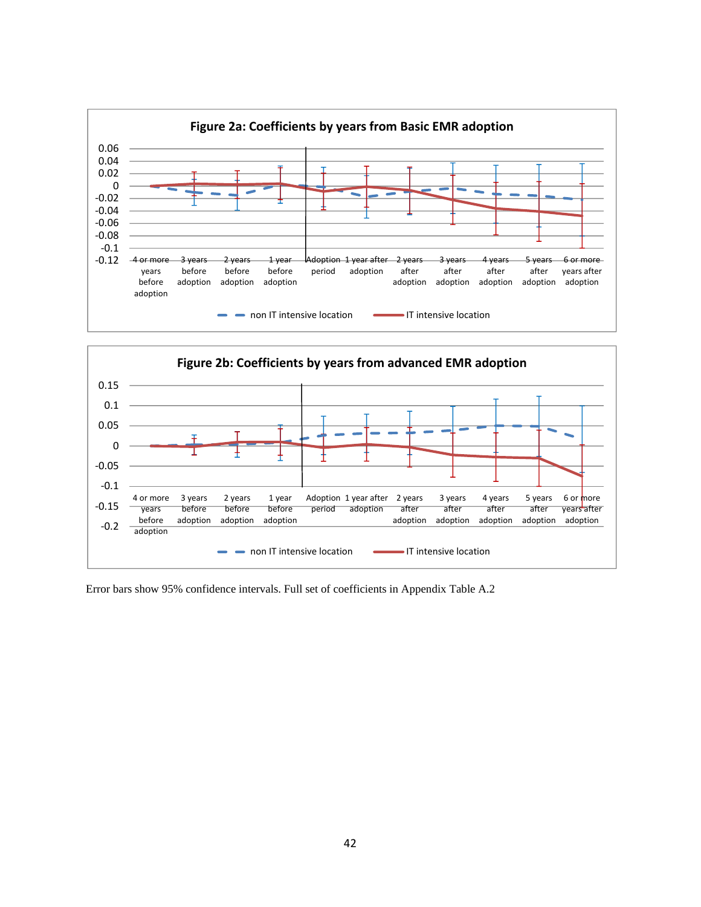



Error bars show 95% confidence intervals. Full set of coefficients in Appendix Table A.2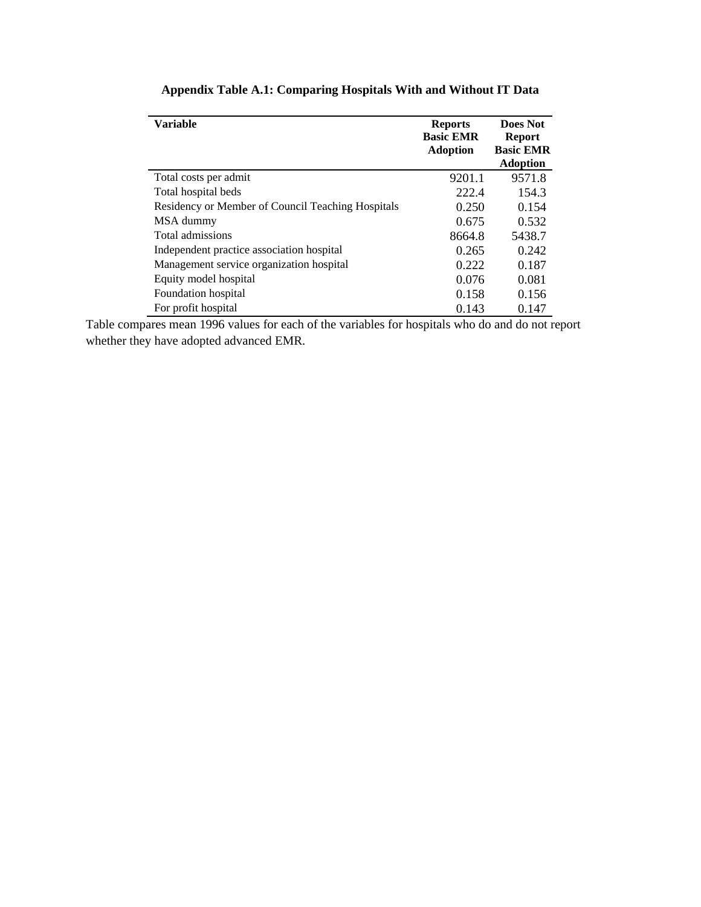| <b>Variable</b>                                   | <b>Reports</b><br><b>Basic EMR</b><br><b>Adoption</b> | Does Not<br><b>Report</b><br><b>Basic EMR</b> |
|---------------------------------------------------|-------------------------------------------------------|-----------------------------------------------|
|                                                   |                                                       | <b>Adoption</b>                               |
| Total costs per admit                             | 9201.1                                                | 9571.8                                        |
| Total hospital beds                               | 222.4                                                 | 154.3                                         |
| Residency or Member of Council Teaching Hospitals | 0.250                                                 | 0.154                                         |
| MSA dummy                                         | 0.675                                                 | 0.532                                         |
| Total admissions                                  | 8664.8                                                | 5438.7                                        |
| Independent practice association hospital         | 0.265                                                 | 0.242                                         |
| Management service organization hospital          | 0.222                                                 | 0.187                                         |
| Equity model hospital                             | 0.076                                                 | 0.081                                         |
| Foundation hospital                               | 0.158                                                 | 0.156                                         |
| For profit hospital                               | 0.143                                                 | 0.147                                         |

# **Appendix Table A.1: Comparing Hospitals With and Without IT Data**

Table compares mean 1996 values for each of the variables for hospitals who do and do not report whether they have adopted advanced EMR.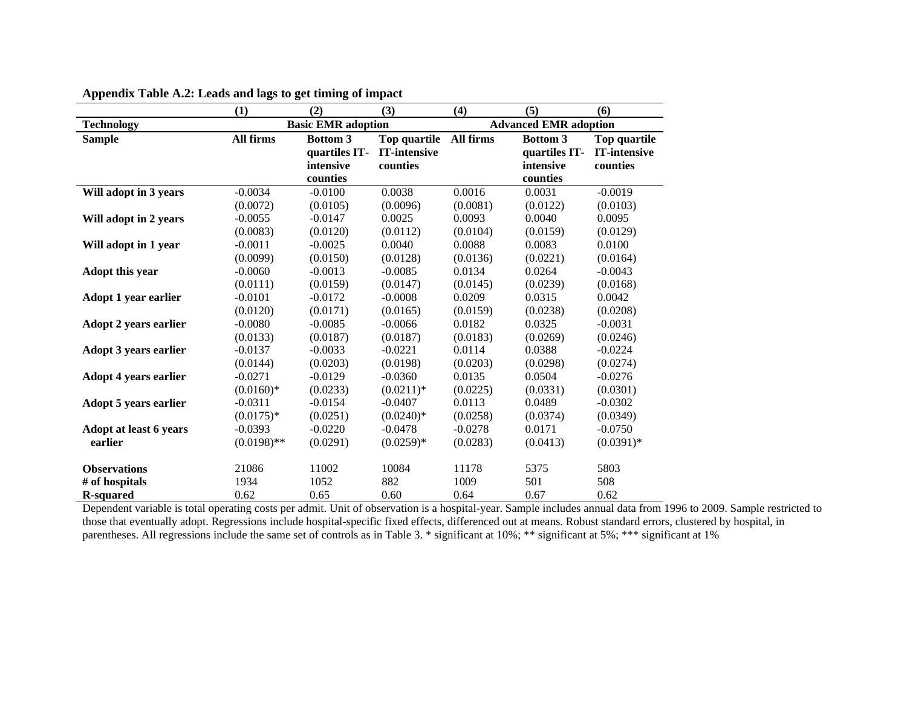|                              | (1)           | (2)                       | (3)                 | (4)              | (5)                          | (6)                 |
|------------------------------|---------------|---------------------------|---------------------|------------------|------------------------------|---------------------|
| <b>Technology</b>            |               | <b>Basic EMR adoption</b> |                     |                  | <b>Advanced EMR adoption</b> |                     |
| <b>Sample</b>                | All firms     | <b>Bottom 3</b>           | Top quartile        | <b>All firms</b> | <b>Bottom 3</b>              | Top quartile        |
|                              |               | quartiles IT-             | <b>IT-intensive</b> |                  | quartiles IT-                | <b>IT-intensive</b> |
|                              |               | intensive                 | counties            |                  | intensive                    | counties            |
|                              |               | counties                  |                     |                  | counties                     |                     |
| Will adopt in 3 years        | $-0.0034$     | $-0.0100$                 | 0.0038              | 0.0016           | 0.0031                       | $-0.0019$           |
|                              | (0.0072)      | (0.0105)                  | (0.0096)            | (0.0081)         | (0.0122)                     | (0.0103)            |
| Will adopt in 2 years        | $-0.0055$     | $-0.0147$                 | 0.0025              | 0.0093           | 0.0040                       | 0.0095              |
|                              | (0.0083)      | (0.0120)                  | (0.0112)            | (0.0104)         | (0.0159)                     | (0.0129)            |
| Will adopt in 1 year         | $-0.0011$     | $-0.0025$                 | 0.0040              | 0.0088           | 0.0083                       | 0.0100              |
|                              | (0.0099)      | (0.0150)                  | (0.0128)            | (0.0136)         | (0.0221)                     | (0.0164)            |
| Adopt this year              | $-0.0060$     | $-0.0013$                 | $-0.0085$           | 0.0134           | 0.0264                       | $-0.0043$           |
|                              | (0.0111)      | (0.0159)                  | (0.0147)            | (0.0145)         | (0.0239)                     | (0.0168)            |
| <b>Adopt 1 year earlier</b>  | $-0.0101$     | $-0.0172$                 | $-0.0008$           | 0.0209           | 0.0315                       | 0.0042              |
|                              | (0.0120)      | (0.0171)                  | (0.0165)            | (0.0159)         | (0.0238)                     | (0.0208)            |
| <b>Adopt 2 years earlier</b> | $-0.0080$     | $-0.0085$                 | $-0.0066$           | 0.0182           | 0.0325                       | $-0.0031$           |
|                              | (0.0133)      | (0.0187)                  | (0.0187)            | (0.0183)         | (0.0269)                     | (0.0246)            |
| <b>Adopt 3 years earlier</b> | $-0.0137$     | $-0.0033$                 | $-0.0221$           | 0.0114           | 0.0388                       | $-0.0224$           |
|                              | (0.0144)      | (0.0203)                  | (0.0198)            | (0.0203)         | (0.0298)                     | (0.0274)            |
| <b>Adopt 4 years earlier</b> | $-0.0271$     | $-0.0129$                 | $-0.0360$           | 0.0135           | 0.0504                       | $-0.0276$           |
|                              | $(0.0160)*$   | (0.0233)                  | $(0.0211)*$         | (0.0225)         | (0.0331)                     | (0.0301)            |
| Adopt 5 years earlier        | $-0.0311$     | $-0.0154$                 | $-0.0407$           | 0.0113           | 0.0489                       | $-0.0302$           |
|                              | $(0.0175)*$   | (0.0251)                  | $(0.0240)*$         | (0.0258)         | (0.0374)                     | (0.0349)            |
| Adopt at least 6 years       | $-0.0393$     | $-0.0220$                 | $-0.0478$           | $-0.0278$        | 0.0171                       | $-0.0750$           |
| earlier                      | $(0.0198)$ ** | (0.0291)                  | $(0.0259)*$         | (0.0283)         | (0.0413)                     | $(0.0391)*$         |
|                              |               |                           |                     |                  |                              |                     |
| <b>Observations</b>          | 21086         | 11002                     | 10084               | 11178            | 5375                         | 5803                |
| # of hospitals               | 1934          | 1052                      | 882                 | 1009             | 501                          | 508                 |
| <b>R-squared</b>             | 0.62          | 0.65                      | 0.60                | 0.64             | 0.67                         | 0.62                |

**Appendix Table A.2: Leads and lags to get timing of impact** 

Dependent variable is total operating costs per admit. Unit of observation is a hospital-year. Sample includes annual data from 1996 to 2009. Sample restricted to those that eventually adopt. Regressions include hospital-specific fixed effects, differenced out at means. Robust standard errors, clustered by hospital, in parentheses. All regressions include the same set of controls as in Table 3. \* significant at 10%; \*\* significant at 5%; \*\*\* significant at 1%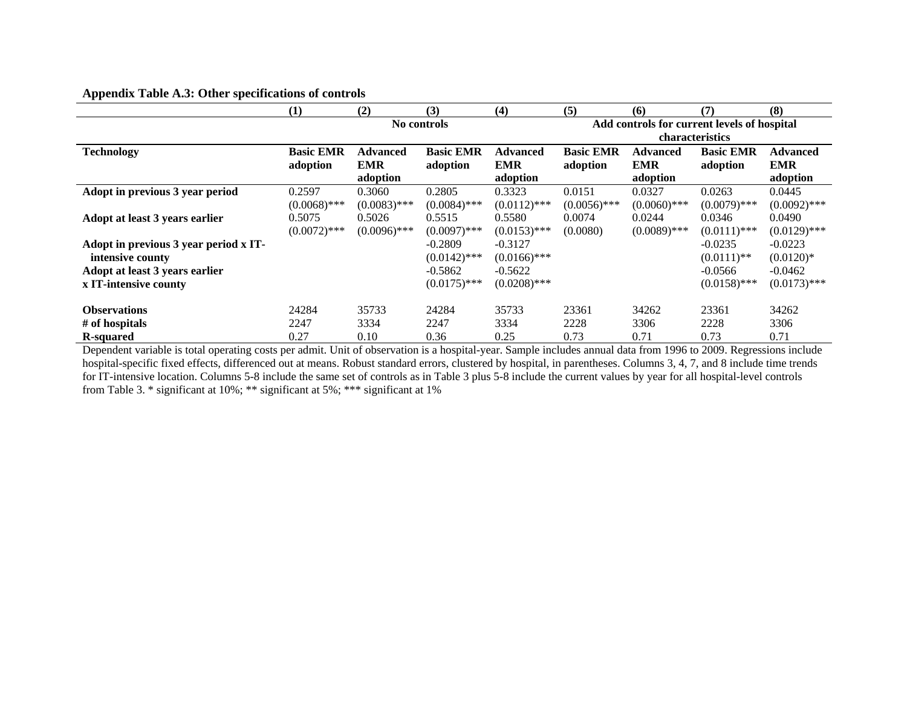| . .                                   |                  |                 |                  |                 |                  |                 |                                             |                 |
|---------------------------------------|------------------|-----------------|------------------|-----------------|------------------|-----------------|---------------------------------------------|-----------------|
|                                       | (1)              | (2)             | (3)              | (4)             | (5)              | (6)             | (7)                                         | (8)             |
|                                       |                  |                 | No controls      |                 |                  |                 | Add controls for current levels of hospital |                 |
|                                       |                  |                 |                  |                 |                  |                 | <b>characteristics</b>                      |                 |
| <b>Technology</b>                     | <b>Basic EMR</b> | <b>Advanced</b> | <b>Basic EMR</b> | <b>Advanced</b> | <b>Basic EMR</b> | <b>Advanced</b> | <b>Basic EMR</b>                            | <b>Advanced</b> |
|                                       | adoption         | <b>EMR</b>      | adoption         | <b>EMR</b>      | adoption         | <b>EMR</b>      | adoption                                    | <b>EMR</b>      |
|                                       |                  | adoption        |                  | adoption        |                  | adoption        |                                             | adoption        |
| Adopt in previous 3 year period       | 0.2597           | 0.3060          | 0.2805           | 0.3323          | 0.0151           | 0.0327          | 0.0263                                      | 0.0445          |
|                                       | $(0.0068)$ ***   | $(0.0083)$ ***  | $(0.0084)$ ***   | $(0.0112)$ ***  | $(0.0056)$ ***   | $(0.0060)$ ***  | $(0.0079)$ ***                              | $(0.0092)$ ***  |
| Adopt at least 3 years earlier        | 0.5075           | 0.5026          | 0.5515           | 0.5580          | 0.0074           | 0.0244          | 0.0346                                      | 0.0490          |
|                                       | $(0.0072)$ ***   | $(0.0096)$ ***  | $(0.0097)$ ***   | $(0.0153)$ ***  | (0.0080)         | $(0.0089)$ ***  | $(0.0111)$ ***                              | $(0.0129)$ ***  |
| Adopt in previous 3 year period x IT- |                  |                 | $-0.2809$        | $-0.3127$       |                  |                 | $-0.0235$                                   | $-0.0223$       |
| intensive county                      |                  |                 | $(0.0142)$ ***   | $(0.0166)$ ***  |                  |                 | $(0.0111)$ **                               | $(0.0120)*$     |
| Adopt at least 3 years earlier        |                  |                 | $-0.5862$        | $-0.5622$       |                  |                 | $-0.0566$                                   | $-0.0462$       |
| x IT-intensive county                 |                  |                 | $(0.0175)$ ***   | $(0.0208)$ ***  |                  |                 | $(0.0158)$ ***                              | $(0.0173)$ ***  |
|                                       |                  |                 |                  |                 |                  |                 |                                             |                 |
| <b>Observations</b>                   | 24284            | 35733           | 24284            | 35733           | 23361            | 34262           | 23361                                       | 34262           |
| # of hospitals                        | 2247             | 3334            | 2247             | 3334            | 2228             | 3306            | 2228                                        | 3306            |
| <b>R-squared</b>                      | 0.27             | 0.10            | 0.36             | 0.25            | 0.73             | 0.71            | 0.73                                        | 0.71            |

# **Appendix Table A.3: Other specifications of controls**

Dependent variable is total operating costs per admit. Unit of observation is a hospital-year. Sample includes annual data from 1996 to 2009. Regressions include hospital-specific fixed effects, differenced out at means. Robust standard errors, clustered by hospital, in parentheses. Columns 3, 4, 7, and 8 include time trends for IT-intensive location. Columns 5-8 include the same set of controls as in Table 3 plus 5-8 include the current values by year for all hospital-level controls from Table 3. \* significant at 10%; \*\* significant at 5%; \*\*\* significant at 1%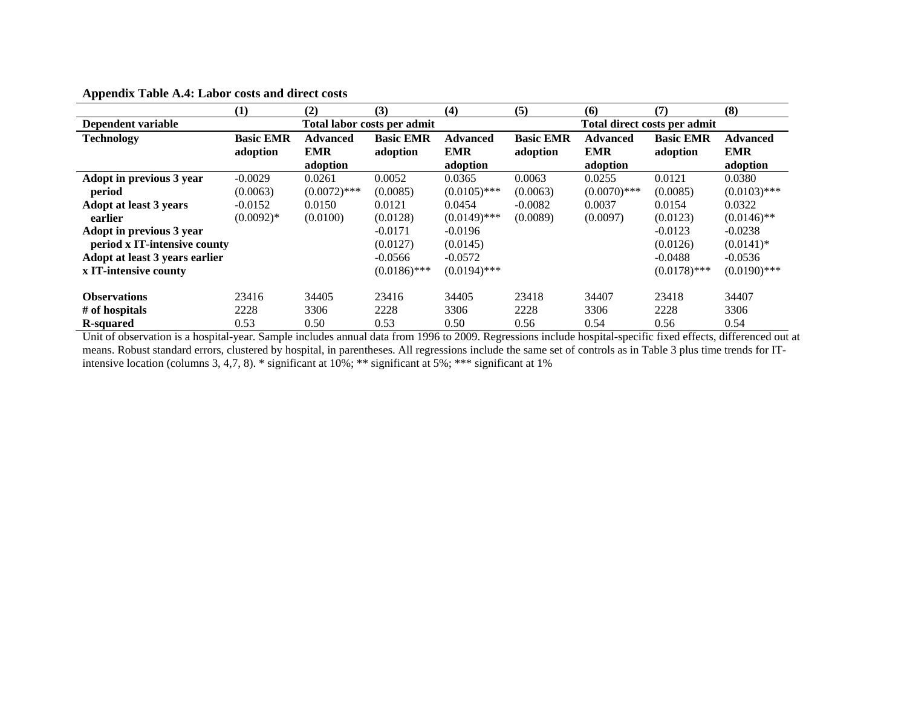|                                | (1)              | (2)             | (3)                         | (4)             | (5)              | (6)             | (7)                          | (8)             |
|--------------------------------|------------------|-----------------|-----------------------------|-----------------|------------------|-----------------|------------------------------|-----------------|
| Dependent variable             |                  |                 | Total labor costs per admit |                 |                  |                 | Total direct costs per admit |                 |
| <b>Technology</b>              | <b>Basic EMR</b> | <b>Advanced</b> | <b>Basic EMR</b>            | <b>Advanced</b> | <b>Basic EMR</b> | <b>Advanced</b> | <b>Basic EMR</b>             | <b>Advanced</b> |
|                                | adoption         | <b>EMR</b>      | adoption                    | <b>EMR</b>      | adoption         | <b>EMR</b>      | adoption                     | <b>EMR</b>      |
|                                |                  | adoption        |                             | adoption        |                  | adoption        |                              | adoption        |
| Adopt in previous 3 year       | $-0.0029$        | 0.0261          | 0.0052                      | 0.0365          | 0.0063           | 0.0255          | 0.0121                       | 0.0380          |
| period                         | (0.0063)         | $(0.0072)$ ***  | (0.0085)                    | $(0.0105)$ ***  | (0.0063)         | $(0.0070)$ ***  | (0.0085)                     | $(0.0103)$ ***  |
| <b>Adopt at least 3 years</b>  | $-0.0152$        | 0.0150          | 0.0121                      | 0.0454          | $-0.0082$        | 0.0037          | 0.0154                       | 0.0322          |
| earlier                        | $(0.0092)*$      | (0.0100)        | (0.0128)                    | $(0.0149)$ ***  | (0.0089)         | (0.0097)        | (0.0123)                     | $(0.0146)$ **   |
| Adopt in previous 3 year       |                  |                 | $-0.0171$                   | $-0.0196$       |                  |                 | $-0.0123$                    | $-0.0238$       |
| period x IT-intensive county   |                  |                 | (0.0127)                    | (0.0145)        |                  |                 | (0.0126)                     | $(0.0141)*$     |
| Adopt at least 3 years earlier |                  |                 | $-0.0566$                   | $-0.0572$       |                  |                 | $-0.0488$                    | $-0.0536$       |
| x IT-intensive county          |                  |                 | $(0.0186)$ ***              | $(0.0194)$ ***  |                  |                 | $(0.0178)$ ***               | $(0.0190)$ ***  |
|                                |                  |                 |                             |                 |                  |                 |                              |                 |
| <b>Observations</b>            | 23416            | 34405           | 23416                       | 34405           | 23418            | 34407           | 23418                        | 34407           |
| # of hospitals                 | 2228             | 3306            | 2228                        | 3306            | 2228             | 3306            | 2228                         | 3306            |
| R-squared                      | 0.53             | 0.50            | 0.53                        | 0.50            | 0.56             | 0.54            | 0.56                         | 0.54            |

## **Appendix Table A.4: Labor costs and direct costs**

Unit of observation is a hospital-year. Sample includes annual data from 1996 to 2009. Regressions include hospital-specific fixed effects, differenced out at means. Robust standard errors, clustered by hospital, in parentheses. All regressions include the same set of controls as in Table 3 plus time trends for ITintensive location (columns 3, 4,7, 8). \* significant at 10%; \*\* significant at 5%; \*\*\* significant at 1%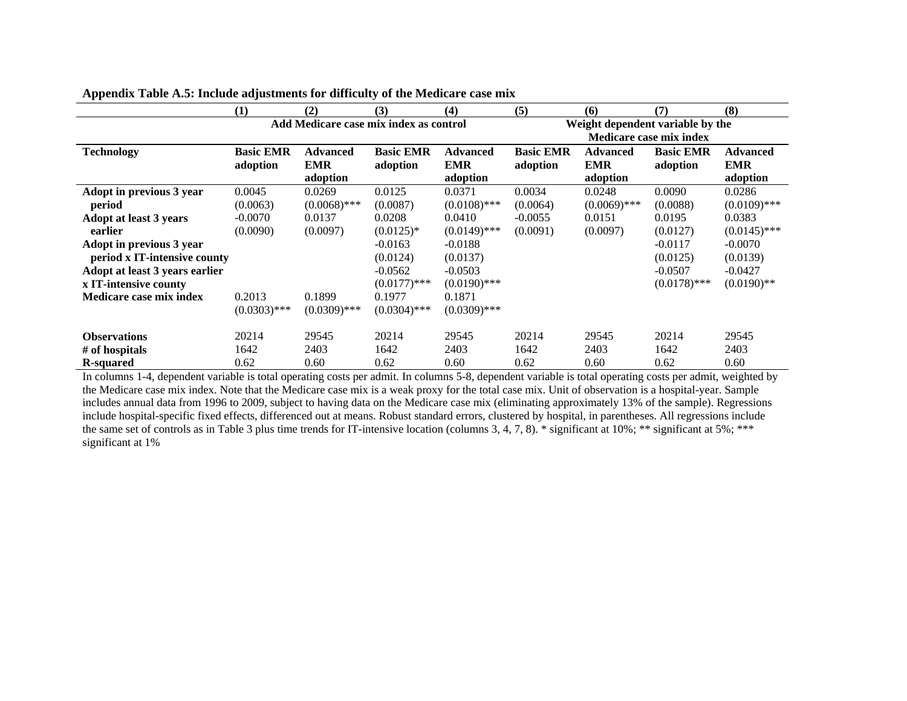|                                | (1)              | (2)                                    | (3)              | (4)             | (5)              | (6)             | (7)                              | (8)             |
|--------------------------------|------------------|----------------------------------------|------------------|-----------------|------------------|-----------------|----------------------------------|-----------------|
|                                |                  | Add Medicare case mix index as control |                  |                 |                  |                 | Weight dependent variable by the |                 |
|                                |                  |                                        |                  |                 |                  |                 | <b>Medicare case mix index</b>   |                 |
| <b>Technology</b>              | <b>Basic EMR</b> | <b>Advanced</b>                        | <b>Basic EMR</b> | <b>Advanced</b> | <b>Basic EMR</b> | <b>Advanced</b> | <b>Basic EMR</b>                 | <b>Advanced</b> |
|                                | adoption         | <b>EMR</b>                             | adoption         | <b>EMR</b>      | adoption         | <b>EMR</b>      | adoption                         | <b>EMR</b>      |
|                                |                  | adoption                               |                  | adoption        |                  | adoption        |                                  | adoption        |
| Adopt in previous 3 year       | 0.0045           | 0.0269                                 | 0.0125           | 0.0371          | 0.0034           | 0.0248          | 0.0090                           | 0.0286          |
| period                         | (0.0063)         | $(0.0068)$ ***                         | (0.0087)         | $(0.0108)$ ***  | (0.0064)         | $(0.0069)$ ***  | (0.0088)                         | $(0.0109)$ ***  |
| Adopt at least 3 years         | $-0.0070$        | 0.0137                                 | 0.0208           | 0.0410          | $-0.0055$        | 0.0151          | 0.0195                           | 0.0383          |
| earlier                        | (0.0090)         | (0.0097)                               | $(0.0125)*$      | $(0.0149)$ ***  | (0.0091)         | (0.0097)        | (0.0127)                         | $(0.0145)$ ***  |
| Adopt in previous 3 year       |                  |                                        | $-0.0163$        | $-0.0188$       |                  |                 | $-0.0117$                        | $-0.0070$       |
| period x IT-intensive county   |                  |                                        | (0.0124)         | (0.0137)        |                  |                 | (0.0125)                         | (0.0139)        |
| Adopt at least 3 years earlier |                  |                                        | $-0.0562$        | $-0.0503$       |                  |                 | $-0.0507$                        | $-0.0427$       |
| x IT-intensive county          |                  |                                        | $(0.0177)$ ***   | $(0.0190)$ ***  |                  |                 | $(0.0178)$ ***                   | $(0.0190)$ **   |
| <b>Medicare case mix index</b> | 0.2013           | 0.1899                                 | 0.1977           | 0.1871          |                  |                 |                                  |                 |
|                                | $(0.0303)$ ***   | $(0.0309)$ ***                         | $(0.0304)$ ***   | $(0.0309)$ ***  |                  |                 |                                  |                 |
| <b>Observations</b>            | 20214            | 29545                                  | 20214            | 29545           | 20214            | 29545           | 20214                            | 29545           |
| # of hospitals                 | 1642             | 2403                                   | 1642             | 2403            | 1642             | 2403            | 1642                             | 2403            |
| <b>R-squared</b>               | 0.62             | 0.60                                   | 0.62             | 0.60            | 0.62             | 0.60            | 0.62                             | 0.60            |

|  |  |  |  | Appendix Table A.5: Include adjustments for difficulty of the Medicare case mix |  |  |  |
|--|--|--|--|---------------------------------------------------------------------------------|--|--|--|
|  |  |  |  |                                                                                 |  |  |  |

In columns 1-4, dependent variable is total operating costs per admit. In columns 5-8, dependent variable is total operating costs per admit, weighted by the Medicare case mix index. Note that the Medicare case mix is a weak proxy for the total case mix. Unit of observation is a hospital-year. Sample includes annual data from 1996 to 2009, subject to having data on the Medicare case mix (eliminating approximately 13% of the sample). Regressions include hospital-specific fixed effects, differenced out at means. Robust standard errors, clustered by hospital, in parentheses. All regressions include the same set of controls as in Table 3 plus time trends for IT-intensive location (columns 3, 4, 7, 8).  $*$  significant at 10%; \*\* significant at 5%; \*\*\* significant at 1%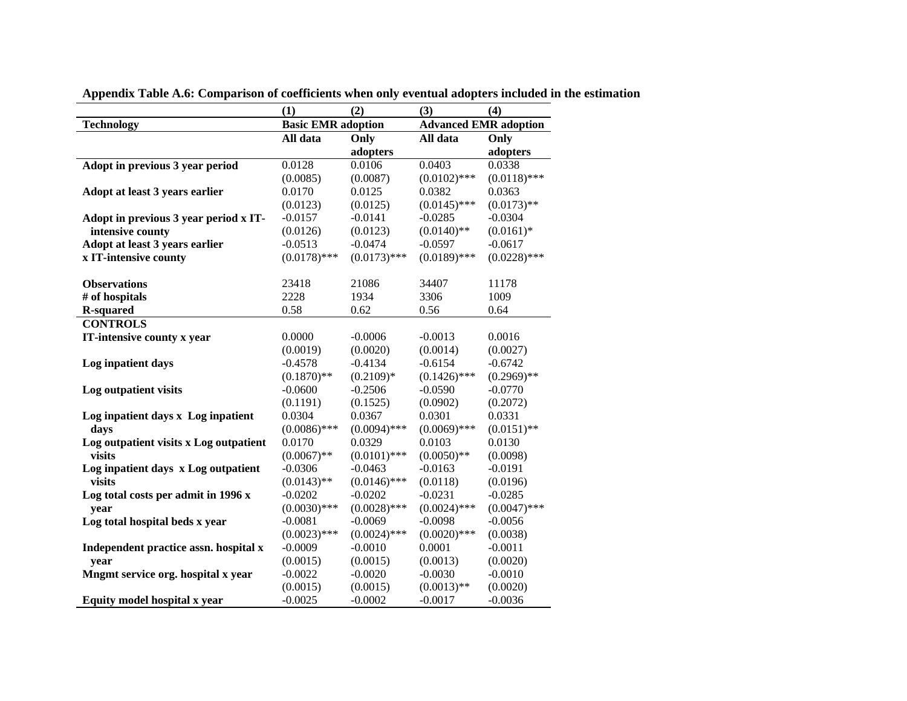|                                        | (1)                       | (2)            | (3)                          | (4)            |
|----------------------------------------|---------------------------|----------------|------------------------------|----------------|
| <b>Technology</b>                      | <b>Basic EMR adoption</b> |                | <b>Advanced EMR adoption</b> |                |
|                                        | All data                  | Only           | All data                     | Only           |
|                                        |                           | adopters       |                              | adopters       |
| Adopt in previous 3 year period        | 0.0128                    | 0.0106         | 0.0403                       | 0.0338         |
|                                        | (0.0085)                  | (0.0087)       | $(0.0102)$ ***               | $(0.0118)$ *** |
| Adopt at least 3 years earlier         | 0.0170                    | 0.0125         | 0.0382                       | 0.0363         |
|                                        | (0.0123)                  | (0.0125)       | $(0.0145)$ ***               | $(0.0173)$ **  |
| Adopt in previous 3 year period x IT-  | $-0.0157$                 | $-0.0141$      | $-0.0285$                    | $-0.0304$      |
| intensive county                       | (0.0126)                  | (0.0123)       | $(0.0140)$ **                | $(0.0161)*$    |
| Adopt at least 3 years earlier         | $-0.0513$                 | $-0.0474$      | $-0.0597$                    | $-0.0617$      |
| x IT-intensive county                  | $(0.0178)$ ***            | $(0.0173)$ *** | $(0.0189)$ ***               | $(0.0228)$ *** |
|                                        |                           |                |                              |                |
| <b>Observations</b>                    | 23418                     | 21086          | 34407                        | 11178          |
| # of hospitals                         | 2228                      | 1934           | 3306                         | 1009           |
| <b>R-squared</b>                       | 0.58                      | 0.62           | 0.56                         | 0.64           |
| <b>CONTROLS</b>                        |                           |                |                              |                |
| IT-intensive county x year             | 0.0000                    | $-0.0006$      | $-0.0013$                    | 0.0016         |
|                                        | (0.0019)                  | (0.0020)       | (0.0014)                     | (0.0027)       |
| Log inpatient days                     | $-0.4578$                 | $-0.4134$      | $-0.6154$                    | $-0.6742$      |
|                                        | $(0.1870)$ **             | $(0.2109)*$    | $(0.1426)$ ***               | $(0.2969)$ **  |
| Log outpatient visits                  | $-0.0600$                 | $-0.2506$      | $-0.0590$                    | $-0.0770$      |
|                                        | (0.1191)                  | (0.1525)       | (0.0902)                     | (0.2072)       |
| Log inpatient days x Log inpatient     | 0.0304                    | 0.0367         | 0.0301                       | 0.0331         |
| days                                   | $(0.0086)$ ***            | $(0.0094)$ *** | $(0.0069)$ ***               | $(0.0151)$ **  |
| Log outpatient visits x Log outpatient | 0.0170                    | 0.0329         | 0.0103                       | 0.0130         |
| visits                                 | $(0.0067)$ **             | $(0.0101)$ *** | $(0.0050)$ **                | (0.0098)       |
| Log inpatient days x Log outpatient    | $-0.0306$                 | $-0.0463$      | $-0.0163$                    | $-0.0191$      |
| visits                                 | $(0.0143)$ **             | $(0.0146)$ *** | (0.0118)                     | (0.0196)       |
| Log total costs per admit in 1996 x    | $-0.0202$                 | $-0.0202$      | $-0.0231$                    | $-0.0285$      |
| year                                   | $(0.0030)$ ***            | $(0.0028)$ *** | $(0.0024)$ ***               | $(0.0047)$ *** |
| Log total hospital beds x year         | $-0.0081$                 | $-0.0069$      | $-0.0098$                    | $-0.0056$      |
|                                        | $(0.0023)$ ***            | $(0.0024)$ *** | $(0.0020)$ ***               | (0.0038)       |
| Independent practice assn. hospital x  | $-0.0009$                 | $-0.0010$      | 0.0001                       | $-0.0011$      |
| year                                   | (0.0015)                  | (0.0015)       | (0.0013)                     | (0.0020)       |
| Mngmt service org. hospital x year     | $-0.0022$                 | $-0.0020$      | $-0.0030$                    | $-0.0010$      |
|                                        | (0.0015)                  | (0.0015)       | $(0.0013)$ **                | (0.0020)       |
| Equity model hospital x year           | $-0.0025$                 | $-0.0002$      | $-0.0017$                    | $-0.0036$      |

**Appendix Table A.6: Comparison of coefficients when only eventual adopters included in the estimation**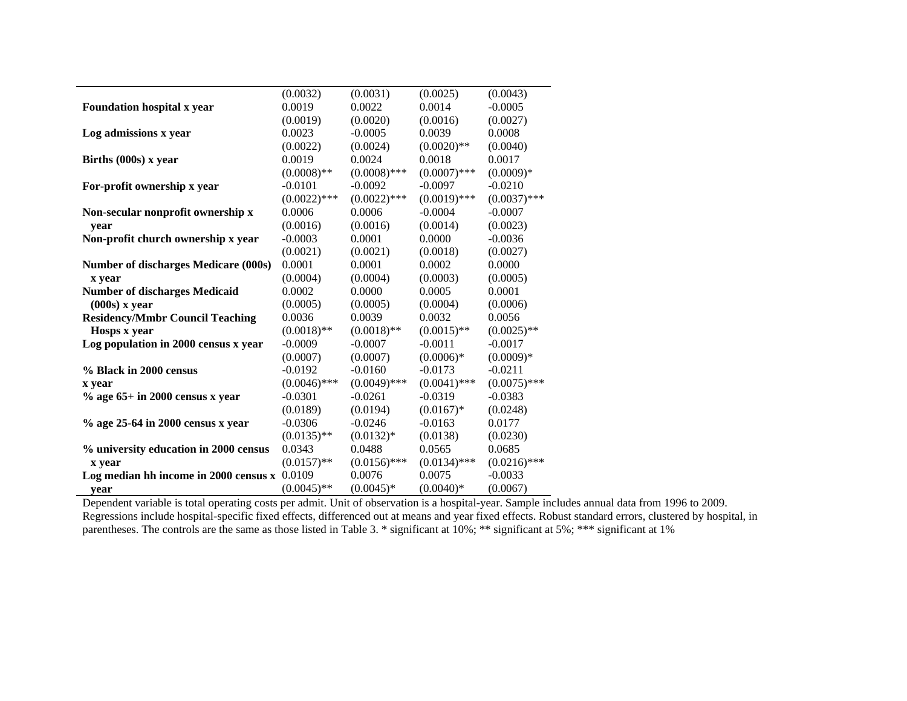|                                             | (0.0032)       | (0.0031)       | (0.0025)       | (0.0043)       |
|---------------------------------------------|----------------|----------------|----------------|----------------|
| Foundation hospital x year                  | 0.0019         | 0.0022         | 0.0014         | $-0.0005$      |
|                                             | (0.0019)       | (0.0020)       | (0.0016)       | (0.0027)       |
| Log admissions x year                       | 0.0023         | $-0.0005$      | 0.0039         | 0.0008         |
|                                             | (0.0022)       | (0.0024)       | $(0.0020)$ **  | (0.0040)       |
| Births (000s) x year                        | 0.0019         | 0.0024         | 0.0018         | 0.0017         |
|                                             | $(0.0008)$ **  | $(0.0008)$ *** | $(0.0007)$ *** | $(0.0009)*$    |
| For-profit ownership x year                 | $-0.0101$      | $-0.0092$      | $-0.0097$      | $-0.0210$      |
|                                             | $(0.0022)$ *** | $(0.0022)$ *** | $(0.0019)$ *** | $(0.0037)$ *** |
| Non-secular nonprofit ownership x           | 0.0006         | 0.0006         | $-0.0004$      | $-0.0007$      |
| year                                        | (0.0016)       | (0.0016)       | (0.0014)       | (0.0023)       |
| Non-profit church ownership x year          | $-0.0003$      | 0.0001         | 0.0000         | $-0.0036$      |
|                                             | (0.0021)       | (0.0021)       | (0.0018)       | (0.0027)       |
| <b>Number of discharges Medicare (000s)</b> | 0.0001         | 0.0001         | 0.0002         | 0.0000         |
| x year                                      | (0.0004)       | (0.0004)       | (0.0003)       | (0.0005)       |
| <b>Number of discharges Medicaid</b>        | 0.0002         | 0.0000         | 0.0005         | 0.0001         |
| $(000s)$ x year                             | (0.0005)       | (0.0005)       | (0.0004)       | (0.0006)       |
| <b>Residency/Mmbr Council Teaching</b>      | 0.0036         | 0.0039         | 0.0032         | 0.0056         |
| Hosps x year                                | $(0.0018)$ **  | $(0.0018)$ **  | $(0.0015)$ **  | $(0.0025)$ **  |
| Log population in 2000 census x year        | $-0.0009$      | $-0.0007$      | $-0.0011$      | $-0.0017$      |
|                                             | (0.0007)       | (0.0007)       | $(0.0006)*$    | $(0.0009)*$    |
| % Black in 2000 census                      | $-0.0192$      | $-0.0160$      | $-0.0173$      | $-0.0211$      |
| x year                                      | $(0.0046)$ *** | $(0.0049)$ *** | $(0.0041)$ *** | $(0.0075)$ *** |
| $\%$ age 65+ in 2000 census x year          | $-0.0301$      | $-0.0261$      | $-0.0319$      | $-0.0383$      |
|                                             | (0.0189)       | (0.0194)       | $(0.0167)*$    | (0.0248)       |
| % age 25-64 in 2000 census x year           | $-0.0306$      | $-0.0246$      | $-0.0163$      | 0.0177         |
|                                             | $(0.0135)$ **  | $(0.0132)*$    | (0.0138)       | (0.0230)       |
| % university education in 2000 census       | 0.0343         | 0.0488         | 0.0565         | 0.0685         |
| x year                                      | $(0.0157)$ **  | $(0.0156)$ *** | $(0.0134)$ *** | $(0.0216)$ *** |
| Log median hh income in 2000 census x       | 0.0109         | 0.0076         | 0.0075         | $-0.0033$      |
| vear                                        | $(0.0045)$ **  | $(0.0045)*$    | $(0.0040)*$    | (0.0067)       |

Dependent variable is total operating costs per admit. Unit of observation is a hospital-year. Sample includes annual data from 1996 to 2009. Regressions include hospital-specific fixed effects, differenced out at means and year fixed effects. Robust standard errors, clustered by hospital, in parentheses. The controls are the same as those listed in Table 3. \* significant at 10%; \*\* significant at 5%; \*\*\* significant at 1%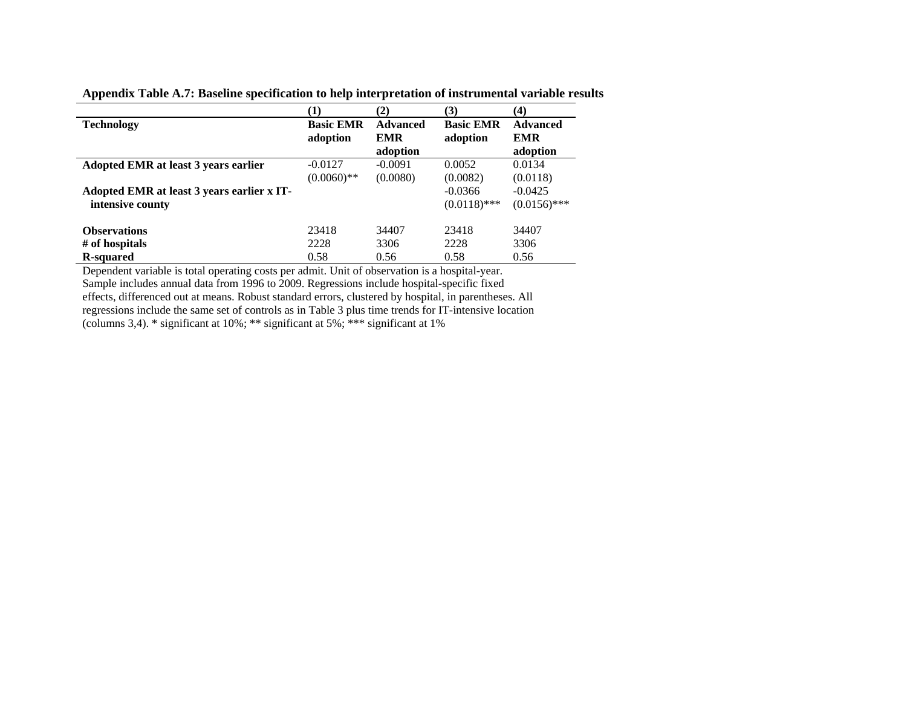**Appendix Table A.7: Baseline specification to help interpretation of instrumental variable results** 

|                                                                |                              | (2)                                       | (3)                          | $\boldsymbol{(4)}$                        |
|----------------------------------------------------------------|------------------------------|-------------------------------------------|------------------------------|-------------------------------------------|
| <b>Technology</b>                                              | <b>Basic EMR</b><br>adoption | <b>Advanced</b><br><b>EMR</b><br>adoption | <b>Basic EMR</b><br>adoption | <b>Advanced</b><br><b>EMR</b><br>adoption |
| Adopted EMR at least 3 years earlier                           | $-0.0127$<br>$(0.0060)$ **   | $-0.0091$<br>(0.0080)                     | 0.0052<br>(0.0082)           | 0.0134<br>(0.0118)                        |
| Adopted EMR at least 3 years earlier x IT-<br>intensive county |                              |                                           | $-0.0366$<br>$(0.0118)$ ***  | $-0.0425$<br>$(0.0156)$ ***               |
| <b>Observations</b>                                            | 23418                        | 34407                                     | 23418                        | 34407                                     |
| # of hospitals                                                 | 2228                         | 3306                                      | 2228                         | 3306                                      |
| <b>R</b> -squared                                              | 0.58                         | 0.56                                      | 0.58                         | 0.56                                      |

Dependent variable is total operating costs per admit. Unit of observation is a hospital-year. Sample includes annual data from 1996 to 2009. Regressions include hospital-specific fixed effects, differenced out at means. Robust standard errors, clustered by hospital, in parentheses. All regressions include the same set of controls as in Table 3 plus time trends for IT-intensive location (columns 3,4). \* significant at 10%; \*\* significant at 5%; \*\*\* significant at 1%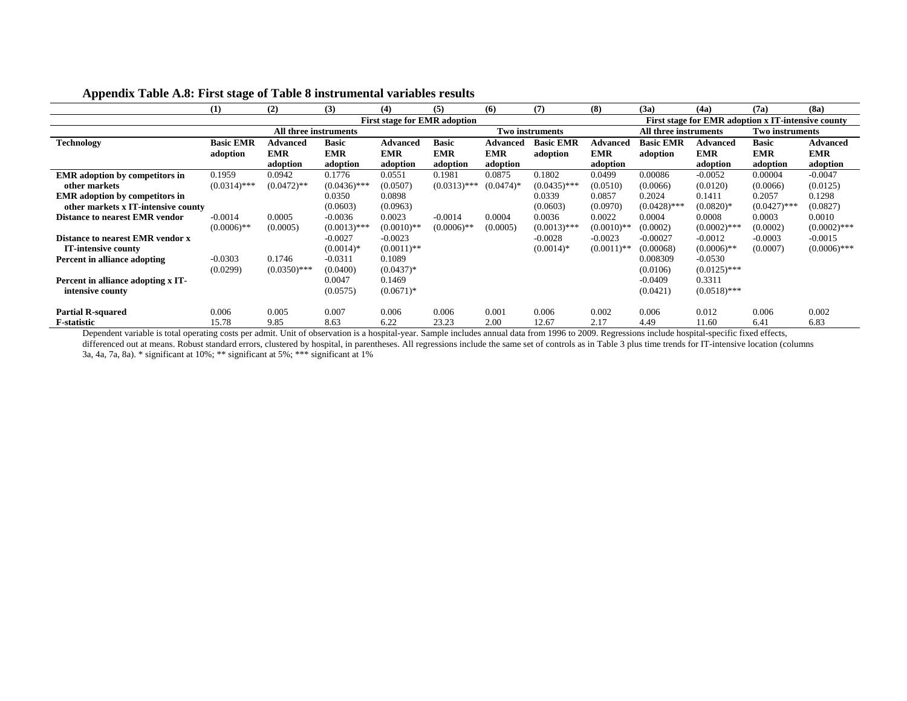|                                       | (1)              | (2)                   | (3)            | (4)                                 | (5)            | (6)             | (7)                    | (8)           | (3a)                  | (4a)                                               | (7a)            | (8a)            |
|---------------------------------------|------------------|-----------------------|----------------|-------------------------------------|----------------|-----------------|------------------------|---------------|-----------------------|----------------------------------------------------|-----------------|-----------------|
|                                       |                  |                       |                | <b>First stage for EMR adoption</b> |                |                 |                        |               |                       | First stage for EMR adoption x IT-intensive county |                 |                 |
|                                       |                  | All three instruments |                |                                     |                |                 | <b>Two instruments</b> |               | All three instruments |                                                    | Two instruments |                 |
| <b>Technology</b>                     | <b>Basic EMR</b> | <b>Advanced</b>       | <b>Basic</b>   | <b>Advanced</b>                     | <b>Basic</b>   | <b>Advanced</b> | <b>Basic EMR</b>       | Advanced      | <b>Basic EMR</b>      | <b>Advanced</b>                                    | <b>Basic</b>    | <b>Advanced</b> |
|                                       | adoption         | <b>EMR</b>            | <b>EMR</b>     | <b>EMR</b>                          | <b>EMR</b>     | <b>EMR</b>      | adoption               | <b>EMR</b>    | adoption              | <b>EMR</b>                                         | <b>EMR</b>      | <b>EMR</b>      |
|                                       |                  | adoption              | adoption       | adoption                            | adoption       | adoption        |                        | adoption      |                       | adoption                                           | adoption        | adoption        |
| <b>EMR</b> adoption by competitors in | 0.1959           | 0.0942                | 0.1776         | 0.0551                              | 0.1981         | 0.0875          | 0.1802                 | 0.0499        | 0.00086               | $-0.0052$                                          | 0.00004         | $-0.0047$       |
| other markets                         | $(0.0314)$ ***   | $(0.0472)$ **         | $(0.0436)$ *** | (0.0507)                            | $(0.0313)$ *** | $(0.0474)*$     | $(0.0435)$ ***         | (0.0510)      | (0.0066)              | (0.0120)                                           | (0.0066)        | (0.0125)        |
| <b>EMR</b> adoption by competitors in |                  |                       | 0.0350         | 0.0898                              |                |                 | 0.0339                 | 0.0857        | 0.2024                | 0.1411                                             | 0.2057          | 0.1298          |
| other markets x IT-intensive county   |                  |                       | (0.0603)       | (0.0963)                            |                |                 | (0.0603)               | (0.0970)      | $(0.0428)$ ***        | $(0.0820)*$                                        | $(0.0427)$ ***  | (0.0827)        |
| <b>Distance to nearest EMR vendor</b> | $-0.0014$        | 0.0005                | $-0.0036$      | 0.0023                              | $-0.0014$      | 0.0004          | 0.0036                 | 0.0022        | 0.0004                | 0.0008                                             | 0.0003          | 0.0010          |
|                                       | $(0.0006)$ **    | (0.0005)              | $(0.0013)$ *** | $(0.0010)**$                        | $(0.0006)$ **  | (0.0005)        | $(0.0013)$ ***         | $(0.0010)$ ** | (0.0002)              | $(0.0002)$ ***                                     | (0.0002)        | $(0.0002)$ ***  |
| Distance to nearest EMR vendor x      |                  |                       | $-0.0027$      | $-0.0023$                           |                |                 | $-0.0028$              | $-0.0023$     | $-0.00027$            | $-0.0012$                                          | $-0.0003$       | $-0.0015$       |
| IT-intensive county                   |                  |                       | $(0.0014)*$    | $(0.0011)$ **                       |                |                 | $(0.0014)*$            | $(0.0011)$ ** | (0.00068)             | $(0.0006)$ **                                      | (0.0007)        | $(0.0006)$ ***  |
| Percent in alliance adopting          | $-0.0303$        | 0.1746                | $-0.0311$      | 0.1089                              |                |                 |                        |               | 0.008309              | $-0.0530$                                          |                 |                 |
|                                       | (0.0299)         | $(0.0350)$ ***        | (0.0400)       | $(0.0437)*$                         |                |                 |                        |               | (0.0106)              | $(0.0125)$ ***                                     |                 |                 |
| Percent in alliance adopting x IT-    |                  |                       | 0.0047         | 0.1469                              |                |                 |                        |               | $-0.0409$             | 0.3311                                             |                 |                 |
| intensive county                      |                  |                       | (0.0575)       | $(0.0671)*$                         |                |                 |                        |               | (0.0421)              | $(0.0518)$ ***                                     |                 |                 |
|                                       |                  |                       |                |                                     |                |                 |                        |               |                       |                                                    |                 |                 |
| <b>Partial R-squared</b>              | 0.006            | 0.005                 | 0.007          | 0.006                               | 0.006          | 0.001           | 0.006                  | 0.002         | 0.006                 | 0.012                                              | 0.006           | 0.002           |
| <b>F</b> -statistic                   | 15.78            | 9.85                  | 8.63           | 6.22                                | 23.23          | 2.00            | 12.67                  | 2.17          | 4.49                  | 11.60                                              | 6.41            | 6.83            |

### **Appendix Table A.8: First stage of Table 8 instrumental variables results**

Dependent variable is total operating costs per admit. Unit of observation is a hospital-year. Sample includes annual data from 1996 to 2009. Regressions include hospital-specific fixed effects, differenced out at means. Robust standard errors, clustered by hospital, in parentheses. All regressions include the same set of controls as in Table 3 plus time trends for IT-intensive location (columns 3a, 4a, 7a, 8a). \* significant at 10%; \*\* significant at 5%; \*\*\* significant at 1%